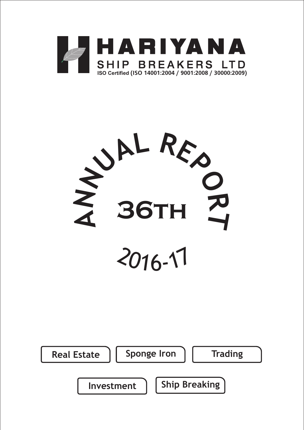

# **36th**  $AL$   $RE$  $\mathcal{O}^{\dagger}$ **O N N A R T** 2016-17

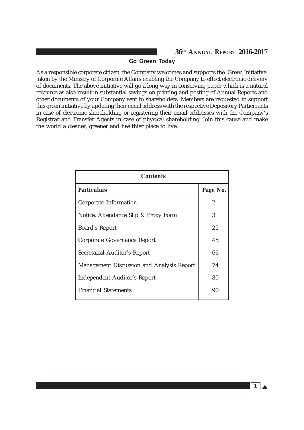### Go Green Today

As a responsible corporate citizen, the Company welcomes and supports the 'Green Initiative' taken by the Ministry of Corporate Affairs enabling the Company to effect electronic delivery of documents. The above initiative will go a long way in conserving paper which is a natural resource as also result in substantial savings on printing and posting of Annual Reports and other documents of your Company sent to shareholders. Members are requested to support this green initiative by updating their email address with the respective Depository Participants in case of electronic shareholding or registering their email addresses with the Company's Registrar and Transfer Agents in case of physical shareholding. Join this cause and make the world a cleaner, greener and healthier place to live.

| <b>Contents</b>                           |          |  |  |
|-------------------------------------------|----------|--|--|
| <b>Particulars</b>                        | Page No. |  |  |
| Corporate Information                     | 2        |  |  |
| Notice, Attendance Slip & Proxy Form      | 3        |  |  |
| <b>Board's Report</b>                     | 25       |  |  |
| Corporate Governance Report               | 45       |  |  |
| Secretarial Auditor's Report              | 66       |  |  |
| Management Discussion and Analysis Report | 74       |  |  |
| Independent Auditor's Report              | 80       |  |  |
| <b>Financial Statements</b>               | 90       |  |  |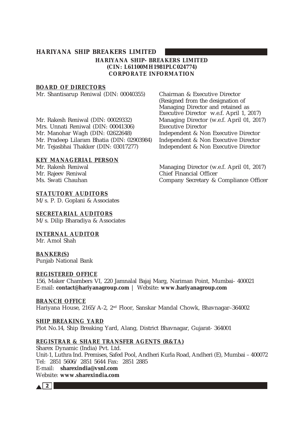**HARIYANA SHIP- BREAKERS LIMITED (CIN: L61100MH1981PLC024774) CORPORATE INFORMATION**

#### **BOARD OF DIRECTORS**

Mr. Shantisarup Reniwal (DIN: 00040355) Chairman & Executive Director

Mr. Rakesh Reniwal (DIN: 00029332) Managing Director (w.e.f. April 01, 2017)<br>Mrs. Unnati Reniwal (DIN: 00041306) Executive Director Mrs. Unnati Reniwal (DIN: 00041306) Mr. Manohar Wagh (DIN: 02622648) Independent & Non Executive Director<br>Mr. Pradeep Lilaram Bhatia (DIN: 02903984) Independent & Non Executive Director Mr. Pradeep Lilaram Bhatia (DIN: 02903984) Mr. Tejasbhai Thakker (DIN: 03017277) Independent & Non Executive Director

#### **KEY MANAGERIAL PERSON**

**STATUTORY AUDITORS** M/s. P. D. Goplani & Associates

#### **SECRETARIAL AUDITORS**

M/s. Dilip Bharadiya & Associates

**INTERNAL AUDITOR**

Mr. Amol Shah

#### **BANKER(S)**

Punjab National Bank

#### **REGISTERED OFFICE**

156, Maker Chambers VI, 220 Jamnalal Bajaj Marg, Nariman Point, Mumbai- 400021 E-mail: **contact@hariyanagroup.com** | Website: **www.hariyanagroup.com**

**BRANCH OFFICE** Hariyana House, 2165/A-2, 2nd Floor, Sanskar Mandal Chowk, Bhavnagar–364002

**SHIP BREAKING YARD** Plot No.14, Ship Breaking Yard, Alang, District Bhavnagar, Gujarat- 364001

#### **REGISTRAR & SHARE TRANSFER AGENTS (R&TA)**

Sharex Dynamic (India) Pvt. Ltd. Unit-1, Luthra Ind. Premises, Safed Pool, Andheri Kurla Road, Andheri (E), Mumbai – 400072 Tel: 2851 5606/ 2851 5644 Fax: 2851 2885 E-mail: **sharexindia@vsnl.com** Website: **www.sharexindia.com**

$$
\blacktriangle \boxed{2}
$$

(Resigned from the designation of Managing Director and retained as Executive Director w.e.f. April 1, 2017)

Mr. Rakesh Reniwal Managing Director (w.e.f. April 01, 2017)<br>Mr. Raieev Reniwal Chief Financial Officer Mr. Rajeev Reniwal Chief Financial Officer<br>Ms. Swati Chauhan Company Secretary & Company Secretary & Compliance Officer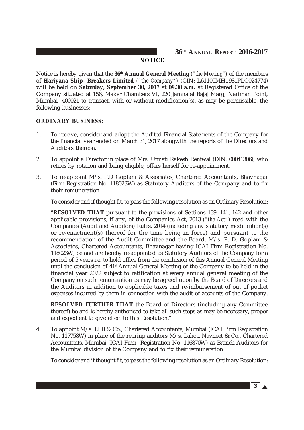# **NOTICE**

Notice is hereby given that the **36th Annual General Meeting** *("the Meeting")* of the members of **Hariyana Ship- Breakers Limited** *("the Company")* (CIN: L61100MH1981PLC024774) will be held on **Saturday, September 30, 2017** at **09.30 a.m.** at Registered Office of the Company situated at 156, Maker Chambers VI, 220 Jamnalal Bajaj Marg, Nariman Point, Mumbai- 400021 to transact, with or without modification(s), as may be permissible, the following businesses:

#### **ORDINARY BUSINESS:**

- 1. To receive, consider and adopt the Audited Financial Statements of the Company for the financial year ended on March 31, 2017 alongwith the reports of the Directors and Auditors thereon.
- 2. To appoint a Director in place of Mrs. Unnati Rakesh Reniwal (DIN: 00041306), who retires by rotation and being eligible, offers herself for re-appointment.
- 3. To re-appoint M/s. P.D Goplani & Associates, Chartered Accountants, Bhavnagar (Firm Registration No. 118023W) as Statutory Auditors of the Company and to fix their remuneration

To consider and if thought fit, to pass the following resolution as an Ordinary Resolution:

**"RESOLVED THAT** pursuant to the provisions of Sections 139, 141, 142 and other applicable provisions, if any, of the Companies Act, 2013 *("the Act")* read with the Companies (Audit and Auditors) Rules, 2014 *(*including any statutory modification(s) or re-enactment(s) thereof for the time being in force) and pursuant to the recommendation of the Audit Committee and the Board, M/s. P. D. Goplani & Associates, Chartered Accountants, Bhavnagar having ICAI Firm Registration No. 118023W, be and are hereby re-appointed as Statutory Auditors of the Company for a period of 5 years i.e. to hold office from the conclusion of this Annual General Meeting until the conclusion of 41st Annual General Meeting of the Company to be held in the financial year 2022 subject to ratification at every annual general meeting of the Company on such remuneration as may be agreed upon by the Board of Directors and the Auditors in addition to applicable taxes and re-imbursement of out of pocket expenses incurred by them in connection with the audit of accounts of the Company.

**RESOLVED FURTHER THAT** the Board of Directors (including any Committee thereof) be and is hereby authorised to take all such steps as may be necessary, proper and expedient to give effect to this Resolution.**"**

4. To appoint M/s. LLB & Co., Chartered Accountants, Mumbai (ICAI Firm Registration No. 117758W) in place of the retiring auditors M/s. Lahoti Navneet & Co., Chartered Accountants, Mumbai (ICAI Firm Registration No. 116870W) as Branch Auditors for the Mumbai division of the Company and to fix their remuneration

To consider and if thought fit, to pass the following resolution as an Ordinary Resolution: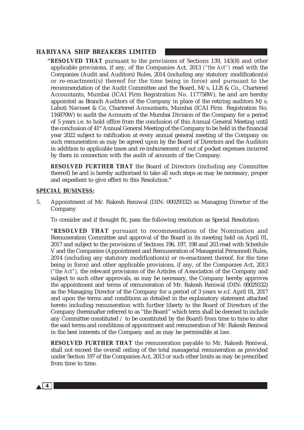**"RESOLVED THAT** pursuant to the provisions of Sections 139, 143(8) and other applicable provisions, if any, of the Companies Act, 2013 *("the Act")* read with the Companies (Audit and Auditors) Rules, 2014 (including any statutory modification(s) or re-enactment(s) thereof for the time being in force) and pursuant to the recommendation of the Audit Committee and the Board, M/s. LLB & Co., Chartered Accountants, Mumbai (ICAI Firm Registration No. 117758W), be and are hereby appointed as Branch Auditors of the Company in place of the retiring auditors M/s. Lahoti Navneet & Co, Chartered Accountants, Mumbai (ICAI Firm Registration No. 116870W) to audit the Accounts of the Mumbai Division of the Company for a period of 5 years i.e. to hold office from the conclusion of this Annual General Meeting until the conclusion of 41<sup>st</sup> Annual General Meeting of the Company to be held in the financial year 2022 subject to ratification at every annual general meeting of the Company on such remuneration as may be agreed upon by the Board of Directors and the Auditors in addition to applicable taxes and re-imbursement of out of pocket expenses incurred by them in connection with the audit of accounts of the Company.

**RESOLVED FURTHER THAT** the Board of Directors (including any Committee thereof) be and is hereby authorised to take all such steps as may be necessary, proper and expedient to give effect to this Resolution.**"**

#### **SPECIAL BUSINESS:**

5. Appointment of Mr. Rakesh Reniwal (DIN: 00029332) as Managing Director of the Company

To consider and if thought fit, pass the following resolution as Special Resolution:

**"RESOLVED THAT** pursuant to recommendation of the Nomination and Remuneration Committee and approval of the Board in its meeting held on April 01, 2017 and subject to the provisions of Sections 196, 197, 198 and 203 read with Schedule V and the Companies (Appointment and Remuneration of Managerial Personnel) Rules, 2014 (including any statutory modification(s) or re-enactment thereof, for the time being in force) and other applicable provisions, if any, of the Companies Act, 2013 *("the Act"),* the relevant provisions of the Articles of Association of the Company and subject to such other approvals, as may be necessary, the Company hereby approves the appointment and terms of remuneration of Mr. Rakesh Reniwal (DIN: 00029332) as the Managing Director of the Company for a period of 3 years w.e.f. April 01, 2017 and upon the terms and conditions as detailed in the explanatory statement attached hereto including remuneration with further liberty to the Board of Directors of the Company (hereinafter referred to as "the Board" which term shall be deemed to include any Committee constituted  $\ell$  to be constituted by the Board) from time to time to alter the said terms and conditions of appointment and remuneration of Mr. Rakesh Reniwal in the best interests of the Company and as may be permissible at law.

**RESOLVED FURTHER THAT** the remuneration payable to Mr. Rakesh Reniwal, shall not exceed the overall ceiling of the total managerial remuneration as provided under Section 197 of the Companies Act, 2013 or such other limits as may be prescribed from time to time.

 $\blacktriangle$  4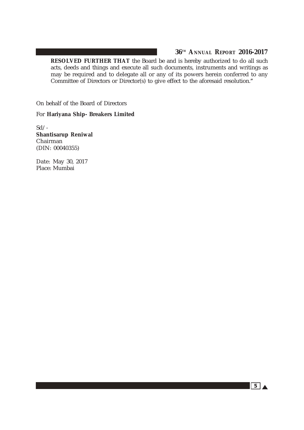**RESOLVED FURTHER THAT** the Board be and is hereby authorized to do all such acts, deeds and things and execute all such documents, instruments and writings as may be required and to delegate all or any of its powers herein conferred to any Committee of Directors or Director(s) to give effect to the aforesaid resolution.**"**

On behalf of the Board of Directors

# For **Hariyana Ship- Breakers Limited**

 $Sd$  /-**Shantisarup Reniwal** Chairman (DIN: 00040355)

Date: May 30, 2017 Place: Mumbai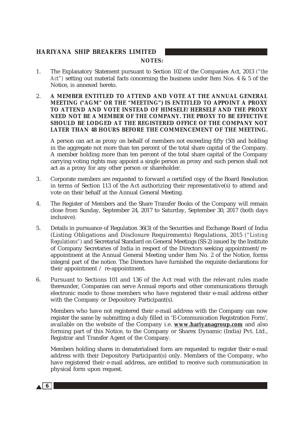#### **NOTES:**

- 1. The Explanatory Statement pursuant to Section 102 of the Companies Act, 2013 *("the Act")* setting out material facts concerning the business under Item Nos. 4 & 5 of the Notice, is annexed hereto.
- 2. **A MEMBER ENTITLED TO ATTEND AND VOTE AT THE ANNUAL GENERAL MEETING ("AGM" OR THE "MEETING") IS ENTITLED TO APPOINT A PROXY TO ATTEND AND VOTE INSTEAD OF HIMSELF/ HERSELF AND THE PROXY NEED NOT BE A MEMBER OF THE COMPANY. THE PROXY TO BE EFFECTIVE SHOULD BE LODGED AT THE REGISTERED OFFICE OF THE COMPANY NOT LATER THAN 48 HOURS BEFORE THE COMMENCEMENT OF THE MEETING.**

A person can act as proxy on behalf of members not exceeding fifty (50) and holding in the aggregate not more than ten percent of the total share capital of the Company. A member holding more than ten percent of the total share capital of the Company carrying voting rights may appoint a single person as proxy and such person shall not act as a proxy for any other person or shareholder.

- 3. Corporate members are requested to forward a certified copy of the Board Resolution in terms of Section 113 of the Act authorizing their representative(s) to attend and vote on their behalf at the Annual General Meeting.
- 4. The Register of Members and the Share Transfer Books of the Company will remain close from Sunday, September 24, 2017 to Saturday, September 30, 2017 (both days inclusive).
- 5. Details in pursuance of Regulation 36(3) of the Securities and Exchange Board of India (Listing Obligations and Disclosure Requirements) Regulations, 2015 *("Listing Regulations")* and Secretarial Standard on General Meetings (SS-2) issued by the Institute of Company Secretaries of India in respect of the Directors seeking appointment/reappointment at the Annual General Meeting under Item No. 2 of the Notice, forms integral part of the notice. The Directors have furnished the requisite declarations for their appointment / re-appointment.
- 6. Pursuant to Sections 101 and 136 of the Act read with the relevant rules made thereunder, Companies can serve Annual reports and other communications through electronic mode to those members who have registered their e-mail address either with the Company or Depository Participant(s).

Members who have not registered their e-mail address with the Company can now register the same by submitting a duly filled in 'E-Communication Registration Form', available on the website of the Company i.e. **www.hariyanagroup.com** and also forming part of this Notice, to the Company or Sharex Dynamic (India) Pvt. Ltd., Registrar and Transfer Agent of the Company.

Members holding shares in dematerialised form are requested to register their e-mail address with their Depository Participant(s) only. Members of the Company, who have registered their e-mail address, are entitled to receive such communication in physical form upon request.

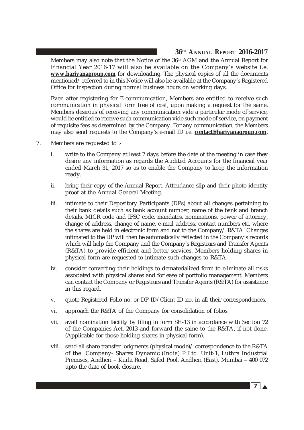Members may also note that the Notice of the 36<sup>th</sup> AGM and the Annual Report for Financial Year 2016-17 will also be available on the Company's website i.e. **www.hariyanagroup.com** for downloading. The physical copies of all the documents mentioned/ referred to in this Notice will also be available at the Company's Registered Office for inspection during normal business hours on working days.

Even after registering for E-communication, Members are entitled to receive such communication in physical form free of cost, upon making a request for the same. Members desirous of receiving any communication vide a particular mode of service, would be entitled to receive such communication vide such mode of service, on payment of requisite fees as determined by the Company. For any communication, the Members may also send requests to the Company's e-mail ID i.e. **contact@hariyanagroup.com.**

- 7. Members are requested to :
	- i. write to the Company at least 7 days before the date of the meeting in case they desire any information as regards the Audited Accounts for the financial year ended March 31, 2017 so as to enable the Company to keep the information ready.
	- ii. bring their copy of the Annual Report, Attendance slip and their photo identity proof at the Annual General Meeting.
	- iii. intimate to their Depository Participants (DPs) about all changes pertaining to their bank details such as bank account number, name of the bank and branch details, MICR code and IFSC code, mandates, nominations, power of attorney, change of address, change of name, e-mail address, contact numbers etc. where the shares are held in electronic form and not to the Company/ R&TA. Changes intimated to the DP will then be automatically reflected in the Company's records which will help the Company and the Company's Registrars and Transfer Agents (R&TA) to provide efficient and better services. Members holding shares in physical form are requested to intimate such changes to R&TA.
	- iv. consider converting their holdings to dematerialized form to eliminate all risks associated with physical shares and for ease of portfolio management. Members can contact the Company or Registrars and Transfer Agents (R&TA) for assistance in this regard.
	- v. quote Registered Folio no. or DP ID/Client ID no. in all their correspondences.
	- vi. approach the R&TA of the Company for consolidation of folios.
	- vii. avail nomination facility by filing in form SH-13 in accordance with Section 72 of the Companies Act, 2013 and forward the same to the R&TA, if not done. (Applicable for those holding shares in physical form).
	- viii. send all share transfer lodgments (physical mode)/ correspondence to the R&TA of the Company- Sharex Dynamic (India) P Ltd. Unit-1, Luthra Industrial Premises, Andheri – Kurla Road, Safed Pool, Andheri (East), Mumbai – 400 072 upto the date of book closure.

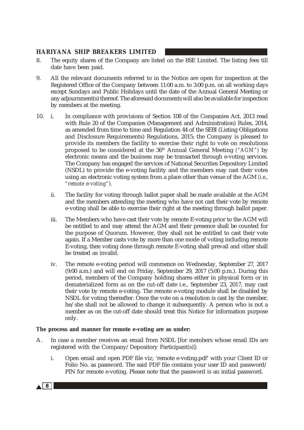- 8. The equity shares of the Company are listed on the BSE Limited. The listing fees till date have been paid.
- 9. All the relevant documents referred to in the Notice are open for inspection at the Registered Office of the Company between 11:00 a.m. to 3:00 p.m. on all working days except Sundays and Public Holidays until the date of the Annual General Meeting or any adjournment(s) thereof. The aforesaid documents will also be available for inspection by members at the meeting.
- 10. i. In compliance with provisions of Section 108 of the Companies Act, 2013 read with Rule 20 of the Companies (Management and Administration) Rules, 2014, as amended from time to time and Regulation 44 of the SEBI (Listing Obligations and Disclosure Requirements) Regulations, 2015; the Company is pleased to provide its members the facility to exercise their right to vote on resolutions proposed to be considered at the 36th Annual General Meeting *("AGM")* by electronic means and the business may be transacted through e-voting services. The Company has engaged the services of National Securities Depository Limited (NSDL) to provide the e-voting facility and the members may cast their votes using an electronic voting system from a place other than venue of the AGM *(i.e., "remote e-voting")*.
	- ii. The facility for voting through ballot paper shall be made available at the AGM and the members attending the meeting who have not cast their vote by remote e-voting shall be able to exercise their right at the meeting through ballot paper.
	- iii. The Members who have cast their vote by remote E-voting prior to the AGM will be entitled to and may attend the AGM and their presence shall be counted for the purpose of Quorum. However, they shall not be entitled to cast their vote again. If a Member casts vote by more than one mode of voting including remote E-voting, then voting done through remote E-voting shall prevail and other shall be treated as invalid.
	- iv. The remote e-voting period will commence on Wednesday, September 27, 2017 (9:00 a.m.) and will end on Friday, September 29, 2017 (5:00 p.m.). During this period, members of the Company holding shares either in physical form or in dematerialized form as on the cut-off date i.e., September 23, 2017, may cast their vote by remote e-voting. The remote e-voting module shall be disabled by NSDL for voting thereafter. Once the vote on a resolution is cast by the member, he/she shall not be allowed to change it subsequently. A person who is not a member as on the cut-off date should treat this Notice for information purpose only.

#### **The process and manner for remote e-voting are as under:**

- A. In case a member receives an email from NSDL [for members whose email IDs are registered with the Company/Depository Participant(s)]:
	- i. Open email and open PDF file viz; 'remote e-voting.pdf' with your Client ID or Folio No. as password. The said PDF file contains your user ID and password/ PIN for remote e-voting. Please note that the password is an initial password.

8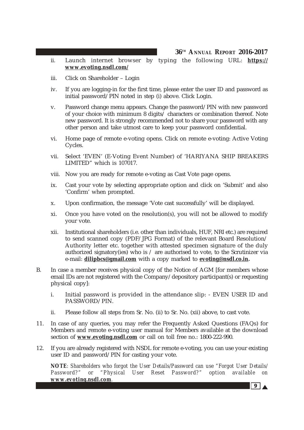- ii. Launch internet browser by typing the following URL: **https:// www.evoting.nsdl.com/**
- iii. Click on Shareholder Login
- iv. If you are logging-in for the first time, please enter the user ID and password as initial password/PIN noted in step (i) above. Click Login.
- v. Password change menu appears. Change the password/PIN with new password of your choice with minimum 8 digits/ characters or combination thereof. Note new password. It is strongly recommended not to share your password with any other person and take utmost care to keep your password confidential.
- vi. Home page of remote e-voting opens. Click on remote e-voting: Active Voting Cycles.
- vii. Select 'EVEN' (E-Voting Event Number) of 'HARIYANA SHIP BREAKERS LIMITED" which is 107017.
- viii. Now you are ready for remote e-voting as Cast Vote page opens.
- ix. Cast your vote by selecting appropriate option and click on 'Submit' and also 'Confirm' when prompted.
- x. Upon confirmation, the message 'Vote cast successfully' will be displayed.
- xi. Once you have voted on the resolution(s), you will not be allowed to modify your vote.
- xii. Institutional shareholders (i.e. other than individuals, HUF, NRI etc.) are required to send scanned copy (PDF/JPG Format) of the relevant Board Resolution/ Authority letter etc. together with attested specimen signature of the duly authorized signatory(ies) who is / are authorised to vote, to the Scrutinizer via e-mail: **dilipbcs@gmail.com** with a copy marked to **evoting@nsdl.co.in.**
- B. In case a member receives physical copy of the Notice of AGM [for members whose email IDs are not registered with the Company/depository participant(s) or requesting physical copy]:
	- i. Initial password is provided in the attendance slip: EVEN USER ID and PASSWORD/PIN.
	- ii. Please follow all steps from Sr. No. (ii) to Sr. No. (xii) above, to cast vote.
- 11. In case of any queries, you may refer the Frequently Asked Questions (FAQs) for Members and remote e-voting user manual for Members available at the download section of **www.evoting.nsdl.com** or call on toll free no.: 1800-222-990.
- 12. If you are already registered with NSDL for remote e-voting, you can use your existing user ID and password/PIN for casting your vote.

*NOTE: Shareholders who forgot the User Details/Password can use "Forgot User Details/ Password?" or "Physical User Reset Password?" option available on www.evoting.nsdl.com.*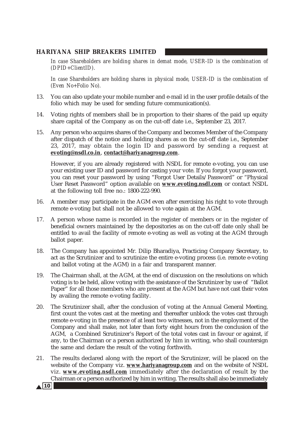*In case Shareholders are holding shares in demat mode, USER-ID is the combination of (DPID+ClientID).*

*In case Shareholders are holding shares in physical mode, USER-ID is the combination of (Even No+Folio No).*

- 13. You can also update your mobile number and e-mail id in the user profile details of the folio which may be used for sending future communication(s).
- 14. Voting rights of members shall be in proportion to their shares of the paid up equity share capital of the Company as on the cut-off date i.e., September 23, 2017.
- 15. Any person who acquires shares of the Company and becomes Member of the Company after dispatch of the notice and holding shares as on the cut-off date i.e., September 23, 2017, may obtain the login ID and password by sending a request at **evoting@nsdl.co.in**, **contact@hariyanagroup.com**.

However, if you are already registered with NSDL for remote e-voting, you can use your existing user ID and password for casting your vote. If you forgot your password, you can reset your password by using "Forgot User Details/Password" or "Physical User Reset Password" option available on **www.evoting.nsdl.com** or contact NSDL at the following toll free no.: 1800-222-990.

- 16. A member may participate in the AGM even after exercising his right to vote through remote e-voting but shall not be allowed to vote again at the AGM.
- 17. A person whose name is recorded in the register of members or in the register of beneficial owners maintained by the depositories as on the cut-off date only shall be entitled to avail the facility of remote e-voting as well as voting at the AGM through ballot paper.
- 18. The Company has appointed Mr. Dilip Bharadiya, Practicing Company Secretary, to act as the Scrutinizer and to scrutinize the entire e-voting process (i.e. remote e-voting and ballot voting at the AGM) in a fair and transparent manner.
- 19. The Chairman shall, at the AGM, at the end of discussion on the resolutions on which voting is to be held, allow voting with the assistance of the Scrutinizer by use of "Ballot Paper" for all those members who are present at the AGM but have not cast their votes by availing the remote e-voting facility.
- 20. The Scrutinizer shall, after the conclusion of voting at the Annual General Meeting, first count the votes cast at the meeting and thereafter unblock the votes cast through remote e-voting in the presence of at least two witnesses, not in the employment of the Company and shall make, not later than forty eight hours from the conclusion of the AGM, a Combined Scrutinizer's Report of the total votes cast in favour or against, if any, to the Chairman or a person authorized by him in writing, who shall countersign the same and declare the result of the voting forthwith.
- 21. The results declared along with the report of the Scrutinizer, will be placed on the website of the Company viz. **www.hariyanagroup.com** and on the website of NSDL viz. **www.evoting.nsdl.com** immediately after the declaration of result by the Chairman or a person authorized by him in writing. The results shall also be immediately

 $\blacktriangle$  10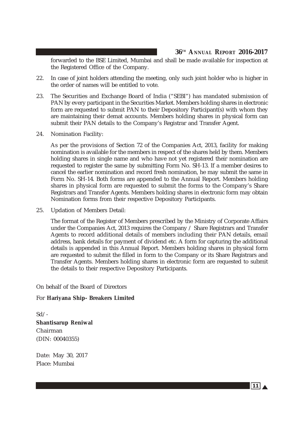forwarded to the BSE Limited, Mumbai and shall be made available for inspection at the Registered Office of the Company.

- 22. In case of joint holders attending the meeting, only such joint holder who is higher in the order of names will be entitled to vote.
- 23. The Securities and Exchange Board of India ("SEBI") has mandated submission of PAN by every participant in the Securities Market. Members holding shares in electronic form are requested to submit PAN to their Depository Participant(s) with whom they are maintaining their demat accounts. Members holding shares in physical form can submit their PAN details to the Company's Registrar and Transfer Agent.
- 24. Nomination Facility:

As per the provisions of Section 72 of the Companies Act, 2013, facility for making nomination is available for the members in respect of the shares held by them. Members holding shares in single name and who have not yet registered their nomination are requested to register the same by submitting Form No. SH-13. If a member desires to cancel the earlier nomination and record fresh nomination, he may submit the same in Form No. SH-14. Both forms are appended to the Annual Report. Members holding shares in physical form are requested to submit the forms to the Company's Share Registrars and Transfer Agents. Members holding shares in electronic form may obtain Nomination forms from their respective Depository Participants.

25. Updation of Members Detail:

The format of the Register of Members prescribed by the Ministry of Corporate Affairs under the Companies Act, 2013 requires the Company / Share Registrars and Transfer Agents to record additional details of members including their PAN details, email address, bank details for payment of dividend etc. A form for capturing the additional details is appended in this Annual Report. Members holding shares in physical form are requested to submit the filled in form to the Company or its Share Registrars and Transfer Agents. Members holding shares in electronic form are requested to submit the details to their respective Depository Participants.

On behalf of the Board of Directors

#### For **Hariyana Ship- Breakers Limited**

 $Sd$  /-**Shantisarup Reniwal** Chairman (DIN: 00040355)

Date: May 30, 2017 Place: Mumbai

 $|11|$   $\triangle$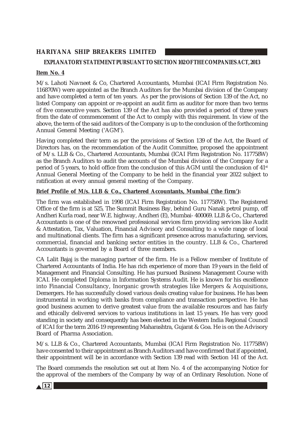# **EXPLANATORY STATEMENT PURSUANT TO SECTION 102 OF THE COMPANIES ACT, 2013**

#### **Item No. 4**

M/s. Lahoti Navneet & Co, Chartered Accountants, Mumbai (ICAI Firm Registration No. 116870W) were appointed as the Branch Auditors for the Mumbai division of the Company and have completed a term of ten years. As per the provisions of Section 139 of the Act, no listed Company can appoint or re-appoint an audit firm as auditor for more than two terms of five consecutive years. Section 139 of the Act has also provided a period of three years from the date of commencement of the Act to comply with this requirement. In view of the above, the term of the said auditors of the Company is up to the conclusion of the forthcoming Annual General Meeting ('AGM').

Having completed their term as per the provisions of Section 139 of the Act, the Board of Directors has, on the recommendation of the Audit Committee, proposed the appointment of M/s. LLB & Co., Chartered Accountants, Mumbai (ICAI Firm Registration No. 117758W) as the Branch Auditors to audit the accounts of the Mumbai division of the Company for a period of 5 years, to hold office from the conclusion of this AGM until the conclusion of  $41<sup>st</sup>$ Annual General Meeting of the Company to be held in the financial year 2022 subject to ratification at every annual general meeting of the Company.

#### **Brief Profile of M/s. LLB & Co., Chartered Accountants, Mumbai ('the firm'):**

The firm was established in 1998 (ICAI Firm Registration No. 117758W). The Registered Office of the firm is at 525, The Summit Business Bay, behind Guru Nanak petrol pump, off Andheri Kurla road, near W.E. highway, Andheri (E), Mumbai- 400069. LLB & Co., Chartered Accountants is one of the renowned professional services firm providing services like Audit & Attestation, Tax, Valuation, Financial Advisory and Consulting to a wide range of local and multinational clients. The firm has a significant presence across manufacturing, services, commercial, financial and banking sector entities in the country. LLB & Co., Chartered Accountants is governed by a Board of three members.

CA Lalit Bajaj is the managing partner of the firm. He is a Fellow member of Institute of Chartered Accountants of India. He has rich experience of more than 19 years in the field of Management and Financial Consulting. He has pursued Business Management Course with ICAI. He completed Diploma in Information Systems Audit. He is known for his excellence into Financial Consultancy, Inorganic growth strategies like Mergers & Acquisitions, Demergers. He has successfully closed various deals creating value for business. He has been instrumental in working with banks from compliance and transaction perspective. He has good business acumen to derive greatest value from the available resources and has fairly and ethically delivered services to various institutions in last 15 years. He has very good standing in society and consequently has been elected in the Western India Regional Council of ICAI for the term 2016-19 representing Maharashtra, Gujarat & Goa. He is on the Advisory Board of Pharma Association.

M/s. LLB & Co., Chartered Accountants, Mumbai (ICAI Firm Registration No. 117758W) have consented to their appointment as Branch Auditors and have confirmed that if appointed, their appointment will be in accordance with Section 139 read with Section 141 of the Act.

The Board commends the resolution set out at Item No. 4 of the accompanying Notice for the approval of the members of the Company by way of an Ordinary Resolution. None of

 $\blacktriangle$  12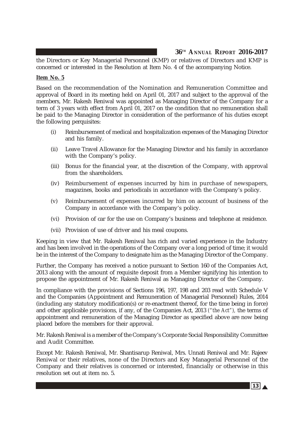the Directors or Key Managerial Personnel (KMP) or relatives of Directors and KMP is concerned or interested in the Resolution at Item No. 4 of the accompanying Notice.

#### **Item No. 5**

Based on the recommendation of the Nomination and Remuneration Committee and approval of Board in its meeting held on April 01, 2017 and subject to the approval of the members, Mr. Rakesh Reniwal was appointed as Managing Director of the Company for a term of 3 years with effect from April 01, 2017 on the condition that no remuneration shall be paid to the Managing Director in consideration of the performance of his duties except the following perquisites:

- (i) Reimbursement of medical and hospitalization expenses of the Managing Director and his family.
- (ii) Leave Travel Allowance for the Managing Director and his family in accordance with the Company's policy.
- (iii) Bonus for the financial year, at the discretion of the Company, with approval from the shareholders.
- (iv) Reimbursement of expenses incurred by him in purchase of newspapers, magazines, books and periodicals in accordance with the Company's policy.
- (v) Reimbursement of expenses incurred by him on account of business of the Company in accordance with the Company's policy.
- (vi) Provision of car for the use on Company's business and telephone at residence.
- (vii) Provision of use of driver and his meal coupons.

Keeping in view that Mr. Rakesh Reniwal has rich and varied experience in the Industry and has been involved in the operations of the Company over a long period of time; it would be in the interest of the Company to designate him as the Managing Director of the Company.

Further, the Company has received a notice pursuant to Section 160 of the Companies Act, 2013 along with the amount of requisite deposit from a Member signifying his intention to propose the appointment of Mr. Rakesh Reniwal as Managing Director of the Company.

In compliance with the provisions of Sections 196, 197, 198 and 203 read with Schedule V and the Companies (Appointment and Remuneration of Managerial Personnel) Rules, 2014 (including any statutory modification(s) or re-enactment thereof, for the time being in force) and other applicable provisions, if any, of the Companies Act, 2013 *("the Act"),* the terms of appointment and remuneration of the Managing Director as specified above are now being placed before the members for their approval.

Mr. Rakesh Reniwal is a member of the Company's Corporate Social Responsibility Committee and Audit Committee.

Except Mr. Rakesh Reniwal, Mr. Shantisarup Reniwal, Mrs. Unnati Reniwal and Mr. Rajeev Reniwal or their relatives, none of the Directors and Key Managerial Personnel of the Company and their relatives is concerned or interested, financially or otherwise in this resolution set out at item no. 5.

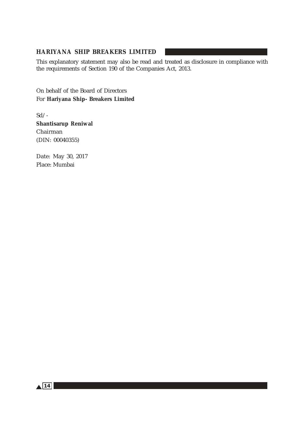This explanatory statement may also be read and treated as disclosure in compliance with the requirements of Section 190 of the Companies Act, 2013.

On behalf of the Board of Directors For **Hariyana Ship- Breakers Limited**

Sd/- **Shantisarup Reniwal** Chairman (DIN: 00040355)

Date: May 30, 2017 Place: Mumbai

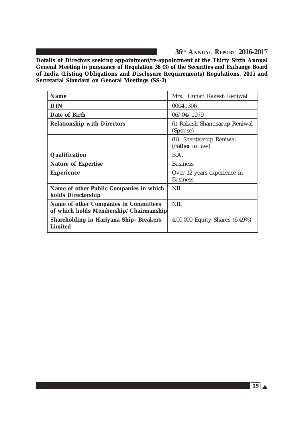**Details of Directors seeking appointment/re-appointment at the Thirty Sixth Annual General Meeting in pursuance of Regulation 36 (3) of the Securities and Exchange Board of India (Listing Obligations and Disclosure Requirements) Regulations, 2015 and Secretarial Standard on General Meetings (SS-2)**

| <b>Name</b>                                                                      | Mrs. Unnati Rakesh Reniwal                     |  |  |
|----------------------------------------------------------------------------------|------------------------------------------------|--|--|
| <b>DIN</b>                                                                       | 00041306                                       |  |  |
| Date of Birth                                                                    | 06/04/1979                                     |  |  |
| <b>Relationship with Directors</b>                                               | (i) Rakesh Shantisarup Reniwal<br>(Spouse)     |  |  |
|                                                                                  | (ii) Shantisarup Reniwal<br>(Father in law)    |  |  |
| Qualification                                                                    | <b>B.A.</b>                                    |  |  |
| <b>Nature of Expertise</b>                                                       | <b>Business</b>                                |  |  |
| <b>Experience</b>                                                                | Over 12 years experience in<br><b>Business</b> |  |  |
| Name of other Public Companies in which<br>holds Directorship                    | <b>NIL</b>                                     |  |  |
| Name of other Companies in Committees<br>of which holds Membership/ Chairmanship | <b>NIL</b>                                     |  |  |
| <b>Shareholding in Hariyana Ship- Breakers</b><br>Limited                        | 4,00,000 Equity Shares (6.49%)                 |  |  |

 $\sqrt{15}$   $\triangle$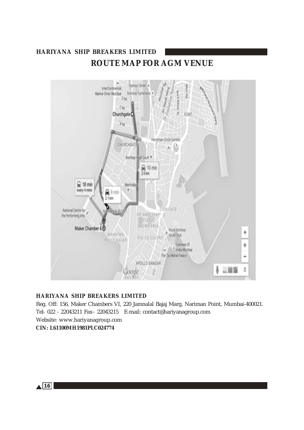

**HARIYANA SHIP BREAKERS LIMITED**

Reg. Off: 156, Maker Chambers VI, 220 Jamnalal Bajaj Marg, Nariman Point, Mumbai-400021. Tel- 022 - 22043211 Fax– 22043215 E-mail: contact@hariyanagroup.com Website: www.hariyanagroup.com **CIN: L61100MH1981PLC024774**

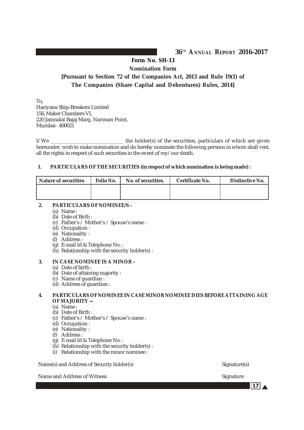# **Form No. SH-13 Nomination Form**

# **[Pursuant to Section 72 of the Companies Act, 2013 and Rule 19(1) of The Companies (Share Capital and Debentures) Rules, 2014]**

To, Hariyana Ship-Breakers Limited 156, Maker Chambers VI, 220 Jamnalal Bajaj Marg, Nariman Point, Mumbai- 400021

I/We \_\_\_\_\_\_\_\_\_\_\_\_\_\_\_\_\_\_\_\_\_\_\_\_\_\_\_\_ the holder(s) of the securities, particulars of which are given hereunder, wish to make nomination and do hereby nominate the following persons in whom shall vest, all the rights in respect of such securities in the event of my/our death.

#### **1. PARTICULARS OF THE SECURITIES (in respect of which nomination is being made) :**

|    | <b>Nature of securities</b>                                                                                                                                                                                                                                               | Folio No. | No. of securities. | Certificate No.                                                        | Distinctive No. |
|----|---------------------------------------------------------------------------------------------------------------------------------------------------------------------------------------------------------------------------------------------------------------------------|-----------|--------------------|------------------------------------------------------------------------|-----------------|
|    |                                                                                                                                                                                                                                                                           |           |                    |                                                                        |                 |
| 2. | <b>PARTICULARS OF NOMINEE/S -</b><br>$(a)$ Name:<br>(b) Date of Birth:<br>Father's / Mother's / Spouse's name :<br>(c)<br>(d) Occupation :<br>Nationality:<br>(e)<br>Address:<br>(f)<br>(g) E-mail Id & Telephone No.:<br>$(h)$ Relationship with the security holder(s): |           |                    |                                                                        |                 |
| 3. | <b>IN CASE NOMINEE IS A MINOR -</b><br>(a) Date of birth:<br>(b) Date of attaining majority:<br>(c) Name of guardian :<br>(d) Address of guardian :                                                                                                                       |           |                    |                                                                        |                 |
| 4. | OF MAJORITY -<br>$(a)$ Name:<br>(b) Date of Birth:<br>Father's / Mother's / Spouse's name:<br>(c)<br>(d) Occupation :<br>Nationality:<br>(e)<br>Address:<br>(f)<br>E-mail Id & Telephone No.:<br>(g)                                                                      |           |                    | PARTICULARS OF NOMINEE IN CASE MINOR NOMINEE DIES BEFORE ATTAINING AGE |                 |

- (h) Relationship with the security holder(s) :
- (i) Relationship with the minor nominee :

Name(s) and Address of Security holder(s) Signature(s) Signature(s)

Name and Address of Witness Signature Signature Signature Signature Signature Signature Signature Signature Signature Signature Signature Signature Signature Signature Signature Signature Signature Signature Signature Sign

 $\boxed{17}$   $\blacktriangle$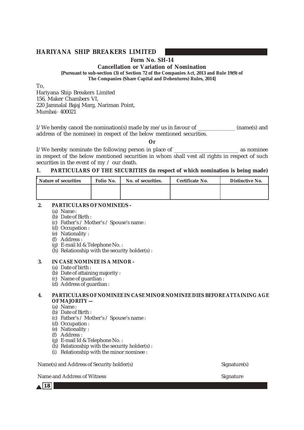# **Form No. SH-14**

#### **Cancellation or Variation of Nomination**

**[Pursuant to sub-section (3) of Section 72 of the Companies Act, 2013 and Rule 19(9) of The Companies (Share Capital and Debentures) Rules, 2014]**

To,

Hariyana Ship Breakers Limited 156, Maker Chambers VI, 220 Jamnalal Bajaj Marg, Nariman Point, Mumbai- 400021

I/We hereby cancel the nomination(s) made by me/us in favour of  $\qquad \qquad$  (name(s) and address of the nominee) in respect of the below mentioned securities.

**Or**

I/We hereby nominate the following person in place of \_\_\_\_\_\_\_\_\_\_\_\_\_\_\_\_\_\_\_\_\_\_\_\_ as nominee in respect of the below mentioned securities in whom shall vest all rights in respect of such securities in the event of my / our death.

#### **1. PARTICULARS OF THE SECURITIES (in respect of which nomination is being made)**

| Folio No.<br><b>Nature of securities</b> |  | No. of securities. | Certificate No. | <b>Distinctive No.</b> |
|------------------------------------------|--|--------------------|-----------------|------------------------|
|                                          |  |                    |                 |                        |
|                                          |  |                    |                 |                        |

#### **2. PARTICULARS OF NOMINEE/S –**

- (a) Name :
- (b) Date of Birth :
- (c) Father's / Mother's / Spouse's name :
- (d) Occupation :
- (e) Nationality :
- (f) Address :
- (g) E-mail Id & Telephone No. :
- $(h)$  Relationship with the security holder(s):

#### **3. IN CASE NOMINEE IS A MINOR –**

- (a) Date of birth :
- (b) Date of attaining majority :
- (c) Name of guardian :
- (d) Address of guardian :

#### **4. PARTICULARS OF NOMINEE IN CASE MINOR NOMINEE DIES BEFORE ATTAINING AGE OF MAJORITY —**

- (a) Name :
- (b) Date of Birth :
- (c) Father's / Mother's / Spouse's name :
- (d) Occupation :
- (e) Nationality :
- (f) Address :
- (g) E-mail Id & Telephone No. :
- $(h)$  Relationship with the security holder(s) :
- (i) Relationship with the minor nominee :

Name(s) and Address of Security holder(s) Signature(s) Signature(s)

Name and Address of Witness Signature Signature Signature Signature Signature Signature Signature Signature Signature Signature Signature Signature Signature Signature Signature Signature Signature Signature Signature Sign

 $\blacktriangle$  18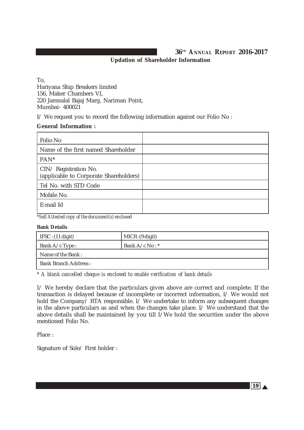# **36TH ANNUAL REPORT 2016-2017 Updation of Shareholder Information**

To, Hariyana Ship Breakers limited 156, Maker Chambers VI, 220 Jamnalal Bajaj Marg, Nariman Point, Mumbai- 400021

I/ We request you to record the following information against our Folio No :

# **General Information :**

| Folio No                                                        |  |
|-----------------------------------------------------------------|--|
| Name of the first named Shareholder                             |  |
| $PAN^*$                                                         |  |
| CIN/ Registration No.<br>(applicable to Corporate Shareholders) |  |
| Tel No. with STD Code                                           |  |
| Mobile No.                                                      |  |
| E-mail Id                                                       |  |

*\*Self Attested copy of the document(s) enclosed*

#### **Bank Details**

| $\vert$ IFSC : (11 digit)   | $MCR:(9 \text{ digit})$ |
|-----------------------------|-------------------------|
| Bank A/c Type :             | Bank $A/c$ No: *        |
| Name of the Bank:           |                         |
| <b>Bank Branch Address:</b> |                         |

*\* A blank cancelled cheque is enclosed to enable verification of bank details*

I/ We hereby declare that the particulars given above are correct and complete. If the transaction is delayed because of incomplete or incorrect information, I/ We would not hold the Company/ RTA responsible. I/ We undertake to inform any subsequent changes in the above particulars as and when the changes take place. I/ We understand that the above details shall be maintained by you till I/We hold the securities under the above mentioned Folio No.

Place :

Signature of Sole/ First holder :

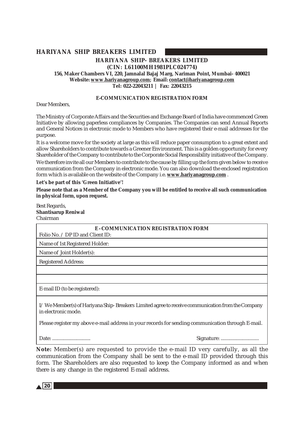#### **HARIYANA SHIP BREAKERS LIMITED HARIYANA SHIP- BREAKERS LIMITED (CIN: L61100MH1981PLC024774) 156, Maker Chambers VI, 220, Jamnalal Bajaj Marg, Nariman Point, Mumbai- 400021 Website: www.hariyanagroup.com; Email: contact@hariyanagroup.com Tel: 022-22043211 | Fax: 22043215**

#### **E-COMMUNICATION REGISTRATION FORM**

Dear Members,

The Ministry of Corporate Affairs and the Securities and Exchange Board of India have commenced Green Initiative by allowing paperless compliances by Companies. The Companies can send Annual Reports and General Notices in electronic mode to Members who have registered their e-mail addresses for the purpose.

It is a welcome move for the society at large as this will reduce paper consumption to a great extent and allow Shareholders to contribute towards a Greener Environment. This is a golden opportunity for every Shareholder of the Company to contribute to the Corporate Social Responsibility initiative of the Company.

We therefore invite all our Members to contribute to the cause by filling up the form given below to receive communication from the Company in electronic mode. You can also download the enclosed registration form which is available on the website of the Company i.e. **www.hariyanagroup.com** .

#### **Let's be part of this 'Green Initiative'!**

**Please note that as a Member of the Company you will be entitled to receive all such communication in physical form, upon request.**

Best Regards, **Shantisarup Reniwal** Chairman

#### **E - COMMUNICATION REGISTRATION FORM**

Folio No. / DP ID and Client ID:

Name of 1st Registered Holder:

Name of Joint Holder(s):

Registered Address:

E-mail ID (to be registered):

I/ We Member(s) of Hariyana Ship- Breakers Limited agree to receive communication from the Company in electronic mode.

Please register my above e-mail address in your records for sending communication through E-mail.

Date: .............................. Signature: ..............................

**Note:** Member(s) are requested to provide the e-mail ID very carefully, as all the communication from the Company shall be sent to the e-mail ID provided through this form. The Shareholders are also requested to keep the Company informed as and when there is any change in the registered E-mail address.

 $\blacktriangle$  20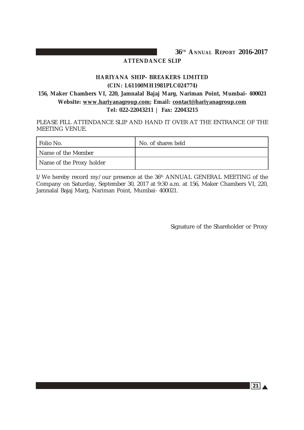# **ATTENDANCE SLIP**

# **HARIYANA SHIP- BREAKERS LIMITED (CIN: L61100MH1981PLC024774)**

# **156, Maker Chambers VI, 220, Jamnalal Bajaj Marg, Nariman Point, Mumbai- 400021 Website: www.hariyanagroup.com; Email: contact@hariyanagroup.com Tel: 022-22043211 | Fax: 22043215**

PLEASE FILL ATTENDANCE SLIP AND HAND IT OVER AT THE ENTRANCE OF THE MEETING VENUE.

| Folio No.                | No. of shares held |
|--------------------------|--------------------|
| Name of the Member       |                    |
| Name of the Proxy holder |                    |

I/We hereby record my/our presence at the 36th ANNUAL GENERAL MEETING of the Company on Saturday, September 30, 2017 at 9:30 a.m. at 156, Maker Chambers VI, 220, Jamnalal Bajaj Marg, Nariman Point, Mumbai- 400021.

Signature of the Shareholder or Proxy

 $\boxed{21}$   $\blacktriangle$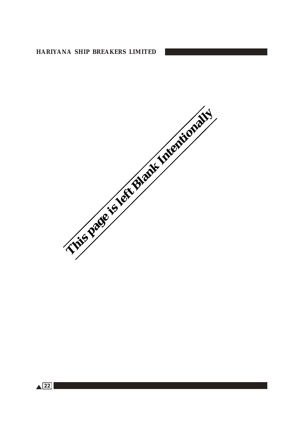

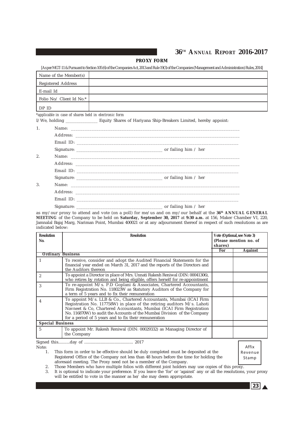#### **PROXY FORM**

[As per MGT-11 & Pursuant to Section 105 (6) of the Companies Act, 2013 and Rule 19(3) of the Companies (Management and Administration) Rules, 2014]

| Name of the Member(s)    |  |
|--------------------------|--|
| Registered Address       |  |
| E-mail Id                |  |
| Folio No/ Client Id No.* |  |
| l dp id                  |  |

*\*applicable in case of shares held in electronic form*

I/We, holding \_\_\_\_\_\_\_\_\_\_\_\_\_\_\_ Equity Shares of Hariyana Ship-Breakers Limited, hereby appoint:

| $\mathbf{1}$ . |  |
|----------------|--|
|                |  |
|                |  |
|                |  |
| 2.             |  |
|                |  |
|                |  |
|                |  |
| 3.             |  |
|                |  |
|                |  |
|                |  |

as my/our proxy to attend and vote (on a poll) for me/us and on my/our behalf at the **36th ANNUAL GENERAL MEETING** of the Company to be held on **Saturday, September 30, 2017** at **9:30 a.m.** at 156, Maker Chamber VI, 220, Jamnalal Bajaj Marg, Nariman Point, Mumbai 400021 or at any adjournment thereof in respect of such resolutions as are indicated below:

| <b>Resolution</b><br>No. | <b>Resolution</b>                                                                                                                                                                                                                                                                                                                                             | Vote (Optional, see Note 3)<br>(Please mention no. of<br>shares) |                |
|--------------------------|---------------------------------------------------------------------------------------------------------------------------------------------------------------------------------------------------------------------------------------------------------------------------------------------------------------------------------------------------------------|------------------------------------------------------------------|----------------|
| <b>Ordinary Business</b> |                                                                                                                                                                                                                                                                                                                                                               | For                                                              | <b>Against</b> |
|                          |                                                                                                                                                                                                                                                                                                                                                               |                                                                  |                |
|                          | To receive, consider and adopt the Audited Financial Statements for the<br>financial year ended on March 31, 2017 and the reports of the Directors and<br>the Auditors thereon                                                                                                                                                                                |                                                                  |                |
| $\overline{2}$           | To appoint a Director in place of Mrs. Unnati Rakesh Reniwal (DIN: 00041306),<br>who retires by rotation and being eligible, offers herself for re-appointment                                                                                                                                                                                                |                                                                  |                |
| 3                        | To re-appoint M/s. P.D Goplani & Associates, Chartered Accountants,<br>Firm Registration No. 118023W as Statutory Auditors of the Company for<br>a term of 5 years and to fix their remuneration                                                                                                                                                              |                                                                  |                |
| 4                        | To appoint M/s. LLB & Co., Chartered Accountants, Mumbai (ICAI Firm<br>Registration No. 117758W) in place of the retiring auditors $M/s$ . Lahoti<br>Navneet & Co, Chartered Accountants, Mumbai (ICAI Firm Registration<br>No. 116870W) to audit the Accounts of the Mumbai Division of the Company<br>for a period of 5 years and to fix their remuneration |                                                                  |                |
| <b>Special Business</b>  |                                                                                                                                                                                                                                                                                                                                                               |                                                                  |                |
| 5                        | To appoint Mr. Rakesh Reniwal (DIN: 00029332) as Managing Director of<br>the Company                                                                                                                                                                                                                                                                          |                                                                  |                |

Signed this..........day of .......................................... 2017 Note:

1. This form in order to be effective should be duly completed must be deposited at the Registered Office of the Company not less than 48 hours before the time for holding the aforesaid meeting. The Proxy need not be a member of the Company.

Affix Revenue Stamp

2. Those Members who have multiple folios with different joint holders may use copies of this proxy.<br>3. It is optional to indicate your preference. If you leave the 'for' or 'against' any or all the resolutions

It is optional to indicate your preference. If you leave the 'for' or 'against' any or all the resolutions, your proxy will be entitled to vote in the manner as he/ she may deem appropriate.

 $\overline{23}$   $\overline{4}$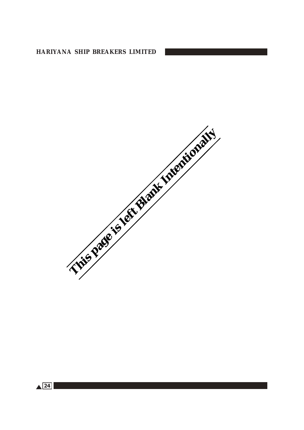

$$
\triangle \boxed{24}
$$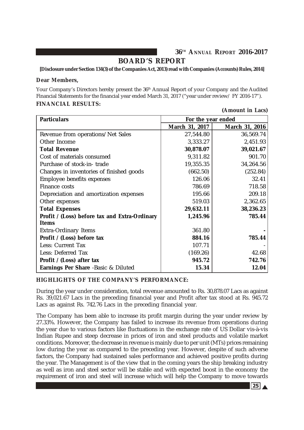**BOARD'S REPORT**

**[Disclosure under Section 134(3) of the Companies Act, 2013) read with Companies (Accounts) Rules, 2014]**

#### **Dear Members,**

Your Company's Directors hereby present the 36<sup>th</sup> Annual Report of your Company and the Audited Financial Statements for the financial year ended March 31, 2017 ("year under review/ FY 2016-17").

# **FINANCIAL RESULTS:**

**(Amount in Lacs)**

| <b>Particulars</b>                            | For the year ended |                |  |
|-----------------------------------------------|--------------------|----------------|--|
|                                               | March 31, 2017     | March 31, 2016 |  |
| Revenue from operations/Net Sales             | 27,544.80          | 36,569.74      |  |
| Other Income                                  | 3,333.27           | 2,451.93       |  |
| <b>Total Revenue</b>                          | 30,878.07          | 39,021.67      |  |
| Cost of materials consumed                    | 9,311.82           | 901.70         |  |
| Purchase of stock-in-trade                    | 19,355.35          | 34,264.56      |  |
| Changes in inventories of finished goods      | (662.50)           | (252.84)       |  |
| Employee benefits expenses                    | 126.06             | 32.41          |  |
| <b>Finance costs</b>                          | 786.69             | 718.58         |  |
| Depreciation and amortization expenses        | 195.66             | 209.18         |  |
| Other expenses                                | 519.03             | 2,362.65       |  |
| <b>Total Expenses</b>                         | 29,632.11          | 38,236.23      |  |
| Profit / (Loss) before tax and Extra-Ordinary | 1,245.96           | 785.44         |  |
| <b>Items</b>                                  |                    |                |  |
| <b>Extra-Ordinary Items</b>                   | 361.80             |                |  |
| Profit / (Loss) before tax                    | 884.16             | 785.44         |  |
| Less: Current Tax                             | 107.71             |                |  |
| Less: Deferred Tax                            | (169.26)           | 42.68          |  |
| Profit / (Loss) after tax                     | 945.72             | 742.76         |  |
| Earnings Per Share -Basic & Diluted           | 15.34              | 12.04          |  |

#### **HIGHLIGHTS OF THE COMPANY'S PERFORMANCE:**

During the year under consideration, total revenue amounted to Rs. 30,878.07 Lacs as against Rs. 39,021.67 Lacs in the preceding financial year and Profit after tax stood at Rs. 945.72 Lacs as against Rs. 742.76 Lacs in the preceding financial year.

The Company has been able to increase its profit margin during the year under review by 27.33%. However, the Company has failed to increase its revenue from operations during the year due to various factors like fluctuations in the exchange rate of US Dollar vis-à-vis Indian Rupee and steep decrease in prices of iron and steel products and volatile market conditions. Moreover, the decrease in revenue is mainly due to per unit (MTs) prices remaining low during the year as compared to the preceding year. However, despite of such adverse factors, the Company had sustained sales performance and achieved positive profits during the year. The Management is of the view that in the coming years the ship breaking industry as well as iron and steel sector will be stable and with expected boost in the economy the requirement of iron and steel will increase which will help the Company to move towards

 $|25|$   $\triangle$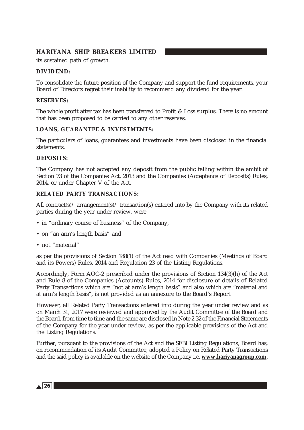its sustained path of growth.

#### **DIVIDEND:**

To consolidate the future position of the Company and support the fund requirements, your Board of Directors regret their inability to recommend any dividend for the year.

#### **RESERVES:**

The whole profit after tax has been transferred to Profit & Loss surplus. There is no amount that has been proposed to be carried to any other reserves.

#### **LOANS, GUARANTEE & INVESTMENTS:**

The particulars of loans, guarantees and investments have been disclosed in the financial statements.

#### **DEPOSITS:**

The Company has not accepted any deposit from the public falling within the ambit of Section 73 of the Companies Act, 2013 and the Companies (Acceptance of Deposits) Rules, 2014, or under Chapter V of the Act.

#### **RELATED PARTY TRANSACTIONS:**

All contract(s)/ arrangement(s)/ transaction(s) entered into by the Company with its related parties during the year under review, were

- in "ordinary course of business" of the Company,
- on "an arm's length basis" and
- not "material"

as per the provisions of Section 188(1) of the Act read with Companies (Meetings of Board and its Powers) Rules, 2014 and Regulation 23 of the Listing Regulations.

Accordingly, Form AOC-2 prescribed under the provisions of Section 134(3)(h) of the Act and Rule 8 of the Companies (Accounts) Rules, 2014 for disclosure of details of Related Party Transactions which are "not at arm's length basis" and also which are "material and at arm's length basis", is not provided as an annexure to the Board's Report.

However, all Related Party Transactions entered into during the year under review and as on March 31, 2017 were reviewed and approved by the Audit Committee of the Board and the Board, from time to time and the same are disclosed in Note 2.32 of the Financial Statements of the Company for the year under review, as per the applicable provisions of the Act and the Listing Regulations.

Further, pursuant to the provisions of the Act and the SEBI Listing Regulations, Board has, on recommendation of its Audit Committee, adopted a Policy on Related Party Transactions and the said policy is available on the website of the Company i.e. **www.hariyanagroup.com.**

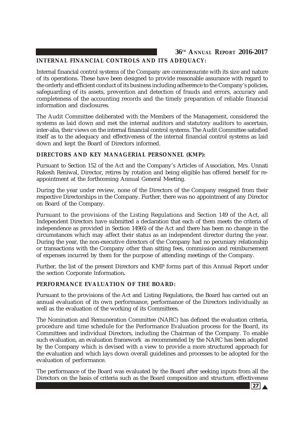## **INTERNAL FINANCIAL CONTROLS AND ITS ADEQUACY:**

Internal financial control systems of the Company are commensurate with its size and nature of its operations. These have been designed to provide reasonable assurance with regard to the orderly and efficient conduct of its business including adherence to the Company's policies, safeguarding of its assets, prevention and detection of frauds and errors, accuracy and completeness of the accounting records and the timely preparation of reliable financial information and disclosures.

The Audit Committee deliberated with the Members of the Management, considered the systems as laid down and met the internal auditors and statutory auditors to ascertain, inter-alia, their views on the internal financial control systems. The Audit Committee satisfied itself as to the adequacy and effectiveness of the internal financial control systems as laid down and kept the Board of Directors informed.

#### **DIRECTORS AND KEY MANAGERIAL PERSONNEL (KMP):**

Pursuant to Section 152 of the Act and the Company's Articles of Association, Mrs. Unnati Rakesh Reniwal, Director, retires by rotation and being eligible has offered herself for reappointment at the forthcoming Annual General Meeting.

During the year under review, none of the Directors of the Company resigned from their respective Directorships in the Company. Further, there was no appointment of any Director on Board of the Company.

Pursuant to the provisions of the Listing Regulations and Section 149 of the Act, all Independent Directors have submitted a declaration that each of them meets the criteria of independence as provided in Section 149(6) of the Act and there has been no change in the circumstances which may affect their status as an independent director during the year. During the year, the non-executive directors of the Company had no pecuniary relationship or transactions with the Company other than sitting fees, commission and reimbursement of expenses incurred by them for the purpose of attending meetings of the Company.

Further, the list of the present Directors and KMP forms part of this Annual Report under the section Corporate Information**.**

# **PERFORMANCE EVALUATION OF THE BOARD:**

Pursuant to the provisions of the Act and Listing Regulations, the Board has carried out an annual evaluation of its own performance, performance of the Directors individually as well as the evaluation of the working of its Committees.

The Nomination and Remuneration Committee (NARC) has defined the evaluation criteria, procedure and time schedule for the Performance Evaluation process for the Board, its Committees and individual Directors, including the Chairman of the Company. To enable such evaluation, an evaluation framework as recommended by the NARC has been adopted by the Company which is devised with a view to provide a more structured approach for the evaluation and which lays down overall guidelines and processes to be adopted for the evaluation of performance.

The performance of the Board was evaluated by the Board after seeking inputs from all the Directors on the basis of criteria such as the Board composition and structure, effectiveness

 $\overline{27}$   $\overline{4}$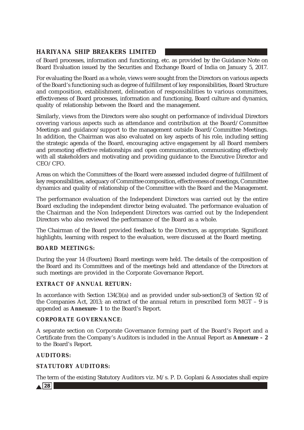of Board processes, information and functioning, etc. as provided by the Guidance Note on Board Evaluation issued by the Securities and Exchange Board of India on January 5, 2017.

For evaluating the Board as a whole, views were sought from the Directors on various aspects of the Board's functioning such as degree of fulfillment of key responsibilities, Board Structure and composition, establishment, delineation of responsibilities to various committees, effectiveness of Board processes, information and functioning, Board culture and dynamics, quality of relationship between the Board and the management.

Similarly, views from the Directors were also sought on performance of individual Directors covering various aspects such as attendance and contribution at the Board/Committee Meetings and guidance/support to the management outside Board/Committee Meetings. In addition, the Chairman was also evaluated on key aspects of his role, including setting the strategic agenda of the Board, encouraging active engagement by all Board members and promoting effective relationships and open communication, communicating effectively with all stakeholders and motivating and providing guidance to the Executive Director and CEO/CFO.

Areas on which the Committees of the Board were assessed included degree of fulfillment of key responsibilities, adequacy of Committee composition, effectiveness of meetings, Committee dynamics and quality of relationship of the Committee with the Board and the Management.

The performance evaluation of the Independent Directors was carried out by the entire Board excluding the independent director being evaluated. The performance evaluation of the Chairman and the Non Independent Directors was carried out by the Independent Directors who also reviewed the performance of the Board as a whole.

The Chairman of the Board provided feedback to the Directors, as appropriate. Significant highlights, learning with respect to the evaluation, were discussed at the Board meeting.

#### **BOARD MEETINGS:**

During the year 14 (Fourteen) Board meetings were held. The details of the composition of the Board and its Committees and of the meetings held and attendance of the Directors at such meetings are provided in the Corporate Governance Report.

#### **EXTRACT OF ANNUAL RETURN:**

In accordance with Section 134(3)(a) and as provided under sub-section(3) of Section 92 of the Companies Act, 2013; an extract of the annual return in prescribed form MGT – 9 is appended as **Annexure- 1** to the Board's Report.

#### **CORPORATE GOVERNANCE:**

A separate section on Corporate Governance forming part of the Board's Report and a Certificate from the Company's Auditors is included in the Annual Report as **Annexure – 2** to the Board's Report.

#### **AUDITORS:**

# **STATUTORY AUDITORS:**

The term of the existing Statutory Auditors viz. M/s. P. D. Goplani & Associates shall expire

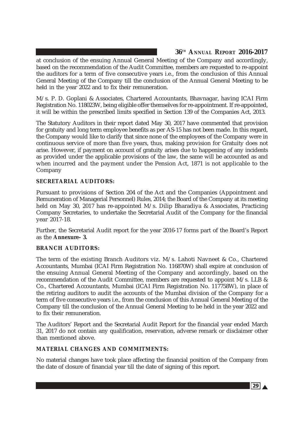at conclusion of the ensuing Annual General Meeting of the Company and accordingly, based on the recommendation of the Audit Committee, members are requested to re-appoint the auditors for a term of five consecutive years i.e., from the conclusion of this Annual General Meeting of the Company till the conclusion of the Annual General Meeting to be held in the year 2022 and to fix their remuneration.

M/s. P. D. Goplani & Associates, Chartered Accountants, Bhavnagar, having ICAI Firm Registration No. 118023W, being eligible offer themselves for re-appointment. If re-appointed, it will be within the prescribed limits specified in Section 139 of the Companies Act, 2013.

The Statutory Auditors in their report dated May 30, 2017 have commented that provision for gratuity and long term employee benefits as per AS-15 has not been made. In this regard, the Company would like to clarify that since none of the employees of the Company were in continuous service of more than five years, thus, making provision for Gratuity does not arise. However, if payment on account of gratuity arises due to happening of any incidents as provided under the applicable provisions of the law, the same will be accounted as and when incurred and the payment under the Pension Act, 1871 is not applicable to the Company

#### **SECRETARIAL AUDITORS:**

Pursuant to provisions of Section 204 of the Act and the Companies (Appointment and Remuneration of Managerial Personnel) Rules, 2014; the Board of the Company at its meeting held on May 30, 2017 has re-appointed M/s. Dilip Bharadiya & Associates, Practicing Company Secretaries, to undertake the Secretarial Audit of the Company for the financial year 2017-18.

Further, the Secretarial Audit report for the year 2016-17 forms part of the Board's Report as the **Annexure- 3.**

#### **BRANCH AUDITORS:**

The term of the existing Branch Auditors viz. M/s. Lahoti Navneet & Co., Chartered Accountants, Mumbai (ICAI Firm Registration No. 116870W) shall expire at conclusion of the ensuing Annual General Meeting of the Company and accordingly, based on the recommendation of the Audit Committee, members are requested to appoint M/s. LLB & Co., Chartered Accountants, Mumbai (ICAI Firm Registration No. 117758W), in place of the retiring auditors to audit the accounts of the Mumbai division of the Company for a term of five consecutive years i.e., from the conclusion of this Annual General Meeting of the Company till the conclusion of the Annual General Meeting to be held in the year 2022 and to fix their remuneration.

The Auditors' Report and the Secretarial Audit Report for the financial year ended March 31, 2017 do not contain any qualification, reservation, adverse remark or disclaimer other than mentioned above.

# **MATERIAL CHANGES AND COMMITMENTS:**

No material changes have took place affecting the financial position of the Company from the date of closure of financial year till the date of signing of this report.

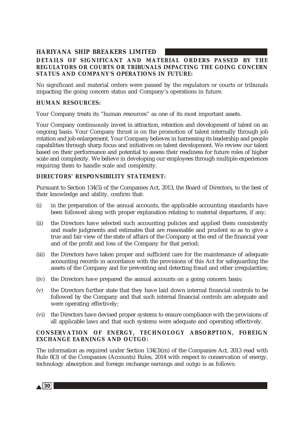# **DETAILS OF SIGNIFICANT AND MATERIAL ORDERS PASSED BY THE REGULATORS OR COURTS OR TRIBUNALS IMPACTING THE GOING CONCERN STATUS AND COMPANY'S OPERATIONS IN FUTURE:**

No significant and material orders were passed by the regulators or courts or tribunals impacting the going concern status and Company's operations in future.

#### **HUMAN RESOURCES:**

Your Company treats its "human resources" as one of its most important assets.

Your Company continuously invest in attraction, retention and development of talent on an ongoing basis. Your Company thrust is on the promotion of talent internally through job rotation and job enlargement. Your Company believes in harnessing its leadership and people capabilities through sharp focus and initiatives on talent development. We review our talent based on their performance and potential to assess their readiness for future roles of higher scale and complexity. We believe in developing our employees through multiple experiences requiring them to handle scale and complexity.

#### **DIRECTORS' RESPONSIBILITY STATEMENT:**

Pursuant to Section 134(5) of the Companies Act, 2013, the Board of Directors, to the best of their knowledge and ability, confirm that:

- (i) in the preparation of the annual accounts, the applicable accounting standards have been followed along with proper explanation relating to material departures, if any;
- (ii) the Directors have selected such accounting policies and applied them consistently and made judgments and estimates that are reasonable and prudent so as to give a true and fair view of the state of affairs of the Company at the end of the financial year and of the profit and loss of the Company for that period;
- (iii) the Directors have taken proper and sufficient care for the maintenance of adequate accounting records in accordance with the provisions of this Act for safeguarding the assets of the Company and for preventing and detecting fraud and other irregularities;
- (iv) the Directors have prepared the annual accounts on a going concern basis;
- (v) the Directors further state that they have laid down internal financial controls to be followed by the Company and that such internal financial controls are adequate and were operating effectively;
- (vi) the Directors have devised proper systems to ensure compliance with the provisions of all applicable laws and that such systems were adequate and operating effectively.

#### **CONSERVATION OF ENERGY, TECHNOLOGY ABSORPTION, FOREIGN EXCHANGE EARNINGS AND OUTGO:**

The information as required under Section 134(3)(m) of the Companies Act, 2013 read with Rule 8(3) of the Companies (Accounts) Rules, 2014 with respect to conservation of energy, technology absorption and foreign exchange earnings and outgo is as follows:

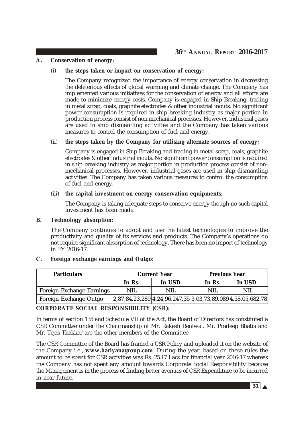#### **A. Conservation of energy:**

#### (i) **the steps taken or impact on conservation of energy;**

The Company recognized the importance of energy conservation in decreasing the deleterious effects of global warming and climate change. The Company has implemented various initiatives for the conservation of energy and all efforts are made to minimize energy costs. Company is engaged in Ship Breaking, trading in metal scrap, coals, graphite electrodes & other industrial inouts. No significant power consumption is required in ship breaking industry as major portion in production process consist of non mechanical processes. However, industrial gases are used in ship dismantling activities and the Company has taken various measures to control the consumption of fuel and energy.

#### (ii) **the steps taken by the Company for utilising alternate sources of energy;**

Company is engaged in Ship Breaking and trading in metal scrap, coals, graphite electrodes & other industrial inouts. No significant power consumption is required in ship breaking industry as major portion in production process consist of nonmechanical processes. However, industrial gases are used in ship dismantling activities. The Company has taken various measures to control the consumption of fuel and energy.

#### (iii) **the capital investment on energy conservation equipments;**

The Company is taking adequate steps to conserve energy though no such capital investment has been made.

#### **B. Technology absorption:**

The Company continues to adopt and use the latest technologies to improve the productivity and quality of its services and products. The Company's operations do not require significant absorption of technology. There has been no import of technology in FY 2016-17.

| <b>Particulars</b>        | <b>Current Year</b>                                                                                |        | <b>Previous Year</b> |        |
|---------------------------|----------------------------------------------------------------------------------------------------|--------|----------------------|--------|
|                           | In Rs.                                                                                             | In USD | In Rs.               | In USD |
| Foreign Exchange Earnings | NIL                                                                                                | NIL    | NII.                 | NIL    |
| Foreign Exchange Outgo    | $\left[2,87,84,23,289\right]$ 4,24,96,247.35 $\left[3,03,73,89,089\right]$ 4,58,05,682.78 $\left[$ |        |                      |        |

#### **C. Foreign exchange earnings and Outgo:**

#### **CORPORATE SOCIAL RESPONSIBILITY (CSR):**

In terms of section 135 and Schedule VII of the Act, the Board of Directors has constituted a CSR Committee under the Chairmanship of Mr. Rakesh Reniwal. Mr. Pradeep Bhatia and Mr. Tejas Thakkar are the other members of the Committee.

The CSR Committee of the Board has framed a CSR Policy and uploaded it on the website of the Company i.e., **www.hariyanagroup.com**. During the year, based on these rules the amount to be spent for CSR activities was Rs. 25.17 Lacs for financial year 2016-17 whereas the Company has not spent any amount towards Corporate Social Responsibility because the Management is in the process of finding better avenues of CSR Expenditure to be incurred in near future.

 $31 \triangle$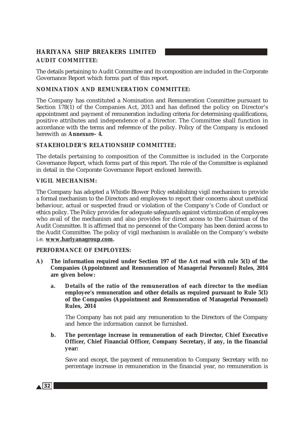# **HARIYANA SHIP BREAKERS LIMITED AUDIT COMMITTEE:**

The details pertaining to Audit Committee and its composition are included in the Corporate Governance Report which forms part of this report.

# **NOMINATION AND REMUNERATION COMMITTEE:**

The Company has constituted a Nomination and Remuneration Committee pursuant to Section 178(1) of the Companies Act, 2013 and has defined the policy on Director's appointment and payment of remuneration including criteria for determining qualifications, positive attributes and independence of a Director. The Committee shall function in accordance with the terms and reference of the policy. Policy of the Company is enclosed herewith as **Annexure- 4.**

# **STAKEHOLDER'S RELATIONSHIP COMMITTEE:**

The details pertaining to composition of the Committee is included in the Corporate Governance Report, which forms part of this report. The role of the Committee is explained in detail in the Corporate Governance Report enclosed herewith.

# **VIGIL MECHANISM:**

The Company has adopted a Whistle Blower Policy establishing vigil mechanism to provide a formal mechanism to the Directors and employees to report their concerns about unethical behaviour, actual or suspected fraud or violation of the Company's Code of Conduct or ethics policy. The Policy provides for adequate safeguards against victimization of employees who avail of the mechanism and also provides for direct access to the Chairman of the Audit Committee. It is affirmed that no personnel of the Company has been denied access to the Audit Committee. The policy of vigil mechanism is available on the Company's website i.e. **www.hariyanagroup.com.**

# **PERFORMANCE OF EMPLOYEES:**

- **A) The information required under Section 197 of the Act read with rule 5(1) of the Companies (Appointment and Remuneration of Managerial Personnel) Rules, 2014 are given below:**
	- **a. Details of the ratio of the remuneration of each director to the median employee's remuneration and other details as required pursuant to Rule 5(1) of the Companies (Appointment and Remuneration of Managerial Personnel) Rules, 2014**

The Company has not paid any remuneration to the Directors of the Company and hence the information cannot be furnished.

**b. The percentage increase in remuneration of each Director, Chief Executive Officer, Chief Financial Officer, Company Secretary, if any, in the financial year:**

Save and except, the payment of remuneration to Company Secretary with no percentage increase in remuneration in the financial year, no remuneration is

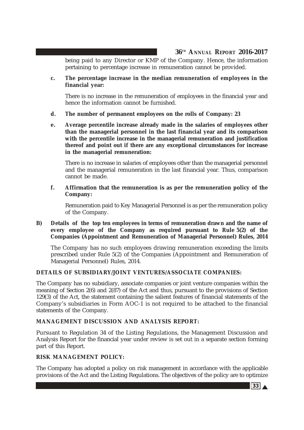being paid to any Director or KMP of the Company. Hence, the information pertaining to percentage increase in remuneration cannot be provided.

**c. The percentage increase in the median remuneration of employees in the financial year:**

There is no increase in the remuneration of employees in the financial year and hence the information cannot be furnished.

- **d. The number of permanent employees on the rolls of Company: 23**
- **e. Average percentile increase already made in the salaries of employees other than the managerial personnel in the last financial year and its comparison with the percentile increase in the managerial remuneration and justification thereof and point out if there are any exceptional circumstances for increase in the managerial remuneration:**

There is no increase in salaries of employees other than the managerial personnel and the managerial remuneration in the last financial year. Thus, comparison cannot be made.

**f. Affirmation that the remuneration is as per the remuneration policy of the Company:**

Remuneration paid to Key Managerial Personnel is as per the remuneration policy of the Company.

#### **B) Details of the top ten employees in terms of remuneration drawn and the name of every employee of the Company as required pursuant to Rule 5(2) of the Companies (Appointment and Remuneration of Managerial Personnel) Rules, 2014**

The Company has no such employees drawing remuneration exceeding the limits prescribed under Rule 5(2) of the Companies (Appointment and Remuneration of Managerial Personnel) Rules, 2014.

#### **DETAILS OF SUBSIDIARY/JOINT VENTURES/ASSOCIATE COMPANIES:**

The Company has no subsidiary, associate companies or joint venture companies within the meaning of Section 2(6) and 2(87) of the Act and thus, pursuant to the provisions of Section 129(3) of the Act, the statement containing the salient features of financial statements of the Company's subsidiaries in Form AOC-1 is not required to be attached to the financial statements of the Company.

# **MANAGEMENT DISCUSSION AND ANALYSIS REPORT:**

Pursuant to Regulation 34 of the Listing Regulations, the Management Discussion and Analysis Report for the financial year under review is set out in a separate section forming part of this Report.

#### **RISK MANAGEMENT POLICY:**

The Company has adopted a policy on risk management in accordance with the applicable provisions of the Act and the Listing Regulations. The objectives of the policy are to optimize

33 A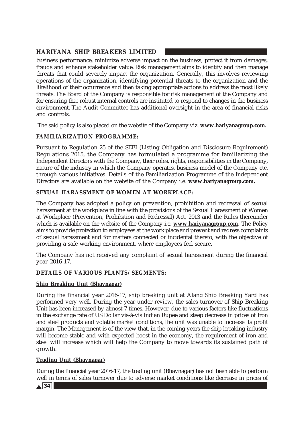business performance, minimize adverse impact on the business, protect it from damages, frauds and enhance stakeholder value. Risk management aims to identify and then manage threats that could severely impact the organization. Generally, this involves reviewing operations of the organization, identifying potential threats to the organization and the likelihood of their occurrence and then taking appropriate actions to address the most likely threats. The Board of the Company is responsible for risk management of the Company and for ensuring that robust internal controls are instituted to respond to changes in the business environment. The Audit Committee has additional oversight in the area of financial risks and controls.

The said policy is also placed on the website of the Company viz. **www.hariyanagroup.com.** 

# **FAMILIARIZATION PROGRAMME:**

Pursuant to Regulation 25 of the SEBI (Listing Obligation and Disclosure Requirement) Regulations 2015, the Company has formulated a programme for familiarizing the Independent Directors with the Company, their roles, rights, responsibilities in the Company, nature of the industry in which the Company operates, business model of the Company etc. through various initiatives. Details of the Familiarization Programme of the Independent Directors are available on the website of the Company i.e. **www.hariyanagroup.com.**

# **SEXUAL HARASSMENT OF WOMEN AT WORKPLACE:**

The Company has adopted a policy on prevention, prohibition and redressal of sexual harassment at the workplace in line with the provisions of the Sexual Harassment of Women at Workplace (Prevention, Prohibition and Redressal) Act, 2013 and the Rules thereunder which is available on the website of the Company i.e. **www.hariyanagroup.com.** The Policy aims to provide protection to employees at the work place and prevent and redress complaints of sexual harassment and for matters connected or incidental thereto, with the objective of providing a safe working environment, where employees feel secure.

The Company has not received any complaint of sexual harassment during the financial year 2016-17.

# **DETAILS OF VARIOUS PLANTS/ SEGMENTS:**

# **Ship Breaking Unit (Bhavnagar)**

During the financial year 2016-17, ship breaking unit at Alang Ship Breaking Yard has performed very well. During the year under review, the sales turnover of Ship Breaking Unit has been increased by almost 7 times. However, due to various factors like fluctuations in the exchange rate of US Dollar vis-à-vis Indian Rupee and steep decrease in prices of Iron and steel products and volatile market conditions, the unit was unable to increase its profit margin. The Management is of the view that, in the coming years the ship breaking industry will become stable and with expected boost in the economy, the requirement of iron and steel will increase which will help the Company to move towards its sustained path of growth.

# **Trading Unit (Bhavnagar)**

During the financial year 2016-17, the trading unit (Bhavnagar) has not been able to perform well in terms of sales turnover due to adverse market conditions like decrease in prices of

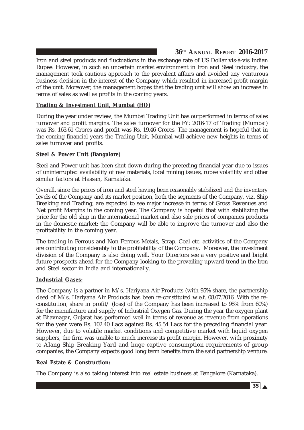

Iron and steel products and fluctuations in the exchange rate of US Dollar vis-à-vis Indian Rupee. However, in such an uncertain market environment in Iron and Steel industry, the management took cautious approach to the prevalent affairs and avoided any venturous business decision in the interest of the Company which resulted in increased profit margin of the unit. Moreover, the management hopes that the trading unit will show an increase in terms of sales as well as profits in the coming years.

# **Trading & Investment Unit, Mumbai (HO)**

During the year under review, the Mumbai Trading Unit has outperformed in terms of sales turnover and profit margins. The sales turnover for the FY: 2016-17 of Trading (Mumbai) was Rs. 163.61 Crores and profit was Rs. 19.46 Crores. The management is hopeful that in the coming financial years the Trading Unit, Mumbai will achieve new heights in terms of sales turnover and profits.

# **Steel & Power Unit (Bangalore)**

Steel and Power unit has been shut down during the preceding financial year due to issues of uninterrupted availability of raw materials, local mining issues, rupee volatility and other similar factors at Hassan, Karnataka.

Overall, since the prices of iron and steel having been reasonably stabilized and the inventory levels of the Company and its market position, both the segments of the Company, viz. Ship Breaking and Trading, are expected to see major increase in terms of Gross Revenues and Net profit Margins in the coming year. The Company is hopeful that with stabilizing the price for the old ship in the international market and also sale prices of companies products in the domestic market; the Company will be able to improve the turnover and also the profitability in the coming year.

The trading in Ferrous and Non Ferrous Metals, Scrap, Coal etc. activities of the Company are contributing considerably to the profitability of the Company. Moreover, the investment division of the Company is also doing well. Your Directors see a very positive and bright future prospects ahead for the Company looking to the prevailing upward trend in the Iron and Steel sector in India and internationally.

#### **Industrial Gases:**

The Company is a partner in  $M/s$ . Hariyana Air Products (with 95% share, the partnership deed of M/s. Hariyana Air Products has been re-constituted w.e.f. 08.07.2016. With the reconstitution, share in profit/ (loss) of the Company has been increased to 95% from 60%) for the manufacture and supply of Industrial Oxygen Gas. During the year the oxygen plant at Bhavnagar, Gujarat has performed well in terms of revenue as revenue from operations for the year were Rs. 102.40 Lacs against Rs. 45.54 Lacs for the preceding financial year. However, due to volatile market conditions and competitive market with liquid oxygen suppliers, the firm was unable to much increase its profit margin. However, with proximity to Alang Ship Breaking Yard and huge captive consumption requirements of group companies, the Company expects good long term benefits from the said partnership venture.

#### **Real Estate & Construction:**

The Company is also taking interest into real estate business at Bangalore (Karnataka).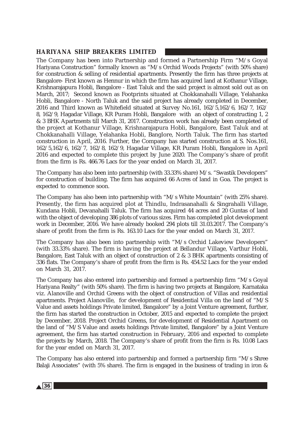The Company has been into Partnership and formed a Partnership Firm "M/s Goyal Hariyana Construction" formally known as "M/s Orchid Woods Projects" (with 50% share) for construction & selling of residential apartments. Presently the firm has three projects at Bangalore- First known as Hennur in which the firm has acquired land at Kothanur Village, Krishnarajapura Hobli, Bangalore - East Taluk and the said project is almost sold out as on March, 2017; Second known as Footprints situated at Chokkanahalli Village, Yelahanka Hobli, Bangalore - North Taluk and the said project has already completed in December, 2016 and Third known as Whitefield situated at Survey No.161, 162/5,162/6, 162/7, 162/ 8, 162/9, Hagadar Village, KR Puram Hobli, Bangalore with an object of constructing 1, 2 & 3 BHK Apartments till March 31, 2017. Construction work has already been completed of the project at Kothanur Village, Krishnarajapura Hobli, Bangalore, East Taluk and at Chokkanahalli Village, Yelahanka Hobli, Banglore, North Taluk. The firm has started construction in April, 2016. Further, the Company has started construction at S. Nos.161, 162/5,162/6, 162/7, 162/8, 162/9, Hagadar Village, KR Puram Hobli, Bangalore in April 2016 and expected to complete this project by June 2020. The Company's share of profit from the firm is Rs. 466.76 Lacs for the year ended on March 31, 2017.

The Company has also been into partnership (with 33.33% share) M/s. "Swastik Developers" for construction of building. The firm has acquired 66 Acres of land in Goa. The project is expected to commence soon.

The Company has also been into partnership with "M/s White Mountain" (with 25% share). Presently, the firm has acquired plot at Thindlu, Indrasanahalli & Singrahalli Village, Kundana Hobli, Devanahalli Taluk. The firm has acquired 44 acres and 20 Guntas of land with the object of developing 386 plots of various sizes. Firm has completed plot development work in December, 2016. We have already booked 294 plots till 31.03.2017. The Company's share of profit from the firm is Rs. 163.10 Lacs for the year ended on March 31, 2017.

The Company has also been into partnership with "M/s Orchid Lakeview Developers" (with 33.33% share). The firm is having the project at Bellandur Village, Varthur Hobli, Bangalore, East Taluk with an object of construction of 2 & 3 BHK apartments consisting of 336 flats. The Company's share of profit from the firm is Rs. 454.52 Lacs for the year ended on March 31, 2017.

The Company has also entered into partnership and formed a partnership firm "M/s Goyal Hariyana Realty" (with 50% share). The firm is having two projects at Bangalore, Karnataka viz. Alanoville and Orchid Greens with the object of construction of Villas and residential apartments. Project Alanoville, for development of Residential Villa on the land of "M/S Value and assets holdings Private limited, Bangalore" by a Joint Venture agreement, further, the firm has started the construction in October, 2015 and expected to complete the project by December, 2018. Project Orchid Greens, for development of Residential Apartment on the land of "M/S Value and assets holdings Private limited, Bangalore" by a Joint Venture agreement, the firm has started construction in February, 2016 and expected to complete the projects by March, 2018. The Company's share of profit from the firm is Rs. 10.08 Lacs for the year ended on March 31, 2017.

The Company has also entered into partnership and formed a partnership firm "M/s Shree Balaji Associates" (with 5% share). The firm is engaged in the business of trading in iron &

 $\triangle$  36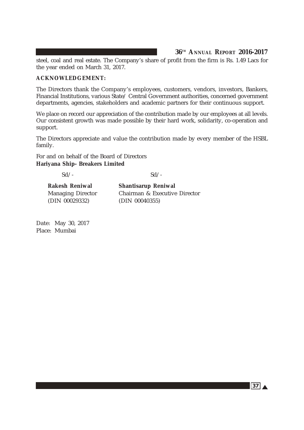steel, coal and real estate. The Company's share of profit from the firm is Rs. 1.49 Lacs for the year ended on March 31, 2017.

#### **ACKNOWLEDGEMENT:**

The Directors thank the Company's employees, customers, vendors, investors, Bankers, Financial Institutions, various State/ Central Government authorities, concerned government departments, agencies, stakeholders and academic partners for their continuous support.

We place on record our appreciation of the contribution made by our employees at all levels. Our consistent growth was made possible by their hard work, solidarity, co-operation and support.

The Directors appreciate and value the contribution made by every member of the HSBL family.

For and on behalf of the Board of Directors **Hariyana Ship- Breakers Limited**

 $Sd/-$ 

**Rakesh Reniwal Shantisarup Reniwal** Managing Director Chairman & Executive Director (DIN 00029332) (DIN 00040355)

Date: May 30, 2017 Place: Mumbai

 $37<sub>A</sub>$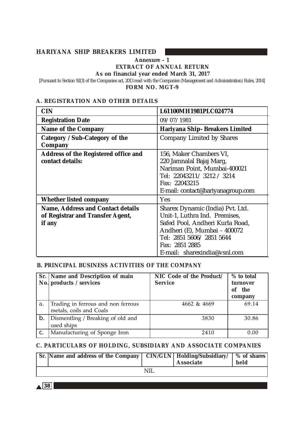**Annexure - 1**

#### **EXTRACT OF ANNUAL RETURN**

**As on financial year ended March 31, 2017**

[Pursuant to Section 92(3) of the Companies act, 2013 read with the Companies (Management and Administration) Rules, 2014] **FORM NO. MGT-9**

#### **A. REGISTRATION AND OTHER DETAILS**

| <b>CIN</b>                                  | L61100MH1981PLC024774             |  |  |  |
|---------------------------------------------|-----------------------------------|--|--|--|
| <b>Registration Date</b>                    | 09/07/1981                        |  |  |  |
| <b>Name of the Company</b>                  | Hariyana Ship-Breakers Limited    |  |  |  |
| Category / Sub-Category of the              | <b>Company Limited by Shares</b>  |  |  |  |
| Company                                     |                                   |  |  |  |
| <b>Address of the Registered office and</b> | 156, Maker Chambers VI,           |  |  |  |
| contact details:                            | 220 Jamnalal Bajaj Marg,          |  |  |  |
|                                             | Nariman Point, Mumbai-400021      |  |  |  |
|                                             | Tel: 22043211/3212/3214           |  |  |  |
|                                             | Fax: 22043215                     |  |  |  |
|                                             | E-mail: contact@hariyanagroup.com |  |  |  |
| Whether listed company                      | Yes                               |  |  |  |
| <b>Name, Address and Contact details</b>    | Sharex Dynamic (India) Pvt. Ltd.  |  |  |  |
| of Registrar and Transfer Agent,            | Unit-1, Luthra Ind. Premises,     |  |  |  |
| if any                                      | Safed Pool, Andheri Kurla Road,   |  |  |  |
|                                             | Andheri (E), Mumbai - 400072      |  |  |  |
|                                             | Tel: 2851 5606/2851 5644          |  |  |  |
|                                             | Fax: 2851 2885                    |  |  |  |
|                                             | E-mail: sharexindia@vsnl.com      |  |  |  |

#### **B. PRINCIPAL BUSINESS ACTIVITIES OF THE COMPANY**

|               | Sr. Name and Description of main<br>No. products / services   | NIC Code of the Product/<br><b>Service</b> | % to total<br>turnover<br>of the<br>company |
|---------------|---------------------------------------------------------------|--------------------------------------------|---------------------------------------------|
| a.            | Trading in ferrous and non ferrous<br>metals, coils and Coals | 4662 & 4669                                | 69.14                                       |
| $\mathbf b$ . | Dismentling / Breaking of old and<br>used ships               | 3830                                       | 30.86                                       |
| c.            | Manufacturing of Sponge Iron                                  | 2410                                       | 0.00                                        |

#### **C. PARTICULARS OF HOLDING, SUBSIDIARY AND ASSOCIATE COMPANIES**

| <b>Sr.</b> Name and address of the Company <b>CIN/GLN</b> Holding/Subsidiary \  % of shares |     | <b>Associate</b> | held |
|---------------------------------------------------------------------------------------------|-----|------------------|------|
|                                                                                             | NIL |                  |      |

 $\triangle$  38  $\parallel$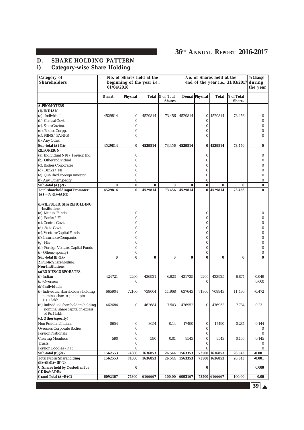# **D.** SHARE HOLDING PATTERN<br>i) Category-wise Share Holding

# **i) Category-wise Share Holding**

| Category of<br><b>Shareholders</b>                                                      | 01/04/2016         | No. of Shares held at the<br>beginning of the year i.e., |                    |                             |                    |                      | No. of Shares held at the | end of the year i.e., 31/03/2017 | % Change<br>during<br>the year |
|-----------------------------------------------------------------------------------------|--------------------|----------------------------------------------------------|--------------------|-----------------------------|--------------------|----------------------|---------------------------|----------------------------------|--------------------------------|
|                                                                                         | <b>Demat</b>       | <b>Physical</b>                                          | Total              | % of Total<br><b>Shares</b> |                    | Demat Physical       | <b>Total</b>              | % of Total<br><b>Shares</b>      |                                |
| <b>A. PROMOTERS</b>                                                                     |                    |                                                          |                    |                             |                    |                      |                           |                                  |                                |
| $(1)$ . INDIAN                                                                          |                    |                                                          |                    |                             |                    |                      |                           |                                  |                                |
| (a). Individual                                                                         | 4529814            | $\bf{0}$                                                 | 4529814            | 73.456                      | 4529814            | $\bf{0}$             | 4529814                   | 73.456                           | $\bf{0}$                       |
| (b). Central Govt.                                                                      |                    | $\bf{0}$                                                 |                    |                             |                    | $\bf{0}$             |                           |                                  | $\mathbf{0}$                   |
| (c). State Govt(s).                                                                     |                    | $\bf{0}$                                                 |                    |                             |                    | $\bf{0}$             |                           |                                  | $\bf{0}$                       |
| (d). Bodies Corpp.                                                                      |                    | $\bf{0}$                                                 |                    |                             |                    | $\bf{0}$             |                           |                                  | $\bf{0}$                       |
| (e). FIINS / BANKS.                                                                     |                    | $\bf{0}$                                                 |                    |                             |                    | $\bf{0}$             |                           |                                  | $\bf{0}$                       |
| (f). Any Other                                                                          |                    |                                                          |                    |                             |                    |                      |                           |                                  |                                |
| Sub-total $(A)$ $(1)$ :-<br>$(2)$ . FOREIGN                                             | 4529814            | $\bf{0}$                                                 | 4529814            | 73.456                      | 4529814            |                      | 0 4529814                 | 73.456                           | $\bf{0}$                       |
| (a). Individual NRI / Foreign Ind                                                       |                    | $\bf{0}$                                                 |                    |                             |                    | $\bf{0}$             |                           |                                  | $\bf{0}$                       |
| (b). Other Individual                                                                   |                    | $\bf{0}$                                                 |                    |                             |                    | $\bf{0}$             |                           |                                  | $\bf{0}$                       |
| (c). Bodies Corporates                                                                  |                    | $\bf{0}$                                                 |                    |                             |                    | $\bf{0}$             |                           |                                  | 0                              |
| (d). Banks $/$ FII                                                                      |                    | $\bf{0}$                                                 |                    |                             |                    | $\bf{0}$             |                           |                                  | 0                              |
| (e). Qualified Foreign Investor                                                         |                    | $\bf{0}$                                                 |                    |                             |                    | $\bf{0}$             |                           |                                  | $\bf{0}$                       |
| (f). Any Other Specify                                                                  |                    | $\bf{0}$                                                 |                    |                             |                    | $\bf{0}$             |                           |                                  | $\bf{0}$                       |
| Sub-total (A) (2):-                                                                     | $\bf{0}$           | $\bf{0}$                                                 | $\bf{0}$           | $\bf{0}$                    | $\bf{0}$           | $\bf{0}$             | $\bf{0}$                  | $\bf{0}$                         | $\bf{0}$                       |
| <b>Total shareholdingof Promoter</b>                                                    | 4529814            | $\bf{0}$                                                 | 4529814            | 73.456                      | 4529814            | $\bf{0}$             | 4529814                   | 73.456                           | 0                              |
| $(A) = (A)(1)+(A)(2)$                                                                   |                    |                                                          |                    |                             |                    |                      |                           |                                  |                                |
| (B) (1). PUBLIC SHAREHOLDING<br>-Institutions                                           |                    |                                                          |                    |                             |                    |                      |                           |                                  |                                |
| (a). Mutual Funds                                                                       |                    | $\bf{0}$                                                 |                    |                             |                    | $\bf{0}$             |                           |                                  | $\bf{0}$                       |
| (b). Banks $/$ FI                                                                       |                    | $\bf{0}$                                                 |                    |                             |                    | $\bf{0}$             |                           |                                  | $\bf{0}$                       |
| (c). Central Govt.                                                                      |                    | $\bf{0}$                                                 |                    |                             |                    | $\bf{0}$             |                           |                                  | $\bf{0}$                       |
| (d). State Govt.                                                                        |                    | $\bf{0}$                                                 |                    |                             |                    | $\bf{0}$             |                           |                                  | 0                              |
| (e). Venture Capital Funds                                                              |                    | $\bf{0}$                                                 |                    |                             |                    | $\bf{0}$             |                           |                                  | 0                              |
| (f). Insurance Companies                                                                |                    | $\bf{0}$                                                 |                    |                             |                    | $\bf{0}$             |                           |                                  |                                |
| $(g)$ . FIIs                                                                            |                    | $\bf{0}$                                                 |                    |                             |                    | $\bf{0}$             |                           |                                  | $\bf{0}$                       |
| (h). Foreign Venture Capital Funds<br>(i). Others (specify)                             |                    | $\bf{0}$<br>$\bf{0}$                                     |                    |                             |                    | $\bf{0}$<br>$\bf{0}$ |                           |                                  | $\bf{0}$<br>$\bf{0}$           |
| Sub-total (B)(1):-                                                                      | $\bf{0}$           | $\bf{0}$                                                 | $\bf{0}$           | $\bf{0}$                    | $\bf{0}$           | $\bf{0}$             | $\bf{0}$                  | $\bf{0}$                         | $\bf{0}$                       |
| 2. Public Shareholding:                                                                 |                    |                                                          |                    |                             |                    |                      |                           |                                  |                                |
| <b>Non-Institutions</b>                                                                 |                    |                                                          |                    |                             |                    |                      |                           |                                  |                                |
| (a) BODIES CORPORATES                                                                   |                    |                                                          |                    |                             |                    |                      |                           |                                  |                                |
| (i) Indian                                                                              | 424721             | 2200                                                     | 426921             | 6.923                       | 421725             | 2200                 | 423925                    | 6.874                            | $-0.049$                       |
| (ii) Overseas                                                                           |                    | $\bf{0}$                                                 |                    |                             |                    | $\bf{0}$             |                           |                                  | 0.000                          |
| (b) Individuals                                                                         |                    |                                                          |                    |                             |                    |                      |                           |                                  |                                |
| (i) Individual shareholders holding<br>nominal share capital upto<br>Rs. 1 lakh         | 665904             | 72100                                                    | 738004             | 11.968                      | 637643             | 71300                | 708943                    | 11.496                           | $-0.472$                       |
| (ii) Individual shareholders holding<br>nominal share capital in excess<br>of Rs.1 lakh | 462684             | $\bf{0}$                                                 | 462684             | 7.503                       | 476952             | 0                    | 476952                    | 7.734                            | 0.231                          |
| (c). Other (specify)                                                                    |                    |                                                          |                    |                             |                    |                      |                           |                                  |                                |
| Non Resident Indians                                                                    | 8654               | 0                                                        | 8654               | 0.14                        | 17490              | $\pmb{0}$            | 17490                     | 0.284                            | 0.144                          |
| <b>Overseas Corporate Bodies</b>                                                        |                    | $\bf{0}$                                                 |                    |                             |                    | $\bf{0}$             |                           |                                  | $\bf{0}$                       |
| <b>Foreign Nationals</b>                                                                |                    | $\bf{0}$                                                 |                    |                             |                    | $\bf{0}$             |                           |                                  | $\bf{0}$                       |
| <b>Clearing Members</b>                                                                 | 590                | $\bf{0}$                                                 | 590                | 0.01                        | 9543               | $\bf{0}$             | 9543                      | 0.155                            | 0.145                          |
| <b>Trusts</b>                                                                           |                    | $\bf{0}$                                                 |                    |                             |                    | $\bf{0}$             |                           |                                  | $\bf{0}$                       |
| Foreign Boodies - DR                                                                    |                    | $\bf{0}$                                                 |                    |                             |                    | $\bf{0}$             |                           |                                  | $\bf{0}$                       |
| Sub-total $(B)(2)$ :-<br><b>Total Public Shareholding</b>                               | 1562553<br>1562553 | 74300<br>74300                                           | 1636853<br>1636853 | 26.544<br>26.544            | 1563353<br>1563353 | 73500<br>73500       | 1636853<br>1636853        | 26.543<br>26.543                 | $-0.001$<br>$-0.001$           |
| $(B)=(B)(1)+(B)(2)$<br>C. Shares held by Custodian for                                  |                    | $\bf{0}$                                                 |                    |                             |                    | $\bf{0}$             |                           |                                  | 0.000                          |
| <b>GDRs &amp; ADRs</b>                                                                  |                    |                                                          |                    |                             |                    |                      |                           |                                  |                                |
| Grand Total (A+B+C)                                                                     | 6092367            | 74300                                                    | 6166667            | 100.00                      | 6093167            |                      | 73500 6166667             | 100.00                           | 0.00                           |
|                                                                                         |                    |                                                          |                    |                             |                    |                      |                           |                                  | 39                             |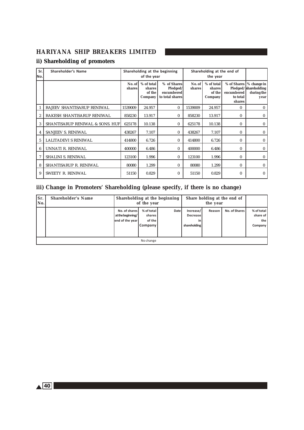# **ii) Shareholding of promoters**

| Sr.<br>lNo.      | <b>Shareholder's Name</b>                  |                  | of the year                               | Shareholding at the beginning                            | Shareholding at the end of |                                           |                                  |                                                                         |
|------------------|--------------------------------------------|------------------|-------------------------------------------|----------------------------------------------------------|----------------------------|-------------------------------------------|----------------------------------|-------------------------------------------------------------------------|
|                  |                                            | No. of<br>shares | % of total<br>shares<br>of the<br>Company | % of Shares<br>Pledged/<br>encumbered<br>to total shares | No. of<br>shares I         | % of total<br>shares<br>of the<br>Company | encumbered<br>to total<br>shares | % of Shares   % change in<br>Pledged/shareholding<br>during the<br>year |
| $\mathbf{1}$     | RAJEEV SHANTISARUP RENIWAL                 | 1539009          | 24.957                                    | $\mathbf{0}$                                             | 1539009                    | 24.957                                    | $\mathbf{0}$                     | $\mathbf{0}$                                                            |
| $\boldsymbol{2}$ | RAKESH SHANTISARUP RENIWAL                 | 858230           | 13.917                                    | $\mathbf{0}$                                             | 858230                     | 13.917                                    | 0                                | $\mathbf{0}$                                                            |
| 3                | <b>SHANTISARUP RENIWAL &amp; SONS. HUF</b> | 625178           | 10.138                                    | $\bf{0}$                                                 | 625178                     | 10.138                                    | 0                                | $\bf{0}$                                                                |
| 4                | <b>SANJEEV S. RENIWAL</b>                  | 438267           | 7.107                                     | $\mathbf{0}$                                             | 438267                     | 7.107                                     | 0                                | $\mathbf{0}$                                                            |
| 5                | <b>LALITADEVI S RENIWAL</b>                | 414800           | 6.726                                     | $\mathbf{0}$                                             | 414800                     | 6.726                                     | 0                                | $\mathbf{0}$                                                            |
| 6                | UNNATI R. RENIWAL                          | 400000           | 6.486                                     | $\mathbf{0}$                                             | 400000                     | 6.486                                     | 0                                | $\mathbf{0}$                                                            |
| 7                | <b>SHALINI S. RENIWAL</b>                  | 123100           | 1.996                                     | $\mathbf{0}$                                             | 123100                     | 1.996                                     | 0                                | $\mathbf{0}$                                                            |
| 8                | SHANTISARUP R. RENIWAL                     | 80080            | 1.299                                     | $\mathbf{0}$                                             | 80080                      | 1.299                                     | 0                                | $\mathbf{0}$                                                            |
| 9                | SWEETY R. RENIWAL                          | 51150            | 0.829                                     | $\mathbf{0}$                                             | 51150                      | 0.829                                     | $\bf{0}$                         | $\mathbf{0}$                                                            |

# **iii) Change in Promoters' Shareholding (please specify, if there is no change)**

| Sr.<br> No. | <b>Shareholder's Name</b> | Shareholding at the beginning<br>of the year          |                                           |             | Share holding at the end of                         |        |                 |                                          |
|-------------|---------------------------|-------------------------------------------------------|-------------------------------------------|-------------|-----------------------------------------------------|--------|-----------------|------------------------------------------|
|             |                           | No. of shares<br>at the beginning/<br>end of the year | % of total<br>shares<br>of the<br>Company | <b>Date</b> | Increase/<br><b>Decrease</b><br>inl<br>shareholding | Reason | No. of Shares I | % of total<br>share of<br>the<br>Company |
|             |                           |                                                       | No change                                 |             |                                                     |        |                 |                                          |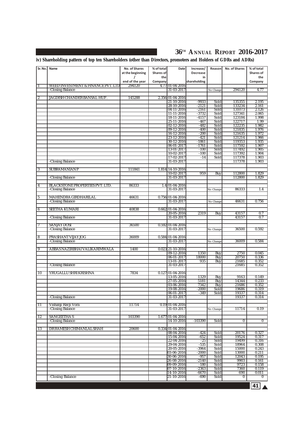**iv) Shareholding pattern of top ten Shareholders (other than Directors, promoters and Holders of GDRs and ADRs)**

| Sr. No.         | Name                                                              | No. of Shares    | % of total              | Date                                 | Increase/          | Reason       | No. of Shares    | % of total              |
|-----------------|-------------------------------------------------------------------|------------------|-------------------------|--------------------------------------|--------------------|--------------|------------------|-------------------------|
|                 |                                                                   | at the beginning | <b>Shares of</b><br>the |                                      | Decrease<br>in     |              |                  | <b>Shares of</b><br>the |
|                 |                                                                   | end of the year  | Company                 |                                      | shareholding       |              |                  | Company                 |
| Τ               | <b>WEED INVESTMENT &amp; FINANCE PVT. LTD</b><br>-Closing Balance | 294120           |                         | 4.77101-04-2016<br>31-03-2017        |                    | No Change    | 294120           | 4.77                    |
| 2               | JAGDISH CHANDER BANSAL HUF.                                       | 145288           |                         | 2.356 01-04-2016                     |                    |              |                  |                         |
|                 |                                                                   |                  |                         | 21-10-2016                           | $-9933$            | Sold         | 135355           | 2.195                   |
|                 |                                                                   |                  |                         | 28-10-2016<br>04-11-2016             | $-2121$<br>$-2161$ | Sold<br>Sold | 133234<br>131073 | 2.161<br>2.126          |
|                 |                                                                   |                  |                         | $11 - 11 - 2016$<br>18-11-2016       | $-3732$<br>$-4157$ | Sold<br>Sold | 127341<br>123184 | 2.065<br>1.998          |
|                 |                                                                   |                  |                         | 25-11-2016                           | $-467$             | Sold         | 122717           | 1.99                    |
|                 |                                                                   |                  |                         | $02 - 12 - 2016$<br>09-12-2016       | $-482$<br>$-400$   | Sold<br>Sold | 122235<br>121835 | 1.982<br>1.976          |
|                 |                                                                   |                  |                         | $16 - 12 - 2016$<br>23-12-2016       | $-200$<br>$-421$   | Sold<br>Sold | 121635<br>121214 | 1.972<br>1.966          |
|                 |                                                                   |                  |                         | $30 - 12 - 2016$                     | $-1861$            | Sold         | 119353           | 1.935                   |
|                 |                                                                   |                  |                         | $06 - 01 - 2017$<br>13-01-2017       | $-1761$<br>$-100$  | Sold<br>Sold | 117592<br>117492 | 1.907<br>1.905          |
|                 |                                                                   |                  |                         | 10-02-2017                           | $-100$             | Sold         | 117392           | 1.904                   |
|                 | -Closing Balance                                                  |                  |                         | 17-02-2017<br>31-03-2017             | $-14$              | Sold         | 117378<br>117378 | 1.903<br>1.903          |
| $\overline{3}$  | <b>SUBRAMANIANP</b>                                               | 111841           |                         | 1.814 14-10-2016                     |                    |              |                  |                         |
|                 |                                                                   |                  |                         | 10-02-2017                           | 959                | <b>Buy</b>   | 112800           | 1.829                   |
|                 | -Closing Balance                                                  |                  |                         | 31-03-2017                           |                    |              | 112800           | 1.829                   |
| 4               | <b>BLACKSTONE PROPERTIES PVT. LTD.</b><br>-Closing Balance        | 86333            |                         | $1.4 01-04-2016$<br>31-03-2017       |                    | No Change    | 86333            | 1.4                     |
|                 |                                                                   |                  |                         |                                      |                    |              |                  |                         |
| 5               | MAHENDRA GIRDHARILAL<br>-Closing Balance                          | 46631            |                         | $0.756$ 01-04-2016<br>31-03-2017     |                    | No Change    | 46631            | 0.756                   |
|                 | <b>SEETHA KUMARI</b>                                              | 40838            |                         | $0.662$ 01-04-2016                   |                    |              |                  |                         |
| $6\overline{6}$ |                                                                   |                  |                         | 20-05-2016                           | 2319               | Buy          | 43157            | 0.7                     |
|                 | -Closing Balance                                                  |                  |                         | 31-03-2017                           |                    |              | 43157            | 0.7                     |
| 7               | <b>SANJAY DOSI</b>                                                | 36500            |                         | $0.592$ 01-04-2016                   |                    |              |                  |                         |
|                 | -Closing Balance                                                  |                  |                         | 31-03-2017                           |                    | No Change    | 36500            | 0.592                   |
| 8               | PRASHANT VIJAY JOG<br>-Closing Balance                            | 36009            |                         | $0.584[01-04-2016]$<br>31-03-2017    |                    | No Change    | 36009            | 0.584                   |
|                 |                                                                   |                  |                         |                                      |                    |              |                  |                         |
| $\overline{9}$  | ABBAS NAZIRBHAI VALIKARIMWALA                                     | 1400             |                         | $0.023$ 21-10-2016<br>09-12-2016     | 1350               | Buy          | 2750             | 0.045                   |
|                 |                                                                   |                  |                         | 06-01-2017<br>13-01-2017             | 18000<br>935       | Buy<br>Buy   | 20750<br>21685   | 0.336<br>0.352          |
|                 | -Closing Balance                                                  |                  |                         | 31-03-2017                           |                    |              | 21685            | 0.352                   |
| 10              | YRUGALLU SHRI KRISHNA                                             | 7834             |                         | $0.127$ 01-04-2016                   |                    |              |                  |                         |
|                 |                                                                   |                  |                         | 13-05-2016<br>27-05-2016             | 1329<br>5181       | Buy<br>Buy   | 9163<br>14344    | 0.149<br>0.233          |
|                 |                                                                   |                  |                         | 03-06-2016                           | 7342               | Buy          | 21686            | 0.352                   |
|                 |                                                                   |                  |                         | 19-08-2016<br>06-01-2017             | $-2000$<br>$-349$  | Sold<br>Sold | 19686<br>19337   | 0.319<br>0.314          |
|                 | -Closing Balance                                                  |                  |                         | 31-03-2017                           |                    |              | 19337            | 0.314                   |
| $\overline{11}$ | Vishanji Ravji Vora                                               | 11714            |                         | $0.19$ 01-04-2016                    |                    |              |                  |                         |
|                 | -Closing Balance                                                  |                  |                         | 31-03-2017                           |                    | No Change    | 11714            | 0.19                    |
| 12              | <b>SANGEETHAS</b><br>-Closing Balance                             | 103390           |                         | 1.677 01-04-2016<br>14-10-2016       | $-103390$          | Sold         | $\overline{0}$   | $\overline{0}$          |
|                 |                                                                   |                  |                         |                                      |                    |              |                  |                         |
| 13              | DR RAMESH CHIMANLAL SHAH                                          | 20600            |                         | $0.334 01-04-2016$<br>08-04-2016     | $-424$             | <b>Sold</b>  | 20176            | 0.327                   |
|                 |                                                                   |                  |                         | 15-04-2016                           | $-652$             | Sold         | 19524            | 0.317                   |
|                 |                                                                   |                  |                         | 22-04-2016<br>29-04-2016             | $-25$<br>$-535$    | Sold<br>Sold | 19499<br>18964   | 0.316<br>0.308          |
|                 |                                                                   |                  |                         | 20-05-2016<br>03-06-2016             | $-3964$<br>$-2000$ | Sold<br>Sold | 15000<br>13000   | 0.243<br>0.211          |
|                 |                                                                   |                  |                         | $30 - 06 - 2016$                     | $-957$             | Sold         | 12043            | 0.195                   |
|                 |                                                                   |                  |                         | $26 - 08 - 2016$<br>09-09-2016       | $-2140$<br>$-180$  | Sold<br>Sold | 9903<br>9723     | 0.161<br>0.158          |
|                 |                                                                   |                  |                         | $07 - 10 - 2016$<br>$14 - 10 - 2016$ | $-2363$<br>$-6670$ | Sold<br>Sold | 7360<br>690      | 0.119<br>0.011          |
|                 | -Closing Balance                                                  |                  |                         | $21 - 10 - 2016$                     | $-690$             | Sold         | 0                | 0                       |
|                 |                                                                   |                  |                         |                                      |                    |              |                  | 41                      |
|                 |                                                                   |                  |                         |                                      |                    |              |                  |                         |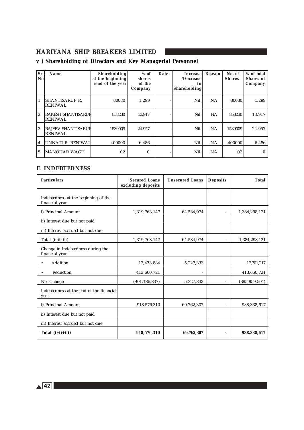# **v ) Shareholding of Directors and Key Managerial Personnel**

| <b>Sr</b><br>No.        | Name                                 | <b>Shareholding</b><br>at the beginning<br>/end of the year | $%$ of<br>shares<br>of the<br>Company | Date | Increasel<br>/Decrease<br>in<br>Shareholding | Reason    | No. of<br><b>Shares</b> | % of total<br>Shares of<br>Company |
|-------------------------|--------------------------------------|-------------------------------------------------------------|---------------------------------------|------|----------------------------------------------|-----------|-------------------------|------------------------------------|
| $\mathbf{1}$            | ISHANTISARUP R.<br><b>RENIWAL</b>    | 80080                                                       | 1.299                                 |      | Nil                                          | <b>NA</b> | 80080                   | 1.299                              |
| $\overline{2}$          | IRAKESH SHANTISARUF<br>IRENIWAL      | 858230                                                      | 13.917                                |      | Nil                                          | NA.       | 858230                  | 13.917                             |
| 3                       | <b>RAJEEV SHANTISARUP</b><br>RENIWAL | 1539009                                                     | 24.957                                |      | Nil                                          | <b>NA</b> | 1539009                 | 24.957                             |
| $\overline{\mathbf{4}}$ | UNNATI R. RENIWAL                    | 400000                                                      | 6.486                                 |      | Nil                                          | <b>NA</b> | 400000                  | 6.486                              |
| 5                       | <b>MANOHAR WAGH</b>                  | 02                                                          | $\bf{0}$                              |      | Nil                                          | <b>NA</b> | 02                      |                                    |

#### **E. INDEBTEDNESS**

| <b>Particulars</b>                                     | <b>Secured Loans</b><br>excluding deposits | <b>Unsecured Loans</b> | <b>Deposits</b> | <b>Total</b>    |
|--------------------------------------------------------|--------------------------------------------|------------------------|-----------------|-----------------|
| Indebtedness at the beginning of the<br>financial year |                                            |                        |                 |                 |
| i) Principal Amount                                    | 1,319,763,147                              | 64,534,974             |                 | 1,384,298,121   |
| ii) Interest due but not paid                          |                                            |                        |                 |                 |
| iii) Interest accrued but not due                      |                                            |                        |                 |                 |
| Total (i+ii+iii)                                       | 1,319,763,147                              | 64,534,974             |                 | 1,384,298,121   |
| Change in Indebtedness during the<br>financial year    |                                            |                        |                 |                 |
| Addition<br>$\bullet$                                  | 12,473,884                                 | 5,227,333              |                 | 17,701,217      |
| Reduction<br>٠                                         | 413,660,721                                |                        |                 | 413,660,721     |
| Net Change                                             | (401, 186, 837)                            | 5,227,333              |                 | (395, 959, 504) |
| Indebtedness at the end of the financial<br>year       |                                            |                        |                 |                 |
| i) Principal Amount                                    | 918,576,310                                | 69,762,307             |                 | 988,338,617     |
| ii) Interest due but not paid                          |                                            |                        |                 |                 |
| iii) Interest accrued but not due                      |                                            |                        |                 |                 |
| Total (i+ii+iii)                                       | 918,576,310                                | 69,762,307             |                 | 988,338,617     |

 $\triangle$ <sup>42</sup>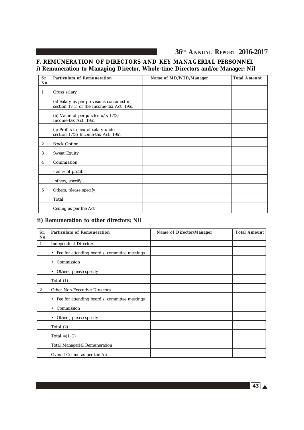#### **F. REMUNERATION OF DIRECTORS AND KEY MANAGERIAL PERSONNEL i) Remuneration to Managing Director, Whole-time Directors and/or Manager: Nil**

| Sr.<br>No.      | <b>Particulars of Remuneration</b>                                                     | Name of MD/WTD/Manager | <b>Total Amount</b> |
|-----------------|----------------------------------------------------------------------------------------|------------------------|---------------------|
| $\mathbf{1}$    | Gross salary                                                                           |                        |                     |
|                 | (a) Salary as per provisions contained in<br>section 17(1) of the Income-tax Act, 1961 |                        |                     |
|                 | (b) Value of perquisites $u/s$ 17(2)<br>Income-tax Act, 1961                           |                        |                     |
|                 | (c) Profits in lieu of salary under<br>section 17(3) Income-tax Act, 1961              |                        |                     |
| 2               | <b>Stock Option</b>                                                                    |                        |                     |
| 3               | <b>Sweat Equity</b>                                                                    |                        |                     |
| $\overline{4}$  | Commission                                                                             |                        |                     |
|                 | - as % of profit                                                                       |                        |                     |
|                 | others, specify                                                                        |                        |                     |
| $5\phantom{.0}$ | Others, please specify                                                                 |                        |                     |
|                 | Total                                                                                  |                        |                     |
|                 | Ceiling as per the Act                                                                 |                        |                     |

#### **ii) Remuneration to other directors: Nil**

| Sr.<br>No.     | <b>Particulars of Remuneration</b>                        | Name of Director/Manager | <b>Total Amount</b> |
|----------------|-----------------------------------------------------------|--------------------------|---------------------|
| $\mathbf{1}$   | <b>Independent Directors</b>                              |                          |                     |
|                | • Fee for attending board / committee meetings            |                          |                     |
|                | Commission<br>٠                                           |                          |                     |
|                | • Others, please specify                                  |                          |                     |
|                | Total (1)                                                 |                          |                     |
| $\overline{c}$ | Other Non-Executive Directors                             |                          |                     |
|                | Fee for attending board / committee meetings<br>$\bullet$ |                          |                     |
|                | Commission<br>٠                                           |                          |                     |
|                | • Others, please specify                                  |                          |                     |
|                | Total (2)                                                 |                          |                     |
|                | Total $=(1+2)$                                            |                          |                     |
|                | <b>Total Managerial Remuneration</b>                      |                          |                     |
|                | Overall Ceiling as per the Act                            |                          |                     |

<u>43</u>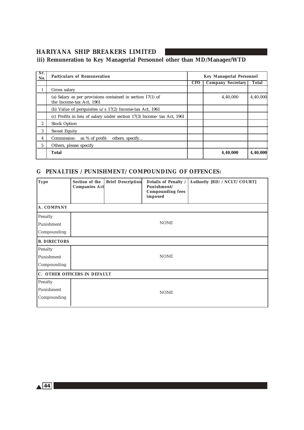# **iii) Remuneration to Key Managerial Personnel other than MD/Manager/WTD**

| Sr.<br>No.     | <b>Particulars of Remuneration</b>                                                     |            | <b>Key Managerial Personnel</b> |          |
|----------------|----------------------------------------------------------------------------------------|------------|---------------------------------|----------|
|                |                                                                                        | <b>CFO</b> | <b>Company Secretary</b>        | Total    |
|                | Gross salary                                                                           |            |                                 |          |
|                | (a) Salary as per provisions contained in section 17(1) of<br>the Income-tax Act, 1961 |            | 4,40,000                        | 4,40,000 |
|                | (b) Value of perquisites $u/s$ 17(2) Income-tax Act, 1961                              |            |                                 |          |
|                | (c) Profits in lieu of salary under section 17(3) Income- tax Act, 1961                |            |                                 |          |
| $\overline{c}$ | <b>Stock Option</b>                                                                    |            |                                 |          |
| 3              | Sweat Equity                                                                           |            |                                 |          |
| $\overline{4}$ | as % of profit- others, specify<br>Commission-                                         |            |                                 |          |
| 5              | Others, please specify                                                                 |            |                                 |          |
|                | <b>Total</b>                                                                           |            | 4,40,000                        | 4,40,000 |

### **G PENALTIES / PUNISHMENT/ COMPOUNDING OF OFFENCES:**

| <b>Type</b>         | Section of the<br><b>Companies Act</b> | <b>Brief Description</b> | Details of Penalty /<br>Punishment/<br><b>Compounding fees</b><br>imposed | Authority [RD/ / NCLT/ COURT] |  |  |  |  |
|---------------------|----------------------------------------|--------------------------|---------------------------------------------------------------------------|-------------------------------|--|--|--|--|
| A. COMPANY          |                                        |                          |                                                                           |                               |  |  |  |  |
| Penalty             |                                        |                          |                                                                           |                               |  |  |  |  |
| Punishment          |                                        | <b>NONE</b>              |                                                                           |                               |  |  |  |  |
| Compounding         |                                        |                          |                                                                           |                               |  |  |  |  |
| <b>B. DIRECTORS</b> |                                        |                          |                                                                           |                               |  |  |  |  |
| Penalty             |                                        |                          |                                                                           |                               |  |  |  |  |
| Punishment          |                                        |                          | <b>NONE</b>                                                               |                               |  |  |  |  |
| Compounding         |                                        |                          |                                                                           |                               |  |  |  |  |
|                     | C. OTHER OFFICERS IN DEFAULT           |                          |                                                                           |                               |  |  |  |  |
| Penalty             |                                        |                          |                                                                           |                               |  |  |  |  |
| Punishment          |                                        |                          | <b>NONE</b>                                                               |                               |  |  |  |  |
| Compounding         |                                        |                          |                                                                           |                               |  |  |  |  |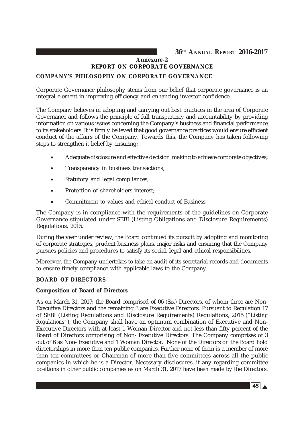### **Annexure-2 REPORT ON CORPORATE GOVERNANCE COMPANY'S PHILOSOPHY ON CORPORATE GOVERNANCE**

Corporate Governance philosophy stems from our belief that corporate governance is an integral element in improving efficiency and enhancing investor confidence.

The Company believes in adopting and carrying out best practices in the area of Corporate Governance and follows the principle of full transparency and accountability by providing information on various issues concerning the Company's business and financial performance to its stakeholders. It is firmly believed that good governance practices would ensure efficient conduct of the affairs of the Company. Towards this, the Company has taken following steps to strengthen it belief by ensuring:

- Adequate disclosure and effective decision making to achieve corporate objectives;
- Transparency in business transactions;
- Statutory and legal compliances;
- Protection of shareholders interest;
- Commitment to values and ethical conduct of Business

The Company is in compliance with the requirements of the guidelines on Corporate Governance stipulated under SEBI (Listing Obligations and Disclosure Requirements) Regulations, 2015.

During the year under review, the Board continued its pursuit by adopting and monitoring of corporate strategies, prudent business plans, major risks and ensuring that the Company pursues policies and procedures to satisfy its social, legal and ethical responsibilities.

Moreover, the Company undertakes to take an audit of its secretarial records and documents to ensure timely compliance with applicable laws to the Company.

#### **BOARD OF DIRECTORS**

#### **Composition of Board of Directors**

As on March 31, 2017; the Board comprised of 06 (Six) Directors, of whom three are Non-Executive Directors and the remaining 3 are Executive Directors. Pursuant to Regulation 17 of SEBI (Listing Regulations and Disclosure Requirements) Regulations, 2015 *("Listing Regulations"*), the Company shall have an optimum combination of Executive and Non-Executive Directors with at least 1 Woman Director and not less than fifty percent of the Board of Directors comprising of Non- Executive Directors. The Company comprises of 3 out of 6 as Non- Executive and 1 Woman Director. None of the Directors on the Board hold directorships in more than ten public companies. Further none of them is a member of more than ten committees or Chairman of more than five committees across all the public companies in which he is a Director. Necessary disclosures, if any regarding committee positions in other public companies as on March 31, 2017 have been made by the Directors.

 $\overline{45}$   $\overline{4}$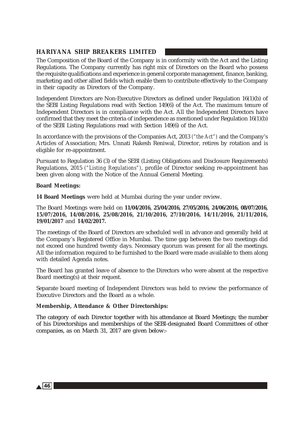The Composition of the Board of the Company is in conformity with the Act and the Listing Regulations. The Company currently has right mix of Directors on the Board who possess the requisite qualifications and experience in general corporate management, finance, banking, marketing and other allied fields which enable them to contribute effectively to the Company in their capacity as Directors of the Company.

Independent Directors are Non-Executive Directors as defined under Regulation 16(1)(b) of the SEBI Listing Regulations read with Section 149(6) of the Act. The maximum tenure of Independent Directors is in compliance with the Act. All the Independent Directors have confirmed that they meet the criteria of independence as mentioned under Regulation 16(1)(b) of the SEBI Listing Regulations read with Section 149(6) of the Act.

In accordance with the provisions of the Companies Act, 2013 *("the Act")* and the Company's Articles of Association; Mrs. Unnati Rakesh Reniwal, Director, retires by rotation and is eligible for re-appointment.

Pursuant to Regulation 36 (3) of the SEBI (Listing Obligations and Disclosure Requirements) Regulations, 2015 *("Listing Regulations")*, profile of Director seeking re-appointment has been given along with the Notice of the Annual General Meeting.

#### **Board Meetings:**

**14 Board Meetings** were held at Mumbai during the year under review.

The Board Meetings were held on **11/04/2016, 25/04/2016, 27/05/2016, 24/06/2016, 08/07/2016, 15/07/2016, 14/08/2016, 25/08/2016, 21/10/2016, 27/10/2016, 14/11/2016, 21/11/2016, 19/01/2017** and **14/02/2017.**

The meetings of the Board of Directors are scheduled well in advance and generally held at the Company's Registered Office in Mumbai. The time gap between the two meetings did not exceed one hundred twenty days. Necessary quorum was present for all the meetings. All the information required to be furnished to the Board were made available to them along with detailed Agenda notes.

The Board has granted leave of absence to the Directors who were absent at the respective Board meeting(s) at their request.

Separate board meeting of Independent Directors was held to review the performance of Executive Directors and the Board as a whole.

#### **Membership, Attendance & Other Directorships:**

The category of each Director together with his attendance at Board Meetings; the number of his Directorships and memberships of the SEBI-designated Board Committees of other companies, as on March 31, 2017 are given below:-

 $\triangle$  46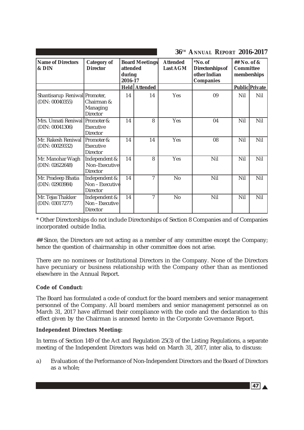| <b>Name of Directors</b><br>& DIN                 | <b>Category of</b><br><b>Director</b>             |                               | <b>Board Meetings</b> | <b>Attended</b><br><b>Last AGM</b> | *No. of<br>Directorships of      | ## No. of &                     |                       |
|---------------------------------------------------|---------------------------------------------------|-------------------------------|-----------------------|------------------------------------|----------------------------------|---------------------------------|-----------------------|
|                                                   |                                                   | attended<br>during<br>2016-17 |                       |                                    | other Indian<br><b>Companies</b> | <b>Committee</b><br>memberships |                       |
|                                                   |                                                   |                               | <b>Held</b> Attended  |                                    |                                  |                                 | <b>Public</b> Private |
| Shantisarup Reniwal Promoter,<br>(DIN: 00040355)  | Chairman &<br>Managing                            | 14                            | 14                    | Yes                                | 09                               | Nil                             | Nil                   |
|                                                   | <b>Director</b>                                   |                               |                       |                                    |                                  |                                 |                       |
| Mrs. Unnati Reniwal Promoter &<br>(DIN: 00041306) | <b>Executive</b><br><b>Director</b>               | 14                            | 8                     | Yes                                | 04                               | Nil                             | Nil                   |
| Mr. Rakesh Reniwal<br>(DIN: 00029332)             | Promoter &<br>Executive<br><b>Director</b>        | 14                            | 14                    | Yes                                | 08                               | Nil                             | Nil                   |
| Mr. Manohar Wagh<br>(DIN: 02622648)               | Independent &<br>Non-Executive<br><b>Director</b> | 14                            | 8                     | Yes                                | Nil                              | Nil                             | Nil                   |
| Mr. Pradeep Bhatia<br>(DIN: 02903984)             | Independent &<br>Non-Executive<br><b>Director</b> | 14                            | 7                     | No                                 | Nil                              | Nil                             | Nil                   |
| Mr. Tejas Thakker<br>(DIN: 03017277)              | Independent &<br>Non-Executive<br><b>Director</b> | 14                            | $\tau$                | No                                 | Nil                              | Nil                             | Nil                   |

\* Other Directorships do not include Directorships of Section 8 Companies and of Companies incorporated outside India.

## Since, the Directors are not acting as a member of any committee except the Company; hence the question of chairmanship in other committee does not arise.

There are no nominees or Institutional Directors in the Company. None of the Directors have pecuniary or business relationship with the Company other than as mentioned elsewhere in the Annual Report.

#### **Code of Conduct:**

The Board has formulated a code of conduct for the board members and senior management personnel of the Company. All board members and senior management personnel as on March 31, 2017 have affirmed their compliance with the code and the declaration to this effect given by the Chairman is annexed hereto in the Corporate Governance Report.

#### **Independent Directors Meeting:**

In terms of Section 149 of the Act and Regulation 25(3) of the Listing Regulations, a separate meeting of the Independent Directors was held on March 31, 2017, inter alia, to discuss:

a) Evaluation of the Performance of Non-Independent Directors and the Board of Directors as a whole;

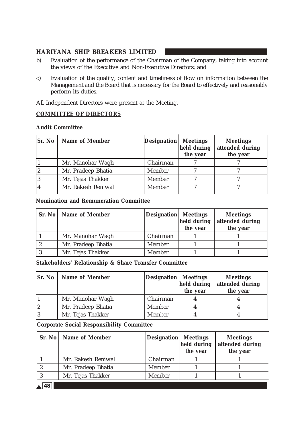- b) Evaluation of the performance of the Chairman of the Company, taking into account the views of the Executive and Non-Executive Directors; and
- c) Evaluation of the quality, content and timeliness of flow on information between the Management and the Board that is necessary for the Board to effectively and reasonably perform its duties.

All Independent Directors were present at the Meeting.

#### **COMMITTEE OF DIRECTORS**

#### **Audit Committee**

| <b>Sr. No</b>  | <b>Name of Member</b> | <b>Designation</b> | <b>Meetings</b><br>held during<br>the year | <b>Meetings</b><br>attended during<br>the year |
|----------------|-----------------------|--------------------|--------------------------------------------|------------------------------------------------|
|                | Mr. Manohar Wagh      | Chairman           |                                            |                                                |
| $\overline{2}$ | Mr. Pradeep Bhatia    | Member             |                                            |                                                |
| 3              | Mr. Tejas Thakker     | Member             |                                            |                                                |
|                | Mr. Rakesh Reniwal    | Member             |                                            |                                                |

### **Nomination and Remuneration Committee**

| Sr. No | <b>Name of Member</b> | Designation Meetings | held during<br>the year | <b>Meetings</b><br>attended during<br>the year |
|--------|-----------------------|----------------------|-------------------------|------------------------------------------------|
|        | Mr. Manohar Wagh      | Chairman             |                         |                                                |
|        | Mr. Pradeep Bhatia    | Member               |                         |                                                |
|        | Mr. Tejas Thakker     | Member               |                         |                                                |

#### **Stakeholders' Relationship & Share Transfer Committee**

| <b>Sr. No</b> | <b>Name of Member</b> | Designation | <b>Meetings</b><br>held during<br>the year | <b>Meetings</b><br>attended during<br>the year |
|---------------|-----------------------|-------------|--------------------------------------------|------------------------------------------------|
|               | Mr. Manohar Wagh      | Chairman    |                                            |                                                |
| 2             | Mr. Pradeep Bhatia    | Member      |                                            |                                                |
| 3             | Mr. Tejas Thakker     | Member      |                                            |                                                |

#### **Corporate Social Responsibility Committee**

| Sr. No     | <b>Name of Member</b> | <b>Designation</b> | <b>Meetings</b><br>held during<br>the year | <b>Meetings</b><br>attended during<br>the year |
|------------|-----------------------|--------------------|--------------------------------------------|------------------------------------------------|
|            | Mr. Rakesh Reniwal    | Chairman           |                                            |                                                |
|            | Mr. Pradeep Bhatia    | Member             |                                            |                                                |
|            | Mr. Tejas Thakker     | Member             |                                            |                                                |
| $\sqrt{2}$ |                       |                    |                                            |                                                |

 $\blacktriangle$  [48]  $\blacktriangleright$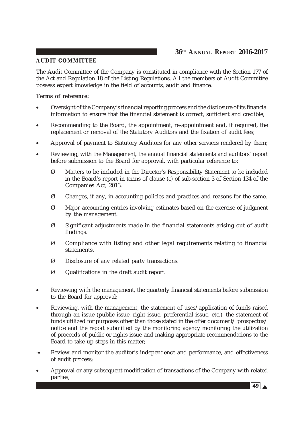#### **AUDIT COMMITTEE**

The Audit Committee of the Company is constituted in compliance with the Section 177 of the Act and Regulation 18 of the Listing Regulations. All the members of Audit Committee possess expert knowledge in the field of accounts, audit and finance.

#### **Terms of reference:**

- Oversight of the Company's financial reporting process and the disclosure of its financial information to ensure that the financial statement is correct, sufficient and credible;
- Recommending to the Board, the appointment, re-appointment and, if required, the replacement or removal of the Statutory Auditors and the fixation of audit fees;
- Approval of payment to Statutory Auditors for any other services rendered by them;
- Reviewing, with the Management, the annual financial statements and auditors' report before submission to the Board for approval, with particular reference to:
	- Ø Matters to be included in the Director's Responsibility Statement to be included in the Board's report in terms of clause (c) of sub-section 3 of Section 134 of the Companies Act, 2013.
	- Ø Changes, if any, in accounting policies and practices and reasons for the same.
	- Ø Major accounting entries involving estimates based on the exercise of judgment by the management.
	- Ø Significant adjustments made in the financial statements arising out of audit findings.
	- Ø Compliance with listing and other legal requirements relating to financial statements.
	- Ø Disclosure of any related party transactions.
	- Ø Qualifications in the draft audit report.
- Reviewing with the management, the quarterly financial statements before submission to the Board for approval;
- Reviewing, with the management, the statement of uses/application of funds raised through an issue (public issue, right issue, preferential issue, etc.), the statement of funds utilized for purposes other than those stated in the offer document/ prospectus/ notice and the report submitted by the monitoring agency monitoring the utilization of proceeds of public or rights issue and making appropriate recommendations to the Board to take up steps in this matter;
- ·• Review and monitor the auditor's independence and performance, and effectiveness of audit process;
- Approval or any subsequent modification of transactions of the Company with related parties;

 $\boxed{49}$   $\blacktriangle$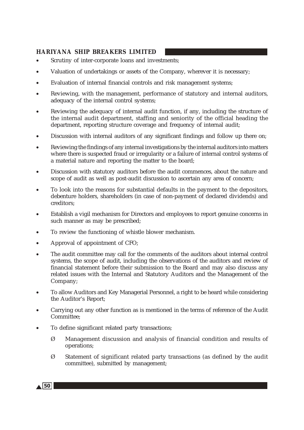- Scrutiny of inter-corporate loans and investments;
- Valuation of undertakings or assets of the Company, wherever it is necessary;
- Evaluation of internal financial controls and risk management systems;
- Reviewing, with the management, performance of statutory and internal auditors, adequacy of the internal control systems;
- Reviewing the adequacy of internal audit function, if any, including the structure of the internal audit department, staffing and seniority of the official heading the department, reporting structure coverage and frequency of internal audit;
- Discussion with internal auditors of any significant findings and follow up there on;
- Reviewing the findings of any internal investigations by the internal auditors into matters where there is suspected fraud or irregularity or a failure of internal control systems of a material nature and reporting the matter to the board;
- Discussion with statutory auditors before the audit commences, about the nature and scope of audit as well as post-audit discussion to ascertain any area of concern;
- To look into the reasons for substantial defaults in the payment to the depositors, debenture holders, shareholders (in case of non-payment of declared dividends) and creditors;
- Establish a vigil mechanism for Directors and employees to report genuine concerns in such manner as may be prescribed;
- To review the functioning of whistle blower mechanism.
- Approval of appointment of CFO;
- The audit committee may call for the comments of the auditors about internal control systems, the scope of audit, including the observations of the auditors and review of financial statement before their submission to the Board and may also discuss any related issues with the Internal and Statutory Auditors and the Management of the Company;
- To allow Auditors and Key Managerial Personnel, a right to be heard while considering the Auditor's Report;
- Carrying out any other function as is mentioned in the terms of reference of the Audit Committee;
- To define significant related party transactions:
	- Ø Management discussion and analysis of financial condition and results of operations;
	- Ø Statement of significant related party transactions (as defined by the audit committee), submitted by management;

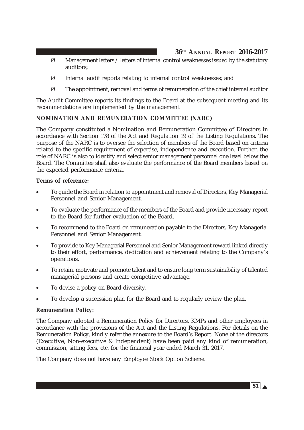- $\emptyset$  Management letters / letters of internal control weaknesses issued by the statutory auditors;
- Ø Internal audit reports relating to internal control weaknesses; and
- $\emptyset$  The appointment, removal and terms of remuneration of the chief internal auditor

The Audit Committee reports its findings to the Board at the subsequent meeting and its recommendations are implemented by the management.

### **NOMINATION AND REMUNERATION COMMITTEE (NARC)**

The Company constituted a Nomination and Remuneration Committee of Directors in accordance with Section 178 of the Act and Regulation 19 of the Listing Regulations. The purpose of the NARC is to oversee the selection of members of the Board based on criteria related to the specific requirement of expertise, independence and execution. Further, the role of NARC is also to identify and select senior management personnel one level below the Board. The Committee shall also evaluate the performance of the Board members based on the expected performance criteria.

#### **Terms of reference:**

- To guide the Board in relation to appointment and removal of Directors, Key Managerial Personnel and Senior Management.
- To evaluate the performance of the members of the Board and provide necessary report to the Board for further evaluation of the Board.
- To recommend to the Board on remuneration payable to the Directors, Key Managerial Personnel and Senior Management.
- To provide to Key Managerial Personnel and Senior Management reward linked directly to their effort, performance, dedication and achievement relating to the Company's operations.
- To retain, motivate and promote talent and to ensure long term sustainability of talented managerial persons and create competitive advantage.
- To devise a policy on Board diversity.
- To develop a succession plan for the Board and to regularly review the plan.

#### **Remuneration Policy:**

The Company adopted a Remuneration Policy for Directors, KMPs and other employees in accordance with the provisions of the Act and the Listing Regulations. For details on the Remuneration Policy, kindly refer the annexure to the Board's Report. None of the directors (Executive, Non-executive & Independent) have been paid any kind of remuneration, commission, sitting fees, etc. for the financial year ended March 31, 2017.

The Company does not have any Employee Stock Option Scheme.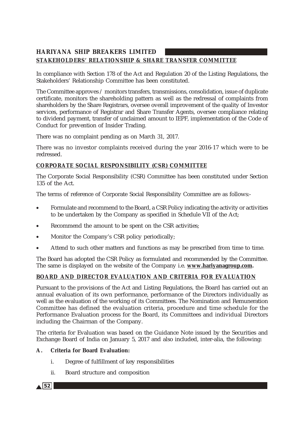# **HARIYANA SHIP BREAKERS LIMITED STAKEHOLDERS' RELATIONSHIP & SHARE TRANSFER COMMITTEE**

In compliance with Section 178 of the Act and Regulation 20 of the Listing Regulations, the Stakeholders' Relationship Committee has been constituted.

The Committee approves / monitors transfers, transmissions, consolidation, issue of duplicate certificate, monitors the shareholding pattern as well as the redressal of complaints from shareholders by the Share Registrars, oversee overall improvement of the quality of Investor services, performance of Registrar and Share Transfer Agents, oversee compliance relating to dividend payment, transfer of unclaimed amount to IEPF, implementation of the Code of Conduct for prevention of Insider Trading.

There was no complaint pending as on March 31, 2017.

There was no investor complaints received during the year 2016-17 which were to be redressed.

#### **CORPORATE SOCIAL RESPONSIBILITY (CSR) COMMITTEE**

The Corporate Social Responsibility (CSR) Committee has been constituted under Section 135 of the Act.

The terms of reference of Corporate Social Responsibility Committee are as follows:-

- Formulate and recommend to the Board, a CSR Policy indicating the activity or activities to be undertaken by the Company as specified in Schedule VII of the Act;
- Recommend the amount to be spent on the CSR activities;
- Monitor the Company's CSR policy periodically;
- Attend to such other matters and functions as may be prescribed from time to time.

The Board has adopted the CSR Policy as formulated and recommended by the Committee. The same is displayed on the website of the Company i.e. **www.hariyanagroup.com.**

### **BOARD AND DIRECTOR EVALUATION AND CRITERIA FOR EVALUATION**

Pursuant to the provisions of the Act and Listing Regulations, the Board has carried out an annual evaluation of its own performance, performance of the Directors individually as well as the evaluation of the working of its Committees. The Nomination and Remuneration Committee has defined the evaluation criteria, procedure and time schedule for the Performance Evaluation process for the Board, its Committees and individual Directors including the Chairman of the Company.

The criteria for Evaluation was based on the Guidance Note issued by the Securities and Exchange Board of India on January 5, 2017 and also included, inter-alia, the following:

#### **A. Criteria for Board Evaluation:**

- i. Degree of fulfillment of key responsibilities
- ii. Board structure and composition

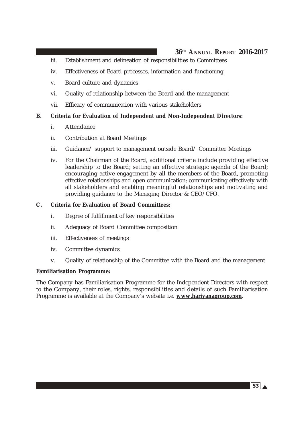- iii. Establishment and delineation of responsibilities to Committees
- iv. Effectiveness of Board processes, information and functioning
- v. Board culture and dynamics
- vi. Quality of relationship between the Board and the management
- vii. Efficacy of communication with various stakeholders

### **B. Criteria for Evaluation of Independent and Non-Independent Directors:**

- i. Attendance
- ii. Contribution at Board Meetings
- iii. Guidance/ support to management outside Board/ Committee Meetings
- iv. For the Chairman of the Board, additional criteria include providing effective leadership to the Board; setting an effective strategic agenda of the Board; encouraging active engagement by all the members of the Board, promoting effective relationships and open communication; communicating effectively with all stakeholders and enabling meaningful relationships and motivating and providing guidance to the Managing Director & CEO/CFO.

#### **C. Criteria for Evaluation of Board Committees:**

- i. Degree of fulfillment of key responsibilities
- ii. Adequacy of Board Committee composition
- iii. Effectiveness of meetings
- iv. Committee dynamics
- v. Quality of relationship of the Committee with the Board and the management

#### **Familiarisation Programme:**

The Company has Familiarisation Programme for the Independent Directors with respect to the Company, their roles, rights, responsibilities and details of such Familiarisation Programme is available at the Company's website i.e. **www.hariyanagroup.com.**

**53** A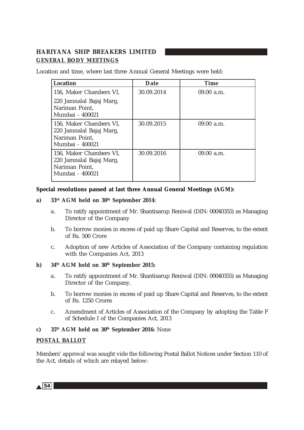# **HARIYANA SHIP BREAKERS LIMITED GENERAL BODY MEETINGS**

Location and time, where last three Annual General Meetings were held:

| <b>Location</b>                                                                          | Date       | <b>Time</b> |
|------------------------------------------------------------------------------------------|------------|-------------|
| 156, Maker Chambers VI,                                                                  | 30.09.2014 | 09.00 a.m.  |
| 220 Jamnalal Bajaj Marg,<br>Nariman Point,<br>Mumbai - 400021                            |            |             |
| 156, Maker Chambers VI,<br>220 Jamnalal Bajaj Marg,<br>Nariman Point,<br>Mumbai - 400021 | 30.09.2015 | 09.00 a.m.  |
| 156, Maker Chambers VI,<br>220 Jamnalal Bajaj Marg,<br>Nariman Point,<br>Mumbai - 400021 | 30.09.2016 | 09.00 a.m.  |

### **Special resolutions passed at last three Annual General Meetings (AGM):**

- a) 33<sup>rd</sup> AGM held on 30<sup>th</sup> September 2014:
	- a. To ratify appointment of Mr. Shantisarup Reniwal (DIN: 00040355) as Managing Director of the Company
	- b. To borrow monies in excess of paid up Share Capital and Reserves, to the extent of Rs. 500 Crore
	- c. Adoption of new Articles of Association of the Company containing regulation with the Companies Act, 2013

#### b) 34<sup>th</sup> AGM held on 30<sup>th</sup> September 2015:

- a. To ratify appointment of Mr. Shantisarup Reniwal (DIN: 00040355) as Managing Director of the Company.
- b. To borrow monies in excess of paid up Share Capital and Reserves, to the extent of Rs. 1250 Crores
- c. Amendment of Articles of Association of the Company by adopting the Table F of Schedule I of the Companies Act, 2013

#### **c) 35th AGM held on 30th September 2016:** None

#### **POSTAL BALLOT**

Members' approval was sought vide the following Postal Ballot Notices under Section 110 of the Act, details of which are relayed below:

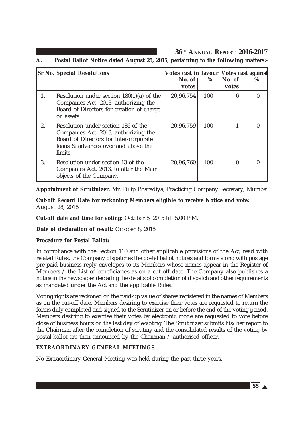# **Sr No. Special Resolutions Votes cast in favour Votes cast against No. of**  $\vert$  % **No. of**  $\vert$  % **votes votes** 1. Resolution under section  $180(1)(a)$  of the  $\begin{array}{|c|c|c|c|c|c|c|c|c|} \hline 20.96.754 & 100 & 6 & 0 \\ \hline \end{array}$ Companies Act, 2013, authorizing the Board of Directors for creation of charge on assets 2. Resolution under section 186 of the 20,96,759 | 100 | 1 | 0 Companies Act, 2013, authorizing the Board of Directors for inter-corporate loans & advances over and above the limits 3. Resolution under section 13 of the  $\begin{array}{|c|c|c|c|c|c|c|c|c|c|c|c|} \hline 3. & & 0 & 0 & 0 \ \hline \end{array}$ Companies Act, 2013, to alter the Main objects of the Company.

### **A. Postal Ballot Notice dated August 25, 2015, pertaining to the following matters:-**

**Appointment of Scrutinizer:** Mr. Dilip Bharadiya, Practicing Company Secretary, Mumbai

**Cut-off Record Date for reckoning Members eligible to receive Notice and vote:** August 28, 2015

**Cut-off date and time for voting:** October 5, 2015 till 5.00 P.M.

**Date of declaration of result:** October 8, 2015

#### **Procedure for Postal Ballot:**

In compliance with the Section 110 and other applicable provisions of the Act, read with related Rules, the Company dispatches the postal ballot notices and forms along with postage pre-paid business reply envelopes to its Members whose names appear in the Register of Members / the List of beneficiaries as on a cut-off date. The Company also publishes a notice in the newspaper declaring the details of completion of dispatch and other requirements as mandated under the Act and the applicable Rules.

Voting rights are reckoned on the paid-up value of shares registered in the names of Members as on the cut-off date. Members desiring to exercise their votes are requested to return the forms duly completed and signed to the Scrutinizer on or before the end of the voting period. Members desiring to exercise their votes by electronic mode are requested to vote before close of business hours on the last day of e-voting. The Scrutinizer submits his/her report to the Chairman after the completion of scrutiny and the consolidated results of the voting by postal ballot are then announced by the Chairman / authorised officer.

#### **EXTRAORDINARY GENERAL MEETINGS**

No Extraordinary General Meeting was held during the past three years.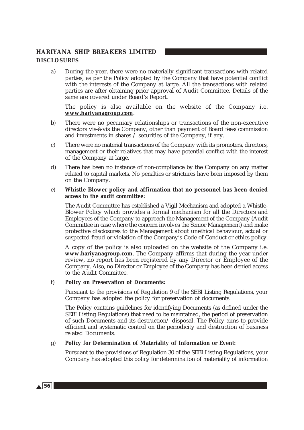# **HARIYANA SHIP BREAKERS LIMITED DISCLOSURES**

a) During the year, there were no materially significant transactions with related parties, as per the Policy adopted by the Company that have potential conflict with the interests of the Company at large. All the transactions with related parties are after obtaining prior approval of Audit Committee. Details of the same are covered under Board's Report.

The policy is also available on the website of the Company i.e. **www.hariyanagroup.com**.

- b) There were no pecuniary relationships or transactions of the non-executive directors vis-à-vis the Company, other than payment of Board fees/commission and investments in shares / securities of the Company, if any.
- c) There were no material transactions of the Company with its promoters, directors, management or their relatives that may have potential conflict with the interest of the Company at large.
- d) There has been no instance of non-compliance by the Company on any matter related to capital markets. No penalties or strictures have been imposed by them on the Company.

#### e) **Whistle Blower policy and affirmation that no personnel has been denied access to the audit committee:**

The Audit Committee has established a Vigil Mechanism and adopted a Whistle-Blower Policy which provides a formal mechanism for all the Directors and Employees of the Company to approach the Management of the Company (Audit Committee in case where the concern involves the Senior Management) and make protective disclosures to the Management about unethical behaviour, actual or suspected fraud or violation of the Company's Code of Conduct or ethics policy.

A copy of the policy is also uploaded on the website of the Company i.e. **www.hariyanagroup.com**. The Company affirms that during the year under review, no report has been registered by any Director or Employee of the Company. Also, no Director or Employee of the Company has been denied access to the Audit Committee.

#### f) **Policy on Preservation of Documents:**

Pursuant to the provisions of Regulation 9 of the SEBI Listing Regulations, your Company has adopted the policy for preservation of documents.

The Policy contains guidelines for identifying Documents (as defined under the SEBI Listing Regulations) that need to be maintained, the period of preservation of such Documents and its destruction/ disposal. The Policy aims to provide efficient and systematic control on the periodicity and destruction of business related Documents.

#### g) **Policy for Determination of Materiality of Information or Event:**

Pursuant to the provisions of Regulation 30 of the SEBI Listing Regulations, your Company has adopted this policy for determination of materiality of information

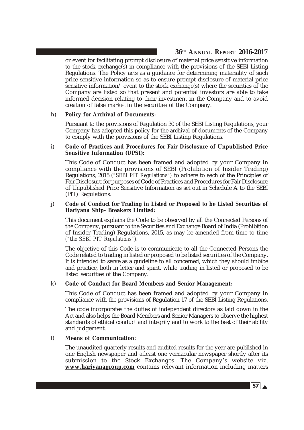or event for facilitating prompt disclosure of material price sensitive information to the stock exchange $(s)$  in compliance with the provisions of the SEBI Listing Regulations. The Policy acts as a guidance for determining materiality of such price sensitive information so as to ensure prompt disclosure of material price sensitive information/ event to the stock exchange(s) where the securities of the Company are listed so that present and potential investors are able to take informed decision relating to their investment in the Company and to avoid creation of false market in the securities of the Company.

#### h) **Policy for Archival of Documents:**

Pursuant to the provisions of Regulation 30 of the SEBI Listing Regulations, your Company has adopted this policy for the archival of documents of the Company to comply with the provisions of the SEBI Listing Regulations.

#### i) **Code of Practices and Procedures for Fair Disclosure of Unpublished Price Sensitive Information (UPSI):**

This Code of Conduct has been framed and adopted by your Company in compliance with the provisions of SEBI (Prohibition of Insider Trading) Regulations, 2015 *("SEBI PIT Regulations")* to adhere to each of the Principles of Fair Disclosure for purposes of Code of Practices and Procedures for Fair Disclosure of Unpublished Price Sensitive Information as set out in Schedule A to the SEBI (PIT) Regulations.

#### j) **Code of Conduct for Trading in Listed or Proposed to be Listed Securities of Hariyana Ship- Breakers Limited:**

This document explains the Code to be observed by all the Connected Persons of the Company, pursuant to the Securities and Exchange Board of India (Prohibition of Insider Trading) Regulations, 2015, as may be amended from time to time *("the SEBI PIT Regulations").*

The objective of this Code is to communicate to all the Connected Persons the Code related to trading in listed or proposed to be listed securities of the Company. It is intended to serve as a guideline to all concerned, which they should imbibe and practice, both in letter and spirit, while trading in listed or proposed to be listed securities of the Company.

#### k) **Code of Conduct for Board Members and Senior Management:**

This Code of Conduct has been framed and adopted by your Company in compliance with the provisions of Regulation 17 of the SEBI Listing Regulations.

The code incorporates the duties of independent directors as laid down in the Act and also helps the Board Members and Senior Managers to observe the highest standards of ethical conduct and integrity and to work to the best of their ability and judgement.

#### l) **Means of Communication:**

The unaudited quarterly results and audited results for the year are published in one English newspaper and atleast one vernacular newspaper shortly after its submission to the Stock Exchanges. The Company's website viz. **www.hariyanagroup.com** contains relevant information including matters

**57** A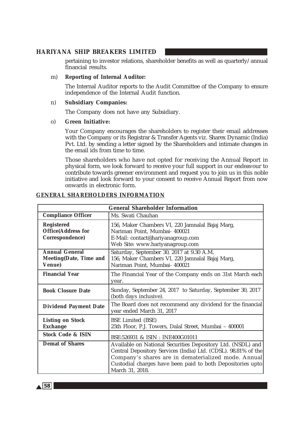pertaining to investor relations, shareholder benefits as well as quarterly/annual financial results.

#### m) **Reporting of Internal Auditor:**

The Internal Auditor reports to the Audit Committee of the Company to ensure independence of the Internal Audit function.

#### n) **Subsidiary Companies:**

The Company does not have any Subsidiary.

#### o) **Green Initiative:**

Your Company encourages the shareholders to register their email addresses with the Company or its Registrar & Transfer Agents viz. Sharex Dynamic (India) Pvt. Ltd. by sending a letter signed by the Shareholders and intimate changes in the email ids from time to time.

Those shareholders who have not opted for receiving the Annual Report in physical form, we look forward to receive your full support in our endeavour to contribute towards greener environment and request you to join us in this noble initiative and look forward to your consent to receive Annual Report from now onwards in electronic form.

|                                                                    | <b>General Shareholder Information</b>                                                                                                                                                                                                                                |
|--------------------------------------------------------------------|-----------------------------------------------------------------------------------------------------------------------------------------------------------------------------------------------------------------------------------------------------------------------|
| <b>Compliance Officer</b>                                          | Ms. Swati Chauhan                                                                                                                                                                                                                                                     |
| <b>Registered</b><br><b>Office</b> (Address for<br>Correspondence) | 156, Maker Chambers VI, 220 Jamnalal Bajaj Marg,<br>Nariman Point, Mumbai- 400021<br>E-Mail: contact@hariyanagroup.com<br>Web Site: www.hariyanagroup.com                                                                                                             |
| <b>Annual General</b><br>Meeting(Date, Time and<br>Venue)          | Saturday, September 30, 2017 at 9.30 A.M.<br>156, Maker Chambers VI, 220 Jamnalal Bajaj Marg,<br>Nariman Point, Mumbai- 400021                                                                                                                                        |
| <b>Financial Year</b>                                              | The Financial Year of the Company ends on 31st March each<br>year.                                                                                                                                                                                                    |
| <b>Book Closure Date</b>                                           | Sunday, September 24, 2017 to Saturday, September 30, 2017<br>(both days inclusive).                                                                                                                                                                                  |
| <b>Dividend Payment Date</b>                                       | The Board does not recommend any dividend for the financial<br>year ended March 31, 2017                                                                                                                                                                              |
| <b>Listing on Stock</b><br><b>Exchange</b>                         | <b>BSE Limited (BSE)</b><br>25th Floor, P.J. Towers, Dalal Street, Mumbai - 400001                                                                                                                                                                                    |
| <b>Stock Code &amp; ISIN</b>                                       | BSE:526931 & ISIN: INE400G01011                                                                                                                                                                                                                                       |
| <b>Demat of Shares</b>                                             | Available on National Securities Depository Ltd. (NSDL) and<br>Central Depository Services (India) Ltd. (CDSL). 98.81% of the<br>Company's shares are in dematerialized mode. Annual<br>Custodial charges have been paid to both Depositories upto<br>March 31, 2018. |

#### **GENERAL SHAREHOLDERS INFORMATION**

 $\triangle$  58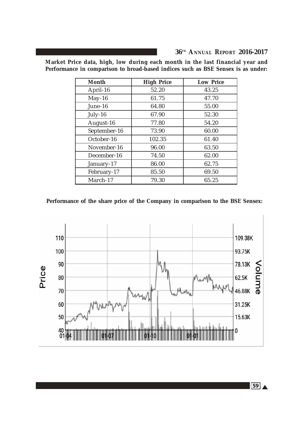| <b>Month</b> | <b>High Price</b> | <b>Low Price</b> |
|--------------|-------------------|------------------|
| April-16     | 52.20             | 43.25            |
| $May-16$     | 61.75             | 47.70            |
| June-16      | 64.80             | 55.00            |
| July-16      | 67.90             | 52.30            |
| August-16    | 77.80             | 54.20            |
| September-16 | 73.90             | 60.00            |
| October-16   | 102.35            | 61.40            |
| November-16  | 96.00             | 63.50            |
| December-16  | 74.50             | 62.00            |
| January-17   | 86.00             | 62.75            |
| February-17  | 85.50             | 69.50            |
| March-17     | 79.30             | 65.25            |

**Market Price data, high, low during each month in the last financial year and Performance in comparison to broad-based indices such as BSE Sensex is as under:**

#### **Performance of the share price of the Company in comparison to the BSE Sensex:**

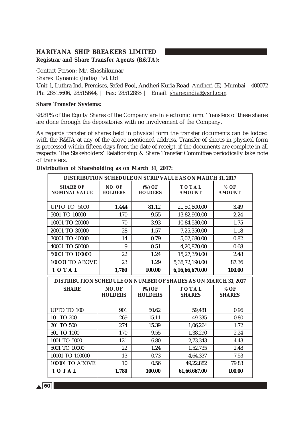# **HARIYANA SHIP BREAKERS LIMITED Registrar and Share Transfer Agents (R&TA):**

Contact Person: Mr. Shashikumar

Sharex Dynamic (India) Pvt Ltd

Unit-1, Luthra Ind. Premises, Safed Pool, Andheri Kurla Road, Andheri (E), Mumbai – 400072 Ph: 28515606, 28515644, | Fax: 28512885 | Email: sharexindia@vsnl.com

### **Share Transfer Systems:**

98.81% of the Equity Shares of the Company are in electronic form. Transfers of these shares are done through the depositories with no involvement of the Company.

As regards transfer of shares held in physical form the transfer documents can be lodged with the R&TA at any of the above mentioned address. Transfer of shares in physical form is processed within fifteen days from the date of receipt, if the documents are complete in all respects. The Stakeholders' Relationship & Share Transfer Committee periodically take note of transfers.

| DISTRIBUTION SCHEDULE ON SCRIP VALUE AS ON MARCH 31, 2017      |                          |                             |                               |                       |  |  |  |
|----------------------------------------------------------------|--------------------------|-----------------------------|-------------------------------|-----------------------|--|--|--|
| <b>SHARE OF</b><br><b>NOMINAL VALUE</b>                        | NO. OF<br><b>HOLDERS</b> | (%) OF<br><b>HOLDERS</b>    | TOTAL<br><b>AMOUNT</b>        | % OF<br><b>AMOUNT</b> |  |  |  |
| UPTO TO<br>5000                                                | 1,444                    | 81.12                       | 21,50,800.00                  | 3.49                  |  |  |  |
| 5001 TO 10000                                                  | 170                      | 9.55                        | 13,82,900.00                  | 2.24                  |  |  |  |
| 10001 TO 20000                                                 | 70                       | 3.93                        | 10,84,530.00                  | 1.75                  |  |  |  |
| 20001 TO 30000                                                 | 28                       | 1.57                        | 7,25,350.00                   | 1.18                  |  |  |  |
| 30001 TO 40000                                                 | 14                       | 0.79                        | 5,02,680.00                   | 0.82                  |  |  |  |
| 40001 TO 50000                                                 | 9                        | 0.51                        | 4,20,870.00                   | 0.68                  |  |  |  |
| 50001 TO 100000                                                | 22                       | 1.24                        | 15,27,350.00                  | 2.48                  |  |  |  |
| <b>100001 TO ABOVE</b>                                         | 23                       | 1.29                        | 5,38,72,190.00                | 87.36                 |  |  |  |
| TOTAL                                                          | 1,780                    | 100.00                      | 6,16,66,670.00                | 100.00                |  |  |  |
| DISTRIBUTION SCHEDULE ON NUMBER OF SHARES AS ON MARCH 31, 2017 |                          |                             |                               |                       |  |  |  |
|                                                                |                          |                             |                               |                       |  |  |  |
| <b>SHARE</b>                                                   | NO.OF<br><b>HOLDERS</b>  | $(\%)$ OF<br><b>HOLDERS</b> | <b>TOTAL</b><br><b>SHARES</b> | % OF<br><b>SHARES</b> |  |  |  |
| <b>UPTO TO 100</b>                                             | 901                      | 50.62                       | 59,481                        | 0.96                  |  |  |  |
| 101 TO 200                                                     | 269                      | 15.11                       | 49,335                        | 0.80                  |  |  |  |
| 201 TO 500                                                     | 274                      | 15.39                       | 1,06,264                      | 1.72                  |  |  |  |
| 501 TO 1000                                                    | 170                      | 9.55                        | 1,38,290                      | 2.24                  |  |  |  |
| 1001 TO 5000                                                   | 121                      | 6.80                        | 2,73,343                      | 4.43                  |  |  |  |
| 5001 TO 10000                                                  | 22                       | 1.24                        | 1,52,735                      | 2.48                  |  |  |  |
| 10001 TO 100000                                                | 13                       | 0.73                        | 4,64,337                      | 7.53                  |  |  |  |
| <b>100001 TO ABOVE</b><br>TOTAL                                | 10<br>1,780              | 0.56<br>100.00              | 49,22,882<br>61,66,667.00     | 79.83<br>100.00       |  |  |  |

|  |  | Distribution of Shareholding as on March 31, 2017: |  |  |  |  |  |
|--|--|----------------------------------------------------|--|--|--|--|--|
|--|--|----------------------------------------------------|--|--|--|--|--|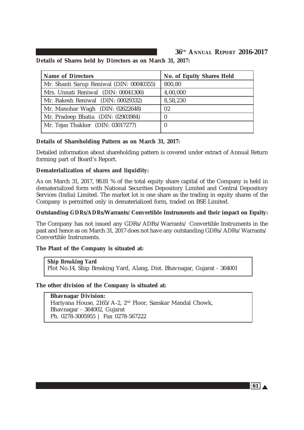| Details of Shares held by Directors as on March 31, 2017: |  |  |  |  |  |  |
|-----------------------------------------------------------|--|--|--|--|--|--|
|-----------------------------------------------------------|--|--|--|--|--|--|

| <b>Name of Directors</b>                 | No. of Equity Shares Held |
|------------------------------------------|---------------------------|
| Mr. Shanti Sarup Reniwal (DIN: 00040355) | 800,80                    |
| Mrs. Unnati Reniwal (DIN: 00041306)      | 4,00,000                  |
| Mr. Rakesh Reniwal (DIN: 00029332)       | 8,58,230                  |
| Mr. Manohar Wagh (DIN: 02622648)         | 02                        |
| Mr. Pradeep Bhatia (DIN: 02903984)       |                           |
| Mr. Tejas Thakker (DIN: 03017277)        |                           |

#### **Details of Shareholding Pattern as on March 31, 2017:**

Detailed information about shareholding pattern is covered under extract of Annual Return forming part of Board's Report.

#### **Dematerialization of shares and liquidity:**

As on March 31, 2017, 98.81 % of the total equity share capital of the Company is held in dematerialized form with National Securities Depository Limited and Central Depository Services (India) Limited. The market lot is one share as the trading in equity shares of the Company is permitted only in dematerialized form, traded on BSE Limited.

#### **Outstanding GDRs/ADRs/Warrants/ Convertible Instruments and their impact on Equity:**

The Company has not issued any GDRs/ADRs/Warrants/ Convertible Instruments in the past and hence as on March 31, 2017 does not have any outstanding GDRs/ADRs/Warrants/ Convertible Instruments.

#### **The Plant of the Company is situated at:**

*Ship Breaking Yard* Plot No.14, Ship Breaking Yard, Alang, Dist. Bhavnagar, Gujarat - 364001

#### **The other division of the Company is situated at:**

**Bhavnagar Division:** Hariyana House, 2165/A-2, 2nd Floor, Sanskar Mandal Chowk, Bhavnagar - 364002, Gujarat Ph. 0278-3005955 | Fax 0278-567222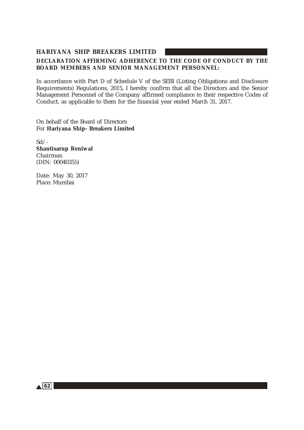#### **DECLARATION AFFIRMING ADHERENCE TO THE CODE OF CONDUCT BY THE BOARD MEMBERS AND SENIOR MANAGEMENT PERSONNEL:**

In accordance with Part D of Schedule V of the SEBI (Listing Obligations and Disclosure Requirements) Regulations, 2015, I hereby confirm that all the Directors and the Senior Management Personnel of the Company affirmed compliance to their respective Codes of Conduct, as applicable to them for the financial year ended March 31, 2017.

On behalf of the Board of Directors For **Hariyana Ship- Breakers Limited**

 $Sd$  /-**Shantisarup Reniwal** Chairman (DIN: 00040355)

Date: May 30, 2017 Place: Mumbai

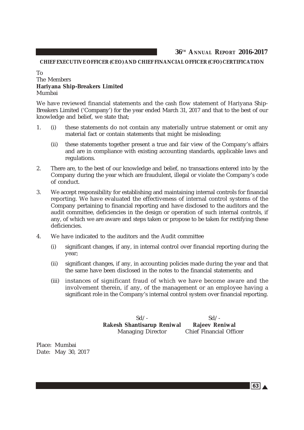**CHIEF EXECUTIVE OFFICER (CEO) AND CHIEF FINANCIAL OFFICER (CFO) CERTIFICATION**

#### To The Members **Hariyana Ship-Breakers Limited** Mumbai

We have reviewed financial statements and the cash flow statement of Hariyana Ship-Breakers Limited ('Company') for the year ended March 31, 2017 and that to the best of our knowledge and belief, we state that;

- 1. (i) these statements do not contain any materially untrue statement or omit any material fact or contain statements that might be misleading;
	- (ii) these statements together present a true and fair view of the Company's affairs and are in compliance with existing accounting standards, applicable laws and regulations.
- 2. There are, to the best of our knowledge and belief, no transactions entered into by the Company during the year which are fraudulent, illegal or violate the Company's code of conduct.
- 3. We accept responsibility for establishing and maintaining internal controls for financial reporting. We have evaluated the effectiveness of internal control systems of the Company pertaining to financial reporting and have disclosed to the auditors and the audit committee, deficiencies in the design or operation of such internal controls, if any, of which we are aware and steps taken or propose to be taken for rectifying these deficiencies.
- 4. We have indicated to the auditors and the Audit committee
	- (i) significant changes, if any, in internal control over financial reporting during the year;
	- (ii) significant changes, if any, in accounting policies made during the year and that the same have been disclosed in the notes to the financial statements; and
	- (iii) instances of significant fraud of which we have become aware and the involvement therein, if any, of the management or an employee having a significant role in the Company's internal control system over financial reporting.

 $Sd/-$ **Rakesh Shantisarup Reniwal Rajeev Reniwal** Managing Director Chief Financial Officer

Place: Mumbai Date: May 30, 2017

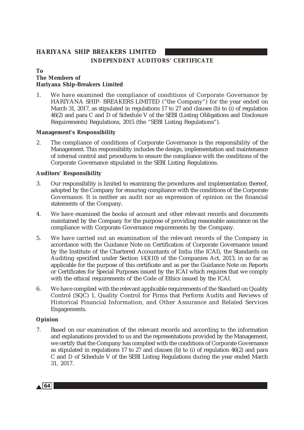# **HARIYANA SHIP BREAKERS LIMITED INDEPENDENT AUDITORS' CERTIFICATE**

#### **To The Members of Hariyana Ship-Breakers Limited**

1. We have examined the compliance of conditions of Corporate Governance by HARIYANA SHIP- BREAKERS LIMITED ("the Company") for the year ended on March 31, 2017, as stipulated in regulations 17 to 27 and clauses (b) to (i) of regulation 46(2) and para C and D of Schedule V of the SEBI (Listing Obligations and Disclosure Requirements) Regulations, 2015 (the "SEBI Listing Regulations").

### **Management's Responsibility**

2. The compliance of conditions of Corporate Governance is the responsibility of the Management. This responsibility includes the design, implementation and maintenance of internal control and procedures to ensure the compliance with the conditions of the Corporate Governance stipulated in the SEBI Listing Regulations.

### **Auditors' Responsibility**

- 3. Our responsibility is limited to examining the procedures and implementation thereof, adopted by the Company for ensuring compliance with the conditions of the Corporate Governance. It is neither an audit nor an expression of opinion on the financial statements of the Company.
- 4. We have examined the books of account and other relevant records and documents maintained by the Company for the purpose of providing reasonable assurance on the compliance with Corporate Governance requirements by the Company.
- 5. We have carried out an examination of the relevant records of the Company in accordance with the Guidance Note on Certification of Corporate Governance issued by the Institute of the Chartered Accountants of India (the ICAI), the Standards on Auditing specified under Section 143(10) of the Companies Act, 2013, in so far as applicable for the purpose of this certificate and as per the Guidance Note on Reports or Certificates for Special Purposes issued by the ICAI which requires that we comply with the ethical requirements of the Code of Ethics issued by the ICAI.
- 6. We have complied with the relevant applicable requirements of the Standard on Quality Control (SQC) 1, Quality Control for Firms that Perform Audits and Reviews of Historical Financial Information, and Other Assurance and Related Services Engagements.

### **Opinion**

7. Based on our examination of the relevant records and according to the information and explanations provided to us and the representations provided by the Management, we certify that the Company has complied with the conditions of Corporate Governance as stipulated in regulations 17 to 27 and clauses (b) to (i) of regulation 46(2) and para C and D of Schedule V of the SEBI Listing Regulations during the year ended March 31, 2017.

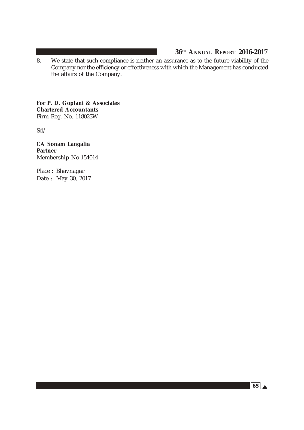8. We state that such compliance is neither an assurance as to the future viability of the Company nor the efficiency or effectiveness with which the Management has conducted the affairs of the Company.

**For P. D. Goplani & Associates Chartered Accountants** Firm Reg. No. 118023W

Sd/-

**CA Sonam Langalia Partner** Membership No.154014

Place **:** Bhavnagar Date : May 30, 2017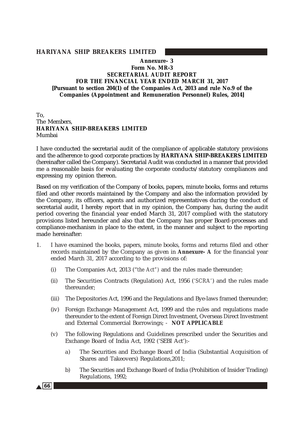#### **Annexure- 3 Form No. MR-3 SECRETARIAL AUDIT REPORT FOR THE FINANCIAL YEAR ENDED MARCH 31, 2017 [Pursuant to section 204(1) of the Companies Act, 2013 and rule No.9 of the Companies (Appointment and Remuneration Personnel) Rules, 2014]**

To, The Members, **HARIYANA SHIP-BREAKERS LIMITED** Mumbai

I have conducted the secretarial audit of the compliance of applicable statutory provisions and the adherence to good corporate practices by **HARIYANA SHIP-BREAKERS LIMITED** (hereinafter called the Company). Secretarial Audit was conducted in a manner that provided me a reasonable basis for evaluating the corporate conducts/statutory compliances and expressing my opinion thereon.

Based on my verification of the Company of books, papers, minute books, forms and returns filed and other records maintained by the Company and also the information provided by the Company, its officers, agents and authorized representatives during the conduct of secretarial audit, I hereby report that in my opinion, the Company has, during the audit period covering the financial year ended March 31, 2017 complied with the statutory provisions listed hereunder and also that the Company has proper Board-processes and compliance-mechanism in place to the extent, in the manner and subject to the reporting made hereinafter:

- 1. I have examined the books, papers, minute books, forms and returns filed and other records maintained by the Company as given in **Annexure- A** for the financial year ended March 31, 2017 according to the provisions of:
	- (i) The Companies Act, 2013 ("*the Act")* and the rules made thereunder;
	- (ii) The Securities Contracts (Regulation) Act, 1956 (*'SCRA'*) and the rules made thereunder;
	- (iii) The Depositories Act, 1996 and the Regulations and Bye-laws framed thereunder;
	- (iv) Foreign Exchange Management Act, 1999 and the rules and regulations made thereunder to the extent of Foreign Direct Investment, Overseas Direct Investment and External Commercial Borrowings; - **NOT APPLICABLE**
	- (v) The following Regulations and Guidelines prescribed under the Securities and Exchange Board of India Act, 1992 ('SEBI Act'):
		- a) The Securities and Exchange Board of India (Substantial Acquisition of Shares and Takeovers) Regulations,2011;
		- b) The Securities and Exchange Board of India (Prohibition of Insider Trading) Regulations, 1992;

 $\blacktriangle$  66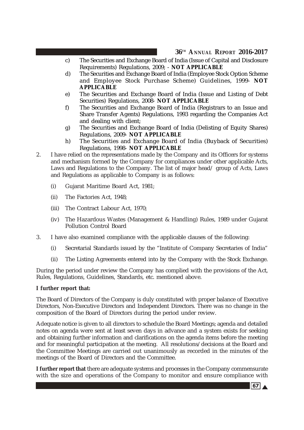- c) The Securities and Exchange Board of India (Issue of Capital and Disclosure Requirements) Regulations, 2009; - **NOT APPLICABLE**
- d) The Securities and Exchange Board of India (Employee Stock Option Scheme and Employee Stock Purchase Scheme) Guidelines, 1999- **NOT APPLICABLE**
- e) The Securities and Exchange Board of India (Issue and Listing of Debt Securities) Regulations, 2008- **NOT APPLICABLE**
- f) The Securities and Exchange Board of India (Registrars to an Issue and Share Transfer Agents) Regulations, 1993 regarding the Companies Act and dealing with client;
- g) The Securities and Exchange Board of India (Delisting of Equity Shares) Regulations, 2009- **NOT APPLICABLE**
- h) The Securities and Exchange Board of India (Buyback of Securities) Regulations, 1998- **NOT APPLICABLE**
- 2. I have relied on the representations made by the Company and its Officers for systems and mechanism formed by the Company for compliances under other applicable Acts, Laws and Regulations to the Company. The list of major head/ group of Acts, Laws and Regulations as applicable to Company is as follows:
	- (i) Gujarat Maritime Board Act, 1981;
	- (ii) The Factories Act, 1948;
	- (iii) The Contract Labour Act, 1970;
	- (iv) The Hazardous Wastes (Management & Handling) Rules, 1989 under Gujarat Pollution Control Board
- 3. I have also examined compliance with the applicable clauses of the following:
	- (i) Secretarial Standards issued by the "Institute of Company Secretaries of India"
	- (ii) The Listing Agreements entered into by the Company with the Stock Exchange.

During the period under review the Company has complied with the provisions of the Act, Rules, Regulations, Guidelines, Standards, etc. mentioned above.

#### **I further report that:**

The Board of Directors of the Company is duly constituted with proper balance of Executive Directors, Non-Executive Directors and Independent Directors. There was no change in the composition of the Board of Directors during the period under review.

Adequate notice is given to all directors to schedule the Board Meetings; agenda and detailed notes on agenda were sent at least seven days in advance and a system exists for seeking and obtaining further information and clarifications on the agenda items before the meeting and for meaningful participation at the meeting. All resolutions/decisions at the Board and the Committee Meetings are carried out unanimously as recorded in the minutes of the meetings of the Board of Directors and the Committee.

**I further report that** there are adequate systems and processes in the Company commensurate with the size and operations of the Company to monitor and ensure compliance with

 $67 \Delta$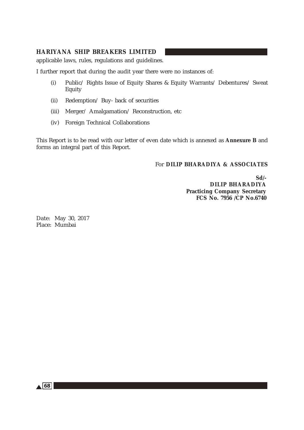applicable laws, rules, regulations and guidelines.

I further report that during the audit year there were no instances of:

- (i) Public/ Rights Issue of Equity Shares & Equity Warrants/ Debentures/ Sweat Equity
- (ii) Redemption/ Buy- back of securities
- (iii) Merger/ Amalgamation/ Reconstruction, etc
- (iv) Foreign Technical Collaborations

This Report is to be read with our letter of even date which is annexed as **Annexure B** and forms an integral part of this Report.

#### For **DILIP BHARADIYA & ASSOCIATES**

**Sd/- DILIP BHARADIYA Practicing Company Secretary FCS No. 7956 /CP No.6740**

Date: May 30, 2017 Place: Mumbai

 $\triangle$  68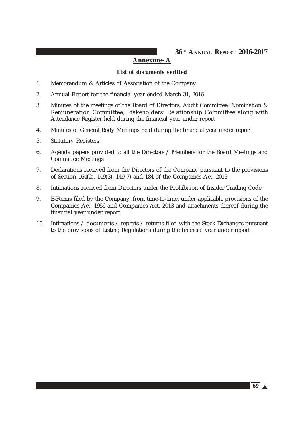#### **Annexure- A**

#### **List of documents verified**

- 1. Memorandum & Articles of Association of the Company
- 2. Annual Report for the financial year ended March 31, 2016
- 3. Minutes of the meetings of the Board of Directors, Audit Committee, Nomination & Remuneration Committee, Stakeholders' Relationship Committee along with Attendance Register held during the financial year under report
- 4. Minutes of General Body Meetings held during the financial year under report
- 5. Statutory Registers
- 6. Agenda papers provided to all the Directors / Members for the Board Meetings and Committee Meetings
- 7. Declarations received from the Directors of the Company pursuant to the provisions of Section 164(2), 149(3), 149(7) and 184 of the Companies Act, 2013
- 8. Intimations received from Directors under the Prohibition of Insider Trading Code
- 9. E-Forms filed by the Company, from time-to-time, under applicable provisions of the Companies Act, 1956 and Companies Act, 2013 and attachments thereof during the financial year under report
- 10. Intimations / documents / reports / returns filed with the Stock Exchanges pursuant to the provisions of Listing Regulations during the financial year under report

**69**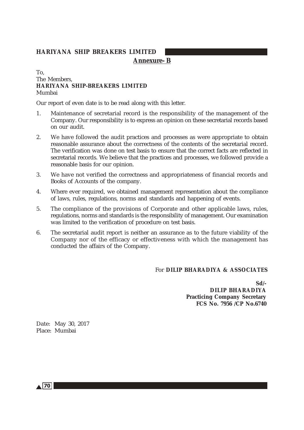# **HARIYANA SHIP BREAKERS LIMITED Annexure- B**

#### To, The Members, **HARIYANA SHIP-BREAKERS LIMITED** Mumbai

Our report of even date is to be read along with this letter.

- 1. Maintenance of secretarial record is the responsibility of the management of the Company. Our responsibility is to express an opinion on these secretarial records based on our audit.
- 2. We have followed the audit practices and processes as were appropriate to obtain reasonable assurance about the correctness of the contents of the secretarial record. The verification was done on test basis to ensure that the correct facts are reflected in secretarial records. We believe that the practices and processes, we followed provide a reasonable basis for our opinion.
- 3. We have not verified the correctness and appropriateness of financial records and Books of Accounts of the company.
- 4. Where ever required, we obtained management representation about the compliance of laws, rules, regulations, norms and standards and happening of events.
- 5. The compliance of the provisions of Corporate and other applicable laws, rules, regulations, norms and standards is the responsibility of management. Our examination was limited to the verification of procedure on test basis.
- 6. The secretarial audit report is neither an assurance as to the future viability of the Company nor of the efficacy or effectiveness with which the management has conducted the affairs of the Company.

#### For **DILIP BHARADIYA & ASSOCIATES**

**Sd/- DILIP BHARADIYA Practicing Company Secretary FCS No. 7956 /CP No.6740**

Date: May 30, 2017 Place: Mumbai

 $\triangle$  70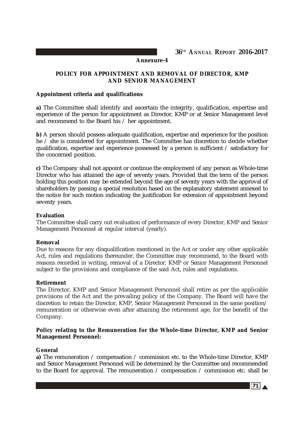#### **Annexure-4**

#### **POLICY FOR APPOINTMENT AND REMOVAL OF DIRECTOR, KMP AND SENIOR MANAGEMENT**

#### **Appointment criteria and qualifications**

**a)** The Committee shall identify and ascertain the integrity, qualification, expertise and experience of the person for appointment as Director, KMP or at Senior Management level and recommend to the Board his / her appointment.

**b)** A person should possess adequate qualification, expertise and experience for the position he / she is considered for appointment. The Committee has discretion to decide whether qualification, expertise and experience possessed by a person is sufficient / satisfactory for the concerned position.

**c)** The Company shall not appoint or continue the employment of any person as Whole-time Director who has attained the age of seventy years. Provided that the term of the person holding this position may be extended beyond the age of seventy years with the approval of shareholders by passing a special resolution based on the explanatory statement annexed to the notice for such motion indicating the justification for extension of appointment beyond seventy years.

#### **Evaluation**

The Committee shall carry out evaluation of performance of every Director, KMP and Senior Management Personnel at regular interval (yearly).

#### **Removal**

Due to reasons for any disqualification mentioned in the Act or under any other applicable Act, rules and regulations thereunder, the Committee may recommend, to the Board with reasons recorded in writing, removal of a Director, KMP or Senior Management Personnel subject to the provisions and compliance of the said Act, rules and regulations.

#### **Retirement**

The Director, KMP and Senior Management Personnel shall retire as per the applicable provisions of the Act and the prevailing policy of the Company. The Board will have the discretion to retain the Director, KMP, Senior Management Personnel in the same position/ remuneration or otherwise even after attaining the retirement age, for the benefit of the Company.

#### **Policy relating to the Remuneration for the Whole-time Director, KMP and Senior Management Personnel:**

#### **General**

**a)** The remuneration / compensation / commission etc. to the Whole-time Director, KMP and Senior Management Personnel will be determined by the Committee and recommended to the Board for approval. The remuneration / compensation / commission etc. shall be

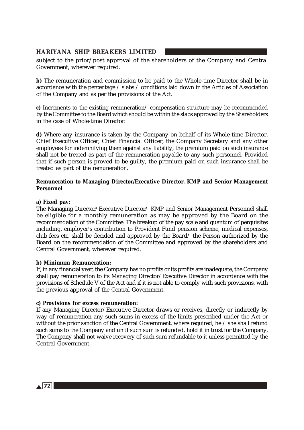subject to the prior/post approval of the shareholders of the Company and Central Government, wherever required.

**b)** The remuneration and commission to be paid to the Whole-time Director shall be in accordance with the percentage / slabs / conditions laid down in the Articles of Association of the Company and as per the provisions of the Act.

**c)** Increments to the existing remuneration/ compensation structure may be recommended by the Committee to the Board which should be within the slabs approved by the Shareholders in the case of Whole-time Director.

**d)** Where any insurance is taken by the Company on behalf of its Whole-time Director, Chief Executive Officer, Chief Financial Officer, the Company Secretary and any other employees for indemnifying them against any liability, the premium paid on such insurance shall not be treated as part of the remuneration payable to any such personnel. Provided that if such person is proved to be guilty, the premium paid on such insurance shall be treated as part of the remuneration.

### **Remuneration to Managing Director/Executive Director, KMP and Senior Management Personnel**

### **a) Fixed pay:**

The Managing Director/Executive Director/ KMP and Senior Management Personnel shall be eligible for a monthly remuneration as may be approved by the Board on the recommendation of the Committee. The breakup of the pay scale and quantum of perquisites including, employer's contribution to Provident Fund pension scheme, medical expenses, club fees etc. shall be decided and approved by the Board/ the Person authorized by the Board on the recommendation of the Committee and approved by the shareholders and Central Government, wherever required.

### **b) Minimum Remuneration:**

If, in any financial year, the Company has no profits or its profits are inadequate, the Company shall pay remuneration to its Managing Director/Executive Director in accordance with the provisions of Schedule V of the Act and if it is not able to comply with such provisions, with the previous approval of the Central Government.

### **c) Provisions for excess remuneration:**

If any Managing Director/Executive Director draws or receives, directly or indirectly by way of remuneration any such sums in excess of the limits prescribed under the Act or without the prior sanction of the Central Government, where required, he / she shall refund such sums to the Company and until such sum is refunded, hold it in trust for the Company. The Company shall not waive recovery of such sum refundable to it unless permitted by the Central Government.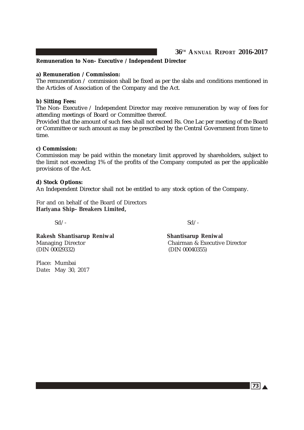#### **Remuneration to Non- Executive / Independent Director**

#### **a) Remuneration / Commission:**

The remuneration / commission shall be fixed as per the slabs and conditions mentioned in the Articles of Association of the Company and the Act.

#### **b) Sitting Fees:**

The Non- Executive / Independent Director may receive remuneration by way of fees for attending meetings of Board or Committee thereof.

Provided that the amount of such fees shall not exceed Rs. One Lac per meeting of the Board or Committee or such amount as may be prescribed by the Central Government from time to time.

#### **c) Commission:**

Commission may be paid within the monetary limit approved by shareholders, subject to the limit not exceeding 1% of the profits of the Company computed as per the applicable provisions of the Act.

#### **d) Stock Options:**

An Independent Director shall not be entitled to any stock option of the Company.

For and on behalf of the Board of Directors **Hariyana Ship- Breakers Limited,**

 $Sd$ -

**Rakesh Shantisarup Reniwal Shantisarup Reniwal** (DIN 00029332) (DIN 00040355)

Managing Director Chairman & Executive Director

Place: Mumbai Date**:** May 30, 2017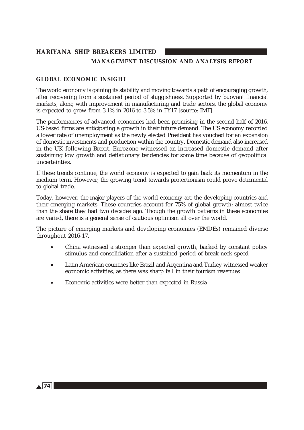# **HARIYANA SHIP BREAKERS LIMITED MANAGEMENT DISCUSSION AND ANALYSIS REPORT**

# **GLOBAL ECONOMIC INSIGHT**

The world economy is gaining its stability and moving towards a path of encouraging growth, after recovering from a sustained period of sluggishness. Supported by buoyant financial markets, along with improvement in manufacturing and trade sectors, the global economy is expected to grow from 3.1% in 2016 to 3.5% in FY17 [source: IMF].

The performances of advanced economies had been promising in the second half of 2016. US-based firms are anticipating a growth in their future demand. The US economy recorded a lower rate of unemployment as the newly elected President has vouched for an expansion of domestic investments and production within the country. Domestic demand also increased in the UK following Brexit. Eurozone witnessed an increased domestic demand after sustaining low growth and deflationary tendencies for some time because of geopolitical uncertainties.

If these trends continue, the world economy is expected to gain back its momentum in the medium term. However, the growing trend towards protectionism could prove detrimental to global trade.

Today, however, the major players of the world economy are the developing countries and their emerging markets. These countries account for 75% of global growth; almost twice than the share they had two decades ago. Though the growth patterns in these economies are varied, there is a general sense of cautious optimism all over the world.

The picture of emerging markets and developing economies (EMDEs) remained diverse throughout 2016-17.

- China witnessed a stronger than expected growth, backed by constant policy stimulus and consolidation after a sustained period of break-neck speed
- Latin American countries like Brazil and Argentina and Turkey witnessed weaker economic activities, as there was sharp fall in their tourism revenues
- Economic activities were better than expected in Russia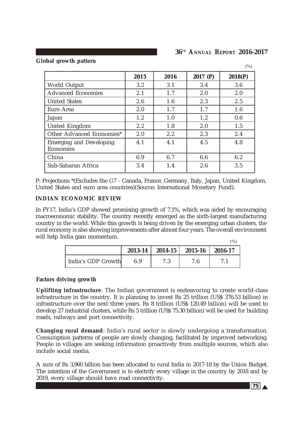#### **Global growth pattern**

|                                             |      |      |          | $\sqrt{2}$ |
|---------------------------------------------|------|------|----------|------------|
|                                             | 2015 | 2016 | 2017 (P) | 2018(P)    |
| <b>World Output</b>                         | 3.2  | 3.1  | 3.4      | 3.6        |
| <b>Advanced Economies</b>                   | 2.1  | 1.7  | 2.0      | 2.0        |
| <b>United States</b>                        | 2.6  | 1.6  | 2.3      | 2.5        |
| Euro Area                                   | 2.0  | 1.7  | 1.7      | 1.6        |
| Japan                                       | 1.2  | 1.0  | 1.2      | 0.6        |
| United Kingdom                              | 2.2  | 1.8  | 2.0      | 1.5        |
| Other Advanced Economies*                   | 2.0  | 2.2  | 2.3      | 2.4        |
| <b>Emerging and Developing</b><br>Economies | 4.1  | 4.1  | 4.5      | 4.8        |
| China                                       | 6.9  | 6.7  | 6.6      | 6.2        |
| Sub-Saharan Africa                          | 3.4  | 1.4  | 2.6      | 3.5        |

P: Projections \*(Excludes the G7 - Canada, France, Germany, Italy, Japan, United Kingdom, United States and euro area countries)(Source: International Monetary Fund).

### **INDIAN ECONOMIC REVIEW**

In FY17, India's GDP showed promising growth of 7.1%, which was aided by encouraging macroeconomic stability. The country recently emerged as the sixth-largest manufacturing country in the world. While this growth is being driven by the emerging urban clusters, the rural economy is also showing improvements after almost four years. The overall environment will help India gain momentum.  $\sim$ 

|                    |             |             |                     | . 70 |
|--------------------|-------------|-------------|---------------------|------|
|                    | $2013 - 14$ | $2014 - 15$ | $2015-16$   2016-17 |      |
| India's GDP Growth | 6.9         | 7.3         | 7.6                 |      |

### **Factors driving growth**

**Uplifting infrastructure**: The Indian government is endeavoring to create world-class infrastructure in the country. It is planning to invest Rs 25 trillion (US\$ 376.53 billion) in infrastructure over the next three years. Rs 8 trillion (US\$ 120.49 billion) will be used to develop 27 industrial clusters, while Rs 5 trillion (US\$ 75.30 billion) will be used for building roads, railways and port connectivity.

**Changing rural demand**: India's rural sector is slowly undergoing a transformation. Consumption patterns of people are slowly changing, facilitated by improved networking. People in villages are seeking information proactively from multiple sources, which also include social media.

A sum of Rs 3,960 billion has been allocated to rural India in 2017-18 by the Union Budget. The intention of the Government is to electrify every village in the country by 2018 and by 2019, every village should have road connectivity.

 $(0)$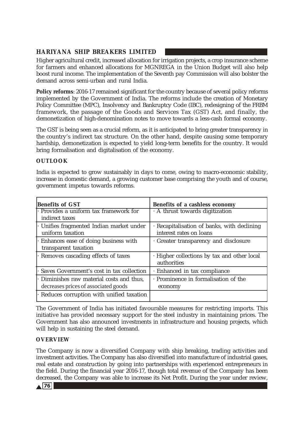Higher agricultural credit, increased allocation for irrigation projects, a crop insurance scheme for farmers and enhanced allocations for MGNREGA in the Union Budget will also help boost rural income. The implementation of the Seventh pay Commission will also bolster the demand across semi-urban and rural India.

**Policy reforms**: 2016-17 remained significant for the country because of several policy reforms implemented by the Government of India. The reforms include the creation of Monetary Policy Committee (MPC), Insolvency and Bankruptcy Code (IBC), redesigning of the FRBM framework, the passage of the Goods and Services Tax (GST) Act, and finally, the demonetization of high-denomination notes to move towards a less-cash formal economy.

The GST is being seen as a crucial reform, as it is anticipated to bring greater transparency in the country's indirect tax structure. On the other hand, despite causing some temporary hardship, demonetization is expected to yield long-term benefits for the country. It would bring formalisation and digitalisation of the economy.

# **OUTLOOK**

India is expected to grow sustainably in days to come, owing to macro-economic stability, increase in domestic demand, a growing customer base comprising the youth and of course, government impetus towards reforms.

| <b>Benefits of GST</b>                    | Benefits of a cashless economy              |
|-------------------------------------------|---------------------------------------------|
| Provides a uniform tax framework for      | · A thrust towards digitization             |
| indirect taxes                            |                                             |
| · Unifies fragmented Indian market under  | · Recapitalisation of banks, with declining |
| uniform taxation                          | interest rates on loans                     |
| Enhances ease of doing business with      | Greater transparency and disclosure         |
| transparent taxation                      |                                             |
| Removes cascading effects of taxes        | · Higher collections by tax and other local |
|                                           | authorities                                 |
| Saves Government's cost in tax collection | · Enhanced in tax compliance                |
| Diminishes raw material costs and thus,   | · Prominence in formalisation of the        |
| decreases prices of associated goods      | economy                                     |
| Reduces corruption with unified taxation  |                                             |

The Government of India has initiated favourable measures for restricting imports. This initiative has provided necessary support for the steel industry in maintaining prices. The Government has also announced investments in infrastructure and housing projects, which will help in sustaining the steel demand.

### **OVERVIEW**

The Company is now a diversified Company with ship breaking, trading activities and investment activities. The Company has also diversified into manufacture of industrial gases, real estate and construction by going into partnerships with experienced entrepreneurs in the field. During the financial year 2016-17, though total revenue of the Company has been decreased, the Company was able to increase its Net Profit. During the year under review,

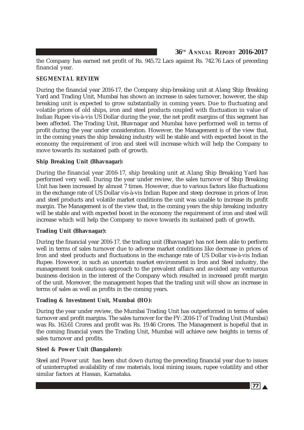the Company has earned net profit of Rs. 945.72 Lacs against Rs. 742.76 Lacs of preceding financial year.

### **SEGMENTAL REVIEW**

During the financial year 2016-17, the Company ship-breaking unit at Alang Ship Breaking Yard and Trading Unit, Mumbai has shown an increase in sales turnover, however, the ship breaking unit is expected to grow substantially in coming years. Due to fluctuating and volatile prices of old ships, iron and steel products coupled with fluctuation in value of Indian Rupee vis-à-vis US Dollar during the year, the net profit margins of this segment has been affected. The Trading Unit, Bhavnagar and Mumbai have performed well in terms of profit during the year under consideration. However, the Management is of the view that, in the coming years the ship breaking industry will be stable and with expected boost in the economy the requirement of iron and steel will increase which will help the Company to move towards its sustained path of growth.

# **Ship Breaking Unit (Bhavnagar):**

During the financial year 2016-17, ship breaking unit at Alang Ship Breaking Yard has performed very well. During the year under review, the sales turnover of Ship Breaking Unit has been increased by almost 7 times. However, due to various factors like fluctuations in the exchange rate of US Dollar vis-à-vis Indian Rupee and steep decrease in prices of Iron and steel products and volatile market conditions the unit was unable to increase its profit margin. The Management is of the view that, in the coming years the ship breaking industry will be stable and with expected boost in the economy the requirement of iron and steel will increase which will help the Company to move towards its sustained path of growth.

### **Trading Unit (Bhavnagar):**

During the financial year 2016-17, the trading unit (Bhavnagar) has not been able to perform well in terms of sales turnover due to adverse market conditions like decrease in prices of Iron and steel products and fluctuations in the exchange rate of US Dollar vis-à-vis Indian Rupee. However, in such an uncertain market environment in Iron and Steel industry, the management took cautious approach to the prevalent affairs and avoided any venturous business decision in the interest of the Company which resulted in increased profit margin of the unit. Moreover, the management hopes that the trading unit will show an increase in terms of sales as well as profits in the coming years.

### **Trading & Investment Unit, Mumbai (HO):**

During the year under review, the Mumbai Trading Unit has outperformed in terms of sales turnover and profit margins. The sales turnover for the FY: 2016-17 of Trading Unit (Mumbai) was Rs. 163.61 Crores and profit was Rs. 19.46 Crores. The Management is hopeful that in the coming financial years the Trading Unit, Mumbai will achieve new heights in terms of sales turnover and profits.

### **Steel & Power Unit (Bangalore):**

Steel and Power unit has been shut down during the preceding financial year due to issues of uninterrupted availability of raw materials, local mining issues, rupee volatility and other similar factors at Hassan, Karnataka.

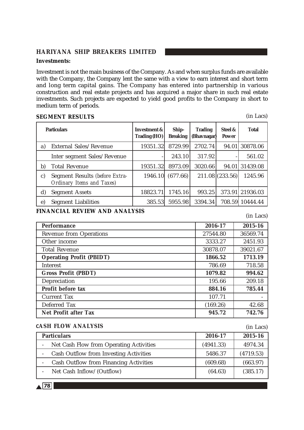#### **Investments:**

Investment is not the main business of the Company. As and when surplus funds are available with the Company, the Company lent the same with a view to earn interest and short term and long term capital gains. The Company has entered into partnership in various construction and real estate projects and has acquired a major share in such real estate investments. Such projects are expected to yield good profits to the Company in short to medium term of periods.

#### **SEGMENT RESULTS**

|               | <b>Particulars</b>                                                 | <b>Investment &amp;</b><br>Trading (HO) | Ship-<br><b>Breaking</b> | <b>Trading</b><br>(Bhavnagar) | Steel &<br><b>Power</b> | <b>Total</b>    |
|---------------|--------------------------------------------------------------------|-----------------------------------------|--------------------------|-------------------------------|-------------------------|-----------------|
| a)            | External Sales/Revenue                                             | 19351.32                                | 8729.99                  | 2702.74                       | 94.01                   | 30878.06        |
|               | Inter segment Sales/Revenue                                        |                                         | 243.10                   | 317.92                        |                         | 561.02          |
| b)            | <b>Total Revenue</b>                                               | 19351.32                                | 8973.09                  | 3020.66                       | 94.01                   | 31439.08        |
| $\mathbf{c})$ | Segment Results (before Extra-<br><b>Ordinary Items and Taxes)</b> | 1946.10                                 | (677.66)                 |                               | $211.08$ (233.56)       | 1245.96         |
| d)            | <b>Segment Assets</b>                                              | 18823.71                                | 1745.16                  | 993.25                        | 373.91                  | 21936.03        |
| e)            | <b>Segment Liabilities</b>                                         | 385.53                                  | 5955.98                  | 3394.34                       |                         | 708.59 10444.44 |

#### **FINANCIAL REVIEW AND ANALYSIS**

(in Lacs)

(in Lacs)

| <b>Performance</b>              | 2016-17  | 2015-16  |
|---------------------------------|----------|----------|
| <b>Revenue from Operations</b>  | 27544.80 | 36569.74 |
| Other income                    | 3333.27  | 2451.93  |
| <b>Total Revenue</b>            | 30878.07 | 39021.67 |
| <b>Operating Profit (PBIDT)</b> | 1866.52  | 1713.19  |
| Interest                        | 786.69   | 718.58   |
| <b>Gross Profit (PBDT)</b>      | 1079.82  | 994.62   |
| Depreciation                    | 195.66   | 209.18   |
| Profit before tax               | 884.16   | 785.44   |
| <b>Current Tax</b>              | 107.71   |          |
| Deferred Tax                    | (169.26) | 42.68    |
| <b>Net Profit after Tax</b>     | 945.72   | 742.76   |

| <b>CASH FLOW ANALYSIS</b>               |           | (in Lacs) |
|-----------------------------------------|-----------|-----------|
| <b>Particulars</b>                      | 2016-17   | 2015-16   |
| Net Cash Flow from Operating Activities | (4941.33) | 4974.34   |
| Cash Outflow from Investing Activities  | 5486.37   | (4719.53) |
| Cash Outflow from Financing Activities  | (609.68)  | (663.97)  |
| Net Cash Inflow/(Outflow)               | (64.63)   | (385.17)  |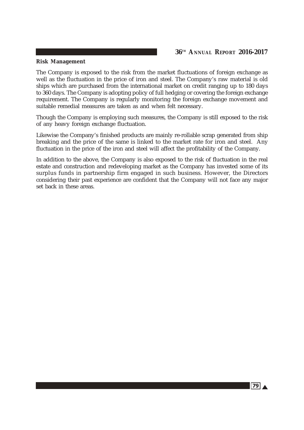#### **Risk Management**

The Company is exposed to the risk from the market fluctuations of foreign exchange as well as the fluctuation in the price of iron and steel. The Company's raw material is old ships which are purchased from the international market on credit ranging up to 180 days to 360 days. The Company is adopting policy of full hedging or covering the foreign exchange requirement. The Company is regularly monitoring the foreign exchange movement and suitable remedial measures are taken as and when felt necessary.

Though the Company is employing such measures, the Company is still exposed to the risk of any heavy foreign exchange fluctuation.

Likewise the Company's finished products are mainly re-rollable scrap generated from ship breaking and the price of the same is linked to the market rate for iron and steel. Any fluctuation in the price of the iron and steel will affect the profitability of the Company.

In addition to the above, the Company is also exposed to the risk of fluctuation in the real estate and construction and redeveloping market as the Company has invested some of its surplus funds in partnership firm engaged in such business. However, the Directors considering their past experience are confident that the Company will not face any major set back in these areas.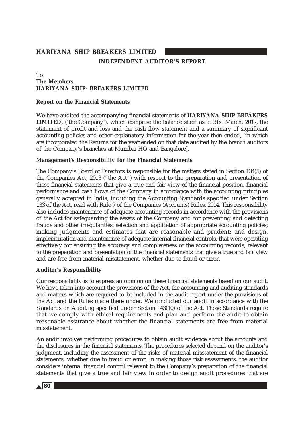# **HARIYANA SHIP BREAKERS LIMITED INDEPENDENT AUDITOR'S REPORT**

#### To **The Members, HARIYANA SHIP- BREAKERS LIMITED**

#### **Report on the Financial Statements**

We have audited the accompanying financial statements of **HARIYANA SHIP BREAKERS LIMITED,** ('the Company'), which comprise the balance sheet as at 31st March, 2017, the statement of profit and loss and the cash flow statement and a summary of significant accounting policies and other explanatory information for the year then ended, [in which are incorporated the Returns for the year ended on that date audited by the branch auditors of the Company's branches at Mumbai HO and Bangalore].

#### **Management's Responsibility for the Financial Statements**

The Company's Board of Directors is responsible for the matters stated in Section 134(5) of the Companies Act, 2013 ("the Act") with respect to the preparation and presentation of these financial statements that give a true and fair view of the financial position, financial performance and cash flows of the Company in accordance with the accounting principles generally accepted in India, including the Accounting Standards specified under Section 133 of the Act, read with Rule 7 of the Companies (Accounts) Rules, 2014. This responsibility also includes maintenance of adequate accounting records in accordance with the provisions of the Act for safeguarding the assets of the Company and for preventing and detecting frauds and other irregularities; selection and application of appropriate accounting policies; making judgments and estimates that are reasonable and prudent; and design, implementation and maintenance of adequate internal financial controls, that were operating effectively for ensuring the accuracy and completeness of the accounting records, relevant to the preparation and presentation of the financial statements that give a true and fair view and are free from material misstatement, whether due to fraud or error.

### **Auditor's Responsibility**

Our responsibility is to express an opinion on these financial statements based on our audit. We have taken into account the provisions of the Act, the accounting and auditing standards and matters which are required to be included in the audit report under the provisions of the Act and the Rules made there under. We conducted our audit in accordance with the Standards on Auditing specified under Section 143(10) of the Act. Those Standards require that we comply with ethical requirements and plan and perform the audit to obtain reasonable assurance about whether the financial statements are free from material misstatement.

An audit involves performing procedures to obtain audit evidence about the amounts and the disclosures in the financial statements. The procedures selected depend on the auditor's judgment, including the assessment of the risks of material misstatement of the financial statements, whether due to fraud or error. In making those risk assessments, the auditor considers internal financial control relevant to the Company's preparation of the financial statements that give a true and fair view in order to design audit procedures that are

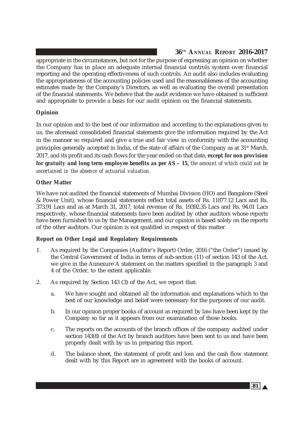appropriate in the circumstances, but not for the purpose of expressing an opinion on whether the Company has in place an adequate internal financial controls system over financial reporting and the operating effectiveness of such controls. An audit also includes evaluating the appropriateness of the accounting policies used and the reasonableness of the accounting estimates made by the Company's Directors, as well as evaluating the overall presentation of the financial statements. We believe that the audit evidence we have obtained is sufficient and appropriate to provide a basis for our audit opinion on the financial statements.

# **Opinion**

In our opinion and to the best of our information and according to the explanations given to us, the aforesaid consolidated financial statements give the information required by the Act in the manner so required and give a true and fair view in conformity with the accounting principles generally accepted in India, of the state of affairs of the Company as at 31<sup>st</sup> March, 2017, and its profit and its cash flows for the year ended on that date, *except for non provision for gratuity and long term employee benefits as per AS – 15, the amount of which could not be ascertained in the absence of actuarial valuation.*

# **Other Matter**

We have not audited the financial statements of Mumbai Division (HO) and Bangalore (Steel & Power Unit), whose financial statements reflect total assets of Rs. 11877.12 Lacs and Rs. 373.91 Lacs and as at March 31, 2017, total revenue of Rs. 19392.35 Lacs and Rs. 94.01 Lacs respectively, whose financial statements have been audited by other auditors whose reports have been furnished to us by the Management, and our opinion is based solely on the reports of the other auditors. Our opinion is not qualified in respect of this matter.

# **Report on Other Legal and Regulatory Requirements**

- 1. As required by the Companies (Auditor's Report) Order, 2016 ("the Order") issued by the Central Government of India in terms of sub-section (11) of section 143 of the Act, we give in the Annexure A statement on the matters specified in the paragraph 3 and 4 of the Order, to the extent applicable.
- 2. As required by Section 143 (3) of the Act, we report that:
	- a. We have sought and obtained all the information and explanations which to the best of our knowledge and belief were necessary for the purposes of our audit.
	- b. In our opinion proper books of account as required by law have been kept by the Company so far as it appears from our examination of those books.
	- c. The reports on the accounts of the branch offices of the company audited under section 143(8) of the Act by branch auditors have been sent to us and have been properly dealt with by us in preparing this report.
	- d. The balance sheet, the statement of profit and loss and the cash flow statement dealt with by this Report are in agreement with the books of account.

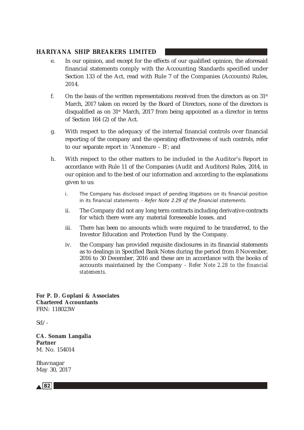- e. In our opinion, and except for the effects of our qualified opinion, the aforesaid financial statements comply with the Accounting Standards specified under Section 133 of the Act, read with Rule 7 of the Companies (Accounts) Rules, 2014.
- f. On the basis of the written representations received from the directors as on  $31<sup>st</sup>$ March, 2017 taken on record by the Board of Directors, none of the directors is disqualified as on 31<sup>st</sup> March, 2017 from being appointed as a director in terms of Section 164 (2) of the Act.
- g. With respect to the adequacy of the internal financial controls over financial reporting of the company and the operating effectiveness of such controls, refer to our separate report in 'Annexure – B'; and
- h. With respect to the other matters to be included in the Auditor's Report in accordance with Rule 11 of the Companies (Audit and Auditors) Rules, 2014, in our opinion and to the best of our information and according to the explanations given to us:
	- i. The Company has disclosed impact of pending litigations on its financial position in its financial statements - Refer Note 2.29 of the financial statements.
	- ii. The Company did not any long term contracts including derivative contracts for which there were any material foreseeable losses. and
	- iii. There has been no amounts which were required to be transferred, to the Investor Education and Protection Fund by the Company.
	- iv. the Company has provided requisite disclosures in its financial statements as to dealings in Specified Bank Notes during the period from 8 November, 2016 to 30 December, 2016 and these are in accordance with the books of accounts maintained by the Company - *Refer Note 2.28 to the financial statements.*

**For P. D. Goplani & Associates Chartered Accountants** FRN: 118023W

 $Sd$  /-

**CA. Sonam Langalia Partner** M. No. 154014

Bhavnagar May 30, 2017

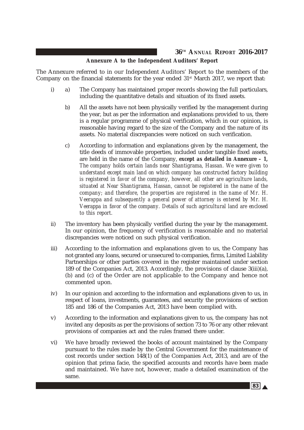#### **Annexure A to the Independent Auditors' Report**

The Annexure referred to in our Independent Auditors' Report to the members of the Company on the financial statements for the year ended  $31<sup>st</sup>$  March 2017, we report that:

- i) a) The Company has maintained proper records showing the full particulars, including the quantitative details and situation of its fixed assets.
	- b) All the assets have not been physically verified by the management during the year, but as per the information and explanations provided to us, there is a regular programme of physical verification, which in our opinion, is reasonable having regard to the size of the Company and the nature of its assets. No material discrepancies were noticed on such verification.
	- c) According to information and explanations given by the management, the title deeds of immovable properties, included under tangible fixed assets, are held in the name of the Company, *except as detailed in Annexure – 1, The company holds certain lands near Shantigrama, Hassan. We were given to understand except main land on which company has constructed factory building is registered in favor of the company, however, all other are agriculture lands, situated at Near Shantigrama, Hassan, cannot be registered in the name of the company; and therefore, the properties are registered in the name of Mr. H. Veerappa and subsequently a general power of attorney is entered by Mr. H. Veerappa in favor of the company. Details of such agricultural land are enclosed to this report.*
- ii) The inventory has been physically verified during the year by the management. In our opinion, the frequency of verification is reasonable and no material discrepancies were noticed on such physical verification.
- iii) According to the information and explanations given to us, the Company has not granted any loans, secured or unsecured to companies, firms, Limited Liability Partnerships or other parties covered in the register maintained under section 189 of the Companies Act, 2013. Accordingly, the provisions of clause 3(iii)(a), (b) and (c) of the Order are not applicable to the Company and hence not commented upon.
- iv) In our opinion and according to the information and explanations given to us, in respect of loans, investments, guarantees, and security the provisions of section 185 and 186 of the Companies Act, 2013 have been complied with.
- v) According to the information and explanations given to us, the company has not invited any deposits as per the provisions of section 73 to 76 or any other relevant provisions of companies act and the rules framed there under.
- vi) We have broadly reviewed the books of account maintained by the Company pursuant to the rules made by the Central Government for the maintenance of cost records under section 148(1) of the Companies Act, 2013, and are of the opinion that prima facie, the specified accounts and records have been made and maintained. We have not, however, made a detailed examination of the same.

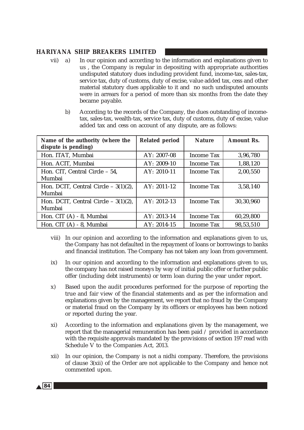- vii) a) In our opinion and according to the information and explanations given to us , the Company is regular in depositing with appropriate authorities undisputed statutory dues including provident fund, income-tax, sales-tax, service tax, duty of customs, duty of excise, value added tax, cess and other material statutory dues applicable to it and no such undisputed amounts were in arrears for a period of more than six months from the date they became payable.
	- b) According to the records of the Company, the dues outstanding of incometax, sales-tax, wealth-tax, service tax, duty of customs, duty of excise, value added tax and cess on account of any dispute, are as follows:

| Name of the authority (where the<br>dispute is pending) | <b>Related period</b> | <b>Nature</b> | <b>Amount Rs.</b> |
|---------------------------------------------------------|-----------------------|---------------|-------------------|
| Hon. ITAT, Mumbai                                       | $AY: 2007-08$         | Income Tax    | 3,96,780          |
| Hon. ACIT, Mumbai                                       | AY: 2009-10           | Income Tax    | 1,88,120          |
| Hon. CIT, Central Circle - 54,<br>Mumbai                | AY: 2010-11           | Income Tax    | 2,00,550          |
| Hon. DCIT, Central Circle $-3(1)(2)$ ,<br>Mumbai        | $AY: 2011-12$         | Income Tax    | 3,58,140          |
| Hon. DCIT, Central Circle $-3(1)(2)$ ,<br>Mumbai        | $AY: 2012-13$         | Income Tax    | 30,30,960         |
| Hon. CIT (A) - 8, Mumbai                                | AY: 2013-14           | Income Tax    | 60,29,800         |
| Hon. CIT (A) - 8, Mumbai                                | AY: 2014-15           | Income Tax    | 98,53,510         |

- viii) In our opinion and according to the information and explanations given to us, the Company has not defaulted in the repayment of loans or borrowings to banks and financial institution. The Company has not taken any loan from government.
- ix) In our opinion and according to the information and explanations given to us, the company has not raised moneys by way of initial public offer or further public offer (including debt instruments) or term loan during the year under report.
- x) Based upon the audit procedures performed for the purpose of reporting the true and fair view of the financial statements and as per the information and explanations given by the management, we report that no fraud by the Company or material fraud on the Company by its officers or employees has been noticed or reported during the year.
- xi) According to the information and explanations given by the management, we report that the managerial remuneration has been paid / provided in accordance with the requisite approvals mandated by the provisions of section 197 read with Schedule V to the Companies Act, 2013.
- xii) In our opinion, the Company is not a nidhi company. Therefore, the provisions of clause 3(xii) of the Order are not applicable to the Company and hence not commented upon.

 $\blacktriangle$  84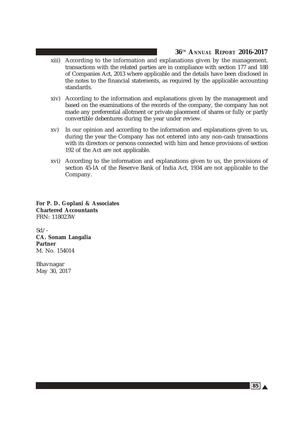- xiii) According to the information and explanations given by the management, transactions with the related parties are in compliance with section 177 and 188 of Companies Act, 2013 where applicable and the details have been disclosed in the notes to the financial statements, as required by the applicable accounting standards.
- xiv) According to the information and explanations given by the management and based on the examinations of the records of the company, the company has not made any preferential allotment or private placement of shares or fully or partly convertible debentures during the year under review.
- xv) In our opinion and according to the information and explanations given to us, during the year the Company has not entered into any non-cash transactions with its directors or persons connected with him and hence provisions of section 192 of the Act are not applicable.
- xvi) According to the information and explanations given to us, the provisions of section 45-IA of the Reserve Bank of India Act, 1934 are not applicable to the Company.

**For P. D. Goplani & Associates Chartered Accountants** FRN: 118023W

 $Sd$  /-**CA. Sonam Langalia Partner** M. No. 154014

Bhavnagar May 30, 2017

85 A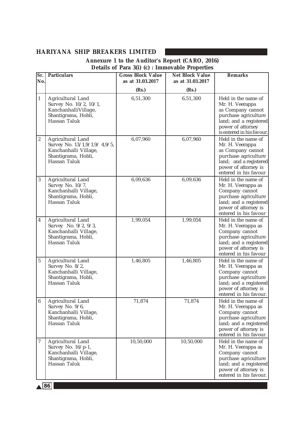#### **Annexure 1 to the Auditor's Report (CARO, 2016) Details of Para 3(i) (c) : Immovable Properties**

| No.                     | <b>Particulars</b>                                                                                                | <b>Gross Block Value</b><br>as at 31.03.2017 | <b>Net Block Value</b><br>as at 31.03.2017 | <b>Remarks</b>                                                                                                                                                  |
|-------------------------|-------------------------------------------------------------------------------------------------------------------|----------------------------------------------|--------------------------------------------|-----------------------------------------------------------------------------------------------------------------------------------------------------------------|
|                         |                                                                                                                   | (Rs.)                                        | (Rs.)                                      |                                                                                                                                                                 |
| $\mathbf{1}$            | Agricultural Land<br>Survey No. 10/2, 10/1,<br>KanchanhalliVillage,<br>Shantigrama, Hobli,<br>Hassan Taluk        | 6,51,300                                     | 6,51,300                                   | Held in the name of<br>Mr. H. Veerappa<br>as Company cannot<br>purchase agriculture<br>land; and a registered<br>power of attorney<br>is entered in his favour. |
| $\overline{\mathbf{2}}$ | Agricultural Land<br>Survey No. 13/1,9/1,9/4,9/5,<br>Kanchanhalli Village,<br>Shantigrama, Hobli,<br>Hassan Taluk | 6,07,960                                     | 6,07,960                                   | Held in the name of<br>Mr. H. Veerappa<br>as Company cannot<br>purchase agriculture<br>land; and a registered<br>power of attorney is<br>entered in his favour  |
| 3                       | Agricultural Land<br>Survey No. 10/7,<br>Kanchanhalli Village,<br>Shantigrama, Hobli,<br>Hassan Taluk             | 6,09,636                                     | 6,09,636                                   | Held in the name of<br>Mr. H. Veerappa as<br>Company cannot<br>purchase agriculture<br>land; and a registered<br>power of attorney is<br>entered in his favour  |
| 4                       | Agricultural Land<br>Survey No. 9/2, 9/3,<br>Kanchanhalli Village,<br>Shantigrama, Hobli,<br>Hassan Taluk         | 1,99,054                                     | 1,99,054                                   | Held in the name of<br>Mr. H. Veerappa as<br>Company cannot<br>purchase agriculture<br>land; and a registered<br>power of attorney is<br>entered in his favour  |
| $\overline{5}$          | Agricultural Land<br>Survey No. 8/2,<br>Kanchanhalli Village,<br>Shantigrama, Hobli,<br>Hassan Taluk              | 1,46,805                                     | 1,46,805                                   | Held in the name of<br>Mr. H. Veerappa as<br>Company cannot<br>purchase agriculture<br>land; and a registered<br>power of attorney is<br>entered in his favour. |
| $\vert 6 \vert$         | Agricultural Land<br>Survey No. 9/6,<br>Kanchanhalli Village,<br>Shantigrama, Hobli,<br>Hassan Taluk              | 71,874                                       | 71,874                                     | Held in the name of<br>Mr. H. Veerappa as<br>Company cannot<br>purchase agriculture<br>land; and a registered<br>power of attorney is<br>entered in his favour. |
| 7                       | Agricultural Land<br>Survey No. 16/p-1,<br>Kanchanhalli Village,<br>Shantigrama, Hobli,<br>Hassan Taluk<br>86     | 10,50,000                                    | 10,50,000                                  | Held in the name of<br>Mr. H. Veerappa as<br>Company cannot<br>purchase agriculture<br>land; and a registered<br>power of attorney is<br>entered in his favour. |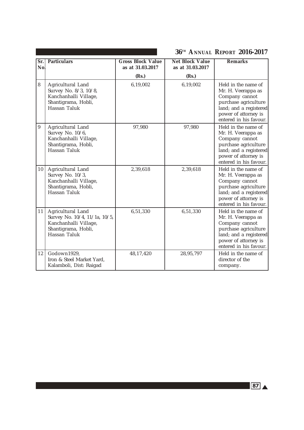| Sr.              | <b>Particulars</b>                                                                                                 | <b>Gross Block Value</b> | <b>Net Block Value</b> | <b>Remarks</b>                                                                                                                                                  |
|------------------|--------------------------------------------------------------------------------------------------------------------|--------------------------|------------------------|-----------------------------------------------------------------------------------------------------------------------------------------------------------------|
| No.              |                                                                                                                    | as at 31.03.2017         | as at 31.03.2017       |                                                                                                                                                                 |
|                  |                                                                                                                    | (Rs.)                    | (Rs.)                  |                                                                                                                                                                 |
| 8                | Agricultural Land<br>Survey No. 8/3, 10/8,<br>Kanchanhalli Village,<br>Shantigrama, Hobli,<br>Hassan Taluk         | 6,19,002                 | 6,19,002               | Held in the name of<br>Mr. H. Veerappa as<br>Company cannot<br>purchase agriculture<br>land; and a registered<br>power of attorney is<br>entered in his favour. |
| $\boldsymbol{9}$ | Agricultural Land<br>Survey No. 10/6,<br>Kanchanhalli Village,<br>Shantigrama, Hobli,<br>Hassan Taluk              | 97,980                   | 97,980                 | Held in the name of<br>Mr. H. Veerappa as<br>Company cannot<br>purchase agriculture<br>land; and a registered<br>power of attorney is<br>entered in his favour. |
| 10               | Agricultural Land<br>Survey No. 10/3,<br>Kanchanhalli Village,<br>Shantigrama, Hobli,<br>Hassan Taluk              | 2,39,618                 | 2,39,618               | Held in the name of<br>Mr. H. Veerappa as<br>Company cannot<br>purchase agriculture<br>land; and a registered<br>power of attorney is<br>entered in his favour. |
| 11               | Agricultural Land<br>Survey No. 10/4, 11/1a, 10/5,<br>Kanchanhalli Village,<br>Shantigrama, Hobli,<br>Hassan Taluk | 6,51,330                 | 6,51,330               | Held in the name of<br>Mr. H. Veerappa as<br>Company cannot<br>purchase agriculture<br>land; and a registered<br>power of attorney is<br>entered in his favour. |
| 12               | Godown1929,<br>Iron & Steel Market Yard,<br>Kalamboli, Dist: Raigad                                                | 48,17,420                | 28,95,797              | Held in the name of<br>director of the<br>company.                                                                                                              |

a di kacamatan ing Kabupatèn Kabupatèn Kabupatèn Kabupatèn Kabupatèn Kabupatèn Kabupatèn Kabupatèn Kabupatèn K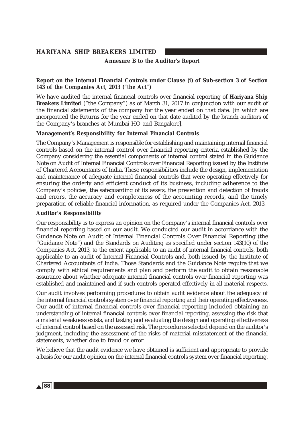### **Annexure B to the Auditor's Report**

# **Report on the Internal Financial Controls under Clause (i) of Sub-section 3 of Section 143 of the Companies Act, 2013 ("the Act")**

We have audited the internal financial controls over financial reporting of **Hariyana Ship Breakers Limited** ("the Company") as of March 31, 2017 in conjunction with our audit of the financial statements of the company for the year ended on that date. [in which are incorporated the Returns for the year ended on that date audited by the branch auditors of the Company's branches at Mumbai HO and Bangalore].

### **Management's Responsibility for Internal Financial Controls**

The Company's Management is responsible for establishing and maintaining internal financial controls based on the internal control over financial reporting criteria established by the Company considering the essential components of internal control stated in the Guidance Note on Audit of Internal Financial Controls over Financial Reporting issued by the Institute of Chartered Accountants of India. These responsibilities include the design, implementation and maintenance of adequate internal financial controls that were operating effectively for ensuring the orderly and efficient conduct of its business, including adherence to the Company's policies, the safeguarding of its assets, the prevention and detection of frauds and errors, the accuracy and completeness of the accounting records, and the timely preparation of reliable financial information, as required under the Companies Act, 2013.

#### **Auditor's Responsibility**

Our responsibility is to express an opinion on the Company's internal financial controls over financial reporting based on our audit. We conducted our audit in accordance with the Guidance Note on Audit of Internal Financial Controls Over Financial Reporting (the "Guidance Note") and the Standards on Auditing as specified under section 143(10) of the Companies Act, 2013, to the extent applicable to an audit of internal financial controls, both applicable to an audit of Internal Financial Controls and, both issued by the Institute of Chartered Accountants of India. Those Standards and the Guidance Note require that we comply with ethical requirements and plan and perform the audit to obtain reasonable assurance about whether adequate internal financial controls over financial reporting was established and maintained and if such controls operated effectively in all material respects.

Our audit involves performing procedures to obtain audit evidence about the adequacy of the internal financial controls system over financial reporting and their operating effectiveness. Our audit of internal financial controls over financial reporting included obtaining an understanding of internal financial controls over financial reporting, assessing the risk that a material weakness exists, and testing and evaluating the design and operating effectiveness of internal control based on the assessed risk. The procedures selected depend on the auditor's judgment, including the assessment of the risks of material misstatement of the financial statements, whether due to fraud or error.

We believe that the audit evidence we have obtained is sufficient and appropriate to provide a basis for our audit opinion on the internal financial controls system over financial reporting.

▲ 88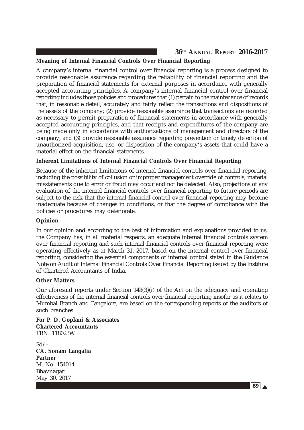#### **Meaning of Internal Financial Controls Over Financial Reporting**

A company's internal financial control over financial reporting is a process designed to provide reasonable assurance regarding the reliability of financial reporting and the preparation of financial statements for external purposes in accordance with generally accepted accounting principles. A company's internal financial control over financial reporting includes those policies and procedures that (1) pertain to the maintenance of records that, in reasonable detail, accurately and fairly reflect the transactions and dispositions of the assets of the company; (2) provide reasonable assurance that transactions are recorded as necessary to permit preparation of financial statements in accordance with generally accepted accounting principles, and that receipts and expenditures of the company are being made only in accordance with authorizations of management and directors of the company; and (3) provide reasonable assurance regarding prevention or timely detection of unauthorized acquisition, use, or disposition of the company's assets that could have a material effect on the financial statements.

#### **Inherent Limitations of Internal Financial Controls Over Financial Reporting**

Because of the inherent limitations of internal financial controls over financial reporting, including the possibility of collusion or improper management override of controls, material misstatements due to error or fraud may occur and not be detected. Also, projections of any evaluation of the internal financial controls over financial reporting to future periods are subject to the risk that the internal financial control over financial reporting may become inadequate because of changes in conditions, or that the degree of compliance with the policies or procedures may deteriorate.

#### **Opinion**

In our opinion and according to the best of information and explanations provided to us, the Company has, in all material respects, an adequate internal financial controls system over financial reporting and such internal financial controls over financial reporting were operating effectively as at March 31, 2017, based on the internal control over financial reporting, considering the essential components of internal control stated in the Guidance Note on Audit of Internal Financial Controls Over Financial Reporting issued by the Institute of Chartered Accountants of India.

#### **Other Matters**

Our aforesaid reports under Section 143(3)(i) of the Act on the adequacy and operating effectiveness of the internal financial controls over financial reporting insofar as it relates to Mumbai Branch and Bangalore, are based on the corresponding reports of the auditors of such branches.

**For P. D. Goplani & Associates Chartered Accountants** FRN: 118023W

 $Sd$  /-**CA. Sonam Langalia Partner** M. No. 154014 Bhavnagar May 30, 2017

89 A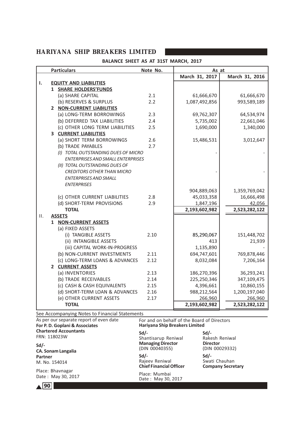| BALANCE SHEET AS AT 31ST MARCH, 2017 |  |  |  |  |  |  |
|--------------------------------------|--|--|--|--|--|--|
|--------------------------------------|--|--|--|--|--|--|

|     | <b>Particulars</b>                  | Note No. | As at          |                |
|-----|-------------------------------------|----------|----------------|----------------|
|     |                                     |          | March 31, 2017 | March 31, 2016 |
| Ι.  | <b>EQUITY AND LIABILITIES</b>       |          |                |                |
|     | <b>1 SHARE HOLDERS'FUNDS</b>        |          |                |                |
|     | (a) SHARE CAPITAL                   | 2.1      | 61,666,670     | 61,666,670     |
|     | (b) RESERVES & SURPLUS              | 2.2      | 1,087,492,856  | 993,589,189    |
|     | 2 NON-CURRENT LIABILITIES           |          |                |                |
|     | (a) LONG-TERM BORROWINGS            | 2.3      | 69,762,307     | 64,534,974     |
|     | (b) DEFERRED TAX LIABILITIES        | 2.4      | 5,735,002      | 22,661,046     |
|     | (c) OTHER LONG TERM LIABILITIES     | 2.5      | 1,690,000      | 1,340,000      |
|     | <b>3 CURRENT LIABILITIES</b>        |          |                |                |
|     | (a) SHORT TERM BORROWINGS           | 2.6      | 15,486,531     | 3,012,647      |
|     | (b) TRADE PAYABLES                  | 2.7      |                |                |
|     | (I) TOTAL OUTSTANDING DUES OF MICRO |          |                |                |
|     | ENTERPRISES AND SMALL ENTERPRISES   |          |                |                |
|     | (II) TOTAL OUTSTANDING DUES OF      |          |                |                |
|     | <b>CREDITORS OTHER THAN MICRO</b>   |          |                |                |
|     | <b>ENTERPRISES AND SMALL</b>        |          |                |                |
|     | <b>ENTERPRISES</b>                  |          |                |                |
|     |                                     |          | 904,889,063    | 1,359,769,042  |
|     | (c) OTHER CURRENT LIABILITIES       | 2.8      | 45,033,358     | 16,666,498     |
|     | (d) SHORT-TERM PROVISIONS           | 2.9      | 1,847,196      | 42,056         |
|     | <b>TOTAL</b>                        |          | 2,193,602,982  | 2,523,282,122  |
| II. | <b>ASSETS</b>                       |          |                |                |
|     | 1 NON-CURRENT ASSETS                |          |                |                |
|     | (a) FIXED ASSETS                    |          |                |                |
|     | (i) TANGIBLE ASSETS                 | 2.10     | 85,290,067     | 151,448,702    |
|     | (ii) INTANGIBLE ASSETS              |          | 413            | 21,939         |
|     | (iii) CAPITAL WORK-IN-PROGRESS      |          | 1,135,890      |                |
|     | (b) NON-CURRENT INVESTMENTS         | 2.11     | 694,747,601    | 769,878,446    |
|     | (c) LONG-TERM LOANS & ADVANCES      | 2.12     | 8,032,084      | 7,206,164      |
|     | 2 CURRENT ASSETS<br>(a) INVENTORIES | 2.13     | 186,270,396    | 36,293,241     |
|     | (b) TRADE RECEIVABLES               | 2.14     | 225,250,346    | 347,109,475    |
|     | (c) CASH & CASH EQUIVALENTS         | 2.15     | 4,396,661      | 10,860,155     |
|     | (d) SHORT-TERM LOAN & ADVANCES      | 2.16     | 988,212,564    | 1,200,197,040  |
|     | (e) OTHER CURRENT ASSETS            | 2.17     | 266,960        | 266,960        |
|     | <b>TOTAL</b>                        |          | 2,193,602,982  | 2,523,282,122  |
|     |                                     |          |                |                |

See Accompanying Notes to Financial Statements

| As per our separate report of even date | For and on behalf of the Board of Directors                 |                                                      |  |  |
|-----------------------------------------|-------------------------------------------------------------|------------------------------------------------------|--|--|
| For P. D. Goplani & Associates          | <b>Hariyana Ship Breakers Limited</b>                       |                                                      |  |  |
| <b>Chartered Accountants</b>            | $Sd$ /-                                                     | $Sd$ /-                                              |  |  |
| FRN: 118023W                            | Shantisarup Reniwal                                         | Rakesh Reniwal                                       |  |  |
| $Sd$ .                                  | <b>Managing Director</b>                                    | <b>Director</b>                                      |  |  |
| <b>CA. Sonam Langalia</b>               | (DIN 00040355)                                              | (DIN 00029332)                                       |  |  |
| <b>Partner</b><br>M. No. 154014         | $Sd$ /-<br>Rajeev Reniwal<br><b>Chief Financial Officer</b> | $Sd$ /-<br>Swati Chauhan<br><b>Company Secretary</b> |  |  |
| Place: Bhavnagar<br>Date: May 30, 2017  | Place: Mumbai<br>Date: May 30, 2017                         |                                                      |  |  |

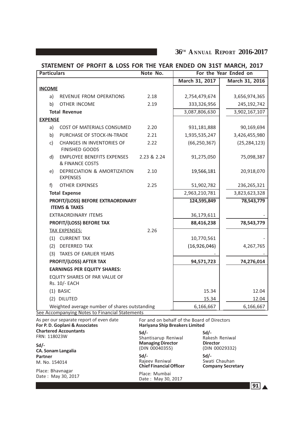# STATEMENT OF PROFIT & LOSS FOR THE YEAR ENDED ON 31ST MARCH, 2017

| <b>Particulars</b>                                         | Note No.<br>For the Year Ended on                              |             |                                             |                |
|------------------------------------------------------------|----------------------------------------------------------------|-------------|---------------------------------------------|----------------|
|                                                            |                                                                |             | March 31, 2017                              | March 31, 2016 |
| <b>INCOME</b>                                              |                                                                |             |                                             |                |
| a)                                                         | REVENUE FROM OPERATIONS                                        | 2.18        | 2,754,479,674                               | 3,656,974,365  |
| b)                                                         | OTHER INCOME                                                   | 2.19        | 333,326,956                                 | 245,192,742    |
|                                                            | <b>Total Revenue</b>                                           |             | 3,087,806,630                               | 3,902,167,107  |
| <b>EXPENSE</b>                                             |                                                                |             |                                             |                |
| a)                                                         | COST OF MATERIALS CONSUMED                                     | 2.20        | 931,181,888                                 | 90,169,694     |
| b)                                                         | PURCHASE OF STOCK-IN-TRADE                                     | 2.21        | 1,935,535,247                               | 3,426,455,980  |
| c)                                                         | <b>CHANGES IN INVENTORIES OF</b><br>FINISHED GOODS             | 2.22        | (66, 250, 367)                              | (25, 284, 123) |
| d)                                                         | <b>EMPLOYEE BENEFITS EXPENSES</b><br>& FINANCE COSTS           | 2.23 & 2.24 | 91,275,050                                  | 75,098,387     |
| e)                                                         | DEPRECIATION & AMORTIZATION<br><b>EXPENSES</b>                 | 2.10        | 19,566,181                                  | 20,918,070     |
| f)                                                         | <b>OTHER EXPENSES</b>                                          | 2.25        | 51,902,782                                  | 236,265,321    |
|                                                            | <b>Total Expense</b>                                           |             | 2,963,210,781                               | 3,823,623,328  |
|                                                            | PROFIT/(LOSS) BEFORE EXTRAORDINARY<br><b>ITEMS &amp; TAXES</b> |             | 124,595,849                                 | 78,543,779     |
|                                                            | <b>EXTRAORDINARY ITEMS</b>                                     |             | 36,179,611                                  |                |
|                                                            | <b>PROFIT/(LOSS) BEFORE TAX</b>                                |             | 88,416,238                                  | 78,543,779     |
|                                                            | <b>TAX EXPENSES:</b>                                           | 2.26        |                                             |                |
|                                                            | (1) CURRENT TAX                                                |             | 10,770,561                                  |                |
|                                                            | (2) DEFERRED TAX                                               |             | (16,926,046)                                | 4,267,765      |
|                                                            | (3) TAXES OF EARLIER YEARS                                     |             |                                             |                |
|                                                            | PROFIT/(LOSS) AFTER TAX                                        |             | 94,571,723                                  | 74,276,014     |
|                                                            | <b>EARNINGS PER EQUITY SHARES:</b>                             |             |                                             |                |
|                                                            | EQUITY SHARES OF PAR VALUE OF                                  |             |                                             |                |
|                                                            | Rs. 10/- EACH                                                  |             |                                             |                |
|                                                            | $(1)$ BASIC                                                    |             | 15.34                                       | 12.04          |
|                                                            | (2) DILUTED                                                    |             | 15.34                                       | 12.04          |
| 6,166,667<br>Weighted average number of shares outstanding |                                                                |             | 6,166,667                                   |                |
|                                                            | See Accompanying Notes to Financial Statements                 |             |                                             |                |
|                                                            | As per our separate report of even date                        |             | For and on behalf of the Board of Directors |                |

For P. D. Goplani & Associates Chartered Accountants FRN: 118023W Sd/- CA. Sonam Langalia Partner M. No. 154014 Place: Bhavnagar Date : May 30, 2017  $(DIN 00040355)$ Place: Mumbai Date : May 30, 2017

Hariyana Ship Breakers Limited

Sd/-<br>Shantisarup Reniwal Bakesh Reniwal Shantisarup Reniwal Rakesh R<br> **Managing Director** Director Managing Director Director<br>(DIN 00040355) (DIN 00029332) Sd/- Sd/- Rajeev Reniwal **Swati Chauhan** Chief Financial Officer Company Secretary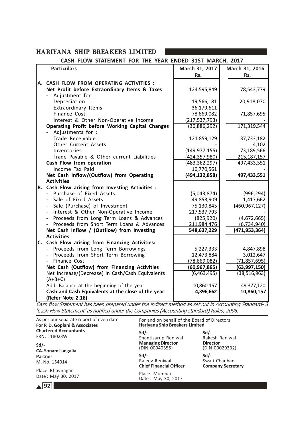CASH FLOW STATEMENT FOR THE YEAR ENDED 31ST MARCH, 2017

| <b>Particulars</b>                                                                    | March 31, 2017               | March 31, 2016              |
|---------------------------------------------------------------------------------------|------------------------------|-----------------------------|
|                                                                                       | Rs.                          | Rs.                         |
| A. CASH FLOW FROM OPERATING ACTIVITIES :                                              |                              |                             |
| Net Profit before Extraordinary Items & Taxes                                         | 124,595,849                  | 78,543,779                  |
| Adjustment for :                                                                      |                              |                             |
| Depreciation                                                                          | 19,566,181                   | 20,918,070                  |
| <b>Extraordinary Items</b>                                                            | 36,179,611                   |                             |
| Finance Cost                                                                          | 78,669,082                   | 71,857,695                  |
| Interest & Other Non-Operative Income                                                 | (217, 537, 793)              |                             |
| <b>Operating Profit before Working Capital Changes</b>                                | (30, 886, 292)               | 171,319,544                 |
| Adjustments for :                                                                     |                              |                             |
| Trade Receivable                                                                      | 121,859,129                  | 37,733,182                  |
| Other Current Assets                                                                  |                              | 4,102                       |
| Inventories                                                                           | (149, 977, 155)              | 73,189,566                  |
| Trade Payable & Other current Liabilities                                             | (424, 357, 980)              | 215, 187, 157               |
| Cash Flow from operation                                                              | (483, 362, 297)              | 497,433,551                 |
| Income Tax Paid                                                                       | 10,770,561                   |                             |
| Net Cash Inflow/(Outflow) from Operating                                              | (494, 132, 858)              | 497,433,551                 |
| <b>Activities</b>                                                                     |                              |                             |
| B. Cash Flow arising from Investing Activities :                                      |                              |                             |
| Purchase of Fixed Assets                                                              | (5,043,874)                  | (996, 294)                  |
| Sale of Fixed Assets                                                                  | 49,853,909                   | 1,417,662                   |
| Sale (Purchase) of Investment                                                         | 75,130,845                   | (460, 967, 127)             |
| Interest & Other Non-Operative Income                                                 | 217,537,793                  |                             |
| Proceeds from Long Term Loans & Advances<br>$\overline{\phantom{0}}$                  | (825, 920)                   | (4,672,665)                 |
| Proceeds from Short Term Loans & Advances                                             | 211,984,476                  | (6, 734, 940)               |
| Net Cash Inflow / (Outflow) from Investing                                            | 548,637,229                  | (471, 953, 364)             |
| <b>Activities</b>                                                                     |                              |                             |
| C. Cash Flow arising from Financing Activities:<br>Proceeds from Long Term Borrowings |                              |                             |
|                                                                                       | 5,227,333                    | 4,847,898                   |
| Proceeds from Short Term Borrowing<br>Finance Cost                                    | 12,473,884<br>(78, 669, 082) | 3,012,647<br>(71, 857, 695) |
| Net Cash (Outflow) from Financing Activities                                          | (60, 967, 865)               | (63,997,150)                |
| Net Increase/(Decrease) in Cash/Cash Equivalents                                      | (6,463,495)                  | (38, 516, 963)              |
| $(A+B+C)$                                                                             |                              |                             |
| Add: Balance at the beginning of the year                                             | 10,860,157                   | 49,377,120                  |
| Cash and Cash Equivalents at the close of the year                                    | 4,396,662                    | 10,860,157                  |
| (Refer Note 2.16)                                                                     |                              |                             |
|                                                                                       |                              |                             |

Cash flow Statement has been prepared under the indirect method as set out in Accounting Standard- 3 'Cash Flow Statement' as notified under the Companies (Accounting standard) Rules, 2006.

As per our separate report of even date For P. D. Goplani & Associates Chartered Accountants FRN: 118023W Sd/- CA. Sonam Langalia Partner M. No. 154014 Place: Bhavnagar Date : May 30, 2017 For and on behalf of the Board of Directors Hariyana Ship Breakers Limited Sd/-<br>Shantisarup Reniwal Bakesh Reniwal Shantisarup Reniwal Rakesh R<br> **Managing Director** Director Managing Director<br>(DIN 00040355) (DIN 00029332) (DIN 00040355) (DIN 00029332) Sd/- Sd/- Rajeev Reniwal Swati Chauhan<br> **Chief Financial Officer Company Secretary Chief Financial Officer** Place: Mumbai Date : May 30, 2017

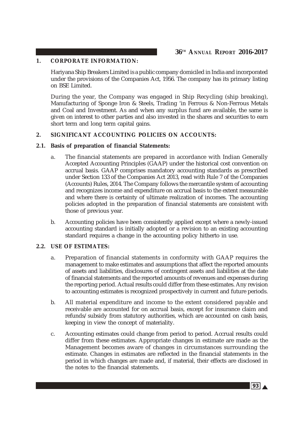#### **1. CORPORATE INFORMATION:**

Hariyana Ship Breakers Limited is a public company domiciled in India and incorporated under the provisions of the Companies Act, 1956. The company has its primary listing on BSE Limited.

During the year, the Company was engaged in Ship Recycling (ship breaking), Manufacturing of Sponge Iron & Steels, Trading 'in Ferrous & Non-Ferrous Metals and Coal and Investment. As and when any surplus fund are available, the same is given on interest to other parties and also invested in the shares and securities to earn short term and long term capital gains.

### **2. SIGNIFICANT ACCOUNTING POLICIES ON ACCOUNTS:**

#### **2.1. Basis of preparation of financial Statements:**

- a. The financial statements are prepared in accordance with Indian Generally Accepted Accounting Principles (GAAP) under the historical cost convention on accrual basis. GAAP comprises mandatory accounting standards as prescribed under Section 133 of the Companies Act 2013, read with Rule 7 of the Companies (Accounts) Rules, 2014. The Company follows the mercantile system of accounting and recognizes income and expenditure on accrual basis to the extent measurable and where there is certainty of ultimate realization of incomes. The accounting policies adopted in the preparation of financial statements are consistent with those of previous year.
- b. Accounting policies have been consistently applied except where a newly-issued accounting standard is initially adopted or a revision to an existing accounting standard requires a change in the accounting policy hitherto in use.

#### **2.2. USE OF ESTIMATES:**

- a. Preparation of financial statements in conformity with GAAP requires the management to make estimates and assumptions that affect the reported amounts of assets and liabilities, disclosures of contingent assets and liabilities at the date of financial statements and the reported amounts of revenues and expenses during the reporting period. Actual results could differ from these estimates. Any revision to accounting estimates is recognized prospectively in current and future periods.
- b. All material expenditure and income to the extent considered payable and receivable are accounted for on accrual basis, except for insurance claim and refunds/subsidy from statutory authorities, which are accounted on cash basis, keeping in view the concept of materiality.
- c. Accounting estimates could change from period to period. Accrual results could differ from these estimates. Appropriate changes in estimate are made as the Management becomes aware of changes in circumstances surrounding the estimate. Changes in estimates are reflected in the financial statements in the period in which changes are made and, if material, their effects are disclosed in the notes to the financial statements.

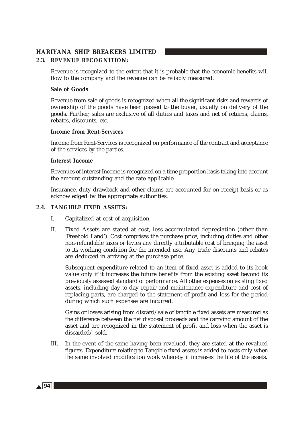### **2.3. REVENUE RECOGNITION:**

Revenue is recognized to the extent that it is probable that the economic benefits will flow to the company and the revenue can be reliably measured.

#### **Sale of Goods**

Revenue from sale of goods is recognized when all the significant risks and rewards of ownership of the goods have been passed to the buyer, usually on delivery of the goods. Further, sales are exclusive of all duties and taxes and net of returns, claims, rebates, discounts, etc.

#### **Income from Rent-Services**

Income from Rent-Services is recognized on performance of the contract and acceptance of the services by the parties.

#### **Interest Income**

Revenues of interest Income is recognized on a time proportion basis taking into account the amount outstanding and the rate applicable.

Insurance, duty drawback and other claims are accounted for on receipt basis or as acknowledged by the appropriate authorities.

### **2.4. TANGIBLE FIXED ASSETS:**

- I. Capitalized at cost of acquisition.
- II. Fixed Assets are stated at cost, less accumulated depreciation (other than 'Freehold Land'). Cost comprises the purchase price, including duties and other non-refundable taxes or levies any directly attributable cost of bringing the asset to its working condition for the intended use. Any trade discounts and rebates are deducted in arriving at the purchase price.

Subsequent expenditure related to an item of fixed asset is added to its book value only if it increases the future benefits from the existing asset beyond its previously assessed standard of performance. All other expenses on existing fixed assets, including day-to-day repair and maintenance expenditure and cost of replacing parts, are charged to the statement of profit and loss for the period during which such expenses are incurred.

Gains or losses arising from discard/sale of tangible fixed assets are measured as the difference between the net disposal proceeds and the carrying amount of the asset and are recognized in the statement of profit and loss when the asset is discarded/ sold.

III. In the event of the same having been revalued, they are stated at the revalued figures. Expenditure relating to Tangible fixed assets is added to costs only when the same involved modification work whereby it increases the life of the assets.

 $\blacktriangle$  94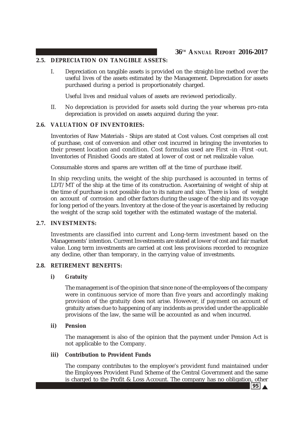### **2.5. DEPRECIATION ON TANGIBLE ASSETS:**

I. Depreciation on tangible assets is provided on the straight-line method over the useful lives of the assets estimated by the Management. Depreciation for assets purchased during a period is proportionately charged.

Useful lives and residual values of assets are reviewed periodically.

II. No depreciation is provided for assets sold during the year whereas pro-rata depreciation is provided on assets acquired during the year.

#### **2.6. VALUATION OF INVENTORIES:**

Inventories of Raw Materials - Ships are stated at Cost values. Cost comprises all cost of purchase, cost of conversion and other cost incurred in bringing the inventories to their present location and condition. Cost formulas used are First -in -First -out. Inventories of Finished Goods are stated at lower of cost or net realizable value.

Consumable stores and spares are written off at the time of purchase itself.

In ship recycling units, the weight of the ship purchased is accounted in terms of LDT/MT of the ship at the time of its construction. Ascertaining of weight of ship at the time of purchase is not possible due to its nature and size. There is loss of weight on account of corrosion and other factors during the usage of the ship and its voyage for long period of the years. Inventory at the close of the year is ascertained by reducing the weight of the scrap sold together with the estimated wastage of the material.

#### **2.7. INVESTMENTS:**

Investments are classified into current and Long-term investment based on the Managements' intention. Current Investments are stated at lower of cost and fair market value. Long term investments are carried at cost less provisions recorded to recognize any decline, other than temporary, in the carrying value of investments.

#### **2.8. RETIREMENT BENEFITS:**

#### **i) Gratuity**

The management is of the opinion that since none of the employees of the company were in continuous service of more than five years and accordingly making provision of the gratuity does not arise. However, if payment on account of gratuity arises due to happening of any incidents as provided under the applicable provisions of the law, the same will be accounted as and when incurred.

#### **ii) Pension**

The management is also of the opinion that the payment under Pension Act is not applicable to the Company.

#### **iii) Contribution to Provident Funds**

than the contribution payable to the provident fund.

The company contributes to the employee's provident fund maintained under the Employees Provident Fund Scheme of the Central Government and the same is charged to the Profit & Loss Account. The company has no obligation, other

 $|95|$   $\triangle$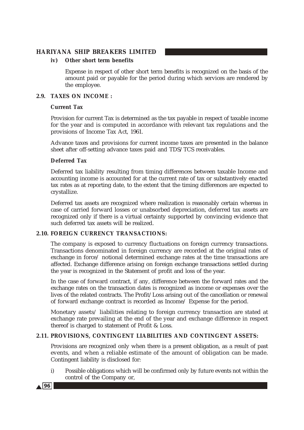#### **iv) Other short term benefits**

Expense in respect of other short term benefits is recognized on the basis of the amount paid or payable for the period during which services are rendered by the employee.

#### **2.9. TAXES ON INCOME :**

#### **Current Tax**

Provision for current Tax is determined as the tax payable in respect of taxable income for the year and is computed in accordance with relevant tax regulations and the provisions of Income Tax Act, 1961.

Advance taxes and provisions for current income taxes are presented in the balance sheet after off-setting advance taxes paid and TDS/TCS receivables.

### **Deferred Tax**

Deferred tax liability resulting from timing differences between taxable Income and accounting income is accounted for at the current rate of tax or substantively enacted tax rates as at reporting date, to the extent that the timing differences are expected to crystallize.

Deferred tax assets are recognized where realization is reasonably certain whereas in case of carried forward losses or unabsorbed depreciation, deferred tax assets are recognized only if there is a virtual certainty supported by convincing evidence that such deferred tax assets will be realized.

# **2.10. FOREIGN CURRENCY TRANSACTIONS:**

The company is exposed to currency fluctuations on foreign currency transactions. Transactions denominated in foreign currency are recorded at the original rates of exchange in force/ notional determined exchange rates at the time transactions are affected. Exchange difference arising on foreign exchange transactions settled during the year is recognized in the Statement of profit and loss of the year.

In the case of forward contract, if any, difference between the forward rates and the exchange rates on the transaction dates is recognized as income or expenses over the lives of the related contracts. The Profit/Loss arising out of the cancellation or renewal of forward exchange contract is recorded as Income/ Expense for the period.

Monetary assets/ liabilities relating to foreign currency transaction are stated at exchange rate prevailing at the end of the year and exchange difference in respect thereof is charged to statement of Profit & Loss.

### **2.11. PROVISIONS, CONTINGENT LIABILITIES AND CONTINGENT ASSETS:**

Provisions are recognized only when there is a present obligation, as a result of past events, and when a reliable estimate of the amount of obligation can be made. Contingent liability is disclosed for:

i) Possible obligations which will be confirmed only by future events not within the control of the Company or,

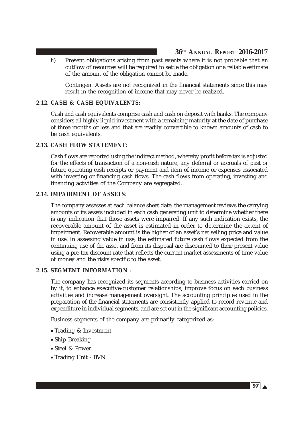ii) Present obligations arising from past events where it is not probable that an outflow of resources will be required to settle the obligation or a reliable estimate of the amount of the obligation cannot be made.

Contingent Assets are not recognized in the financial statements since this may result in the recognition of income that may never be realized.

### **2.12. CASH & CASH EQUIVALENTS:**

Cash and cash equivalents comprise cash and cash on deposit with banks. The company considers all highly liquid investment with a remaining maturity at the date of purchase of three months or less and that are readily convertible to known amounts of cash to be cash equivalents.

# **2.13. CASH FLOW STATEMENT:**

Cash flows are reported using the indirect method, whereby profit before tax is adjusted for the effects of transaction of a non-cash nature, any deferral or accruals of past or future operating cash receipts or payment and item of income or expenses associated with investing or financing cash flows. The cash flows from operating, investing and financing activities of the Company are segregated.

# **2.14. IMPAIRMENT OF ASSETS:**

The company assesses at each balance sheet date, the management reviews the carrying amounts of its assets included in each cash generating unit to determine whether there is any indication that those assets were impaired. If any such indication exists, the recoverable amount of the asset is estimated in order to determine the extent of impairment. Recoverable amount is the higher of an asset's net selling price and value in use. In assessing value in use, the estimated future cash flows expected from the continuing use of the asset and from its disposal are discounted to their present value using a pre-tax discount rate that reflects the current market assessments of time value of money and the risks specific to the asset.

### **2.15. SEGMENT INFORMATION :**

The company has recognized its segments according to business activities carried on by it, to enhance executive-customer relationships, improve focus on each business activities and increase management oversight. The accounting principles used in the preparation of the financial statements are consistently applied to record revenue and expenditure in individual segments, and are set out in the significant accounting policies.

Business segments of the company are primarily categorized as:

- Trading & Investment
- Ship Breaking
- Steel & Power
- Trading Unit BVN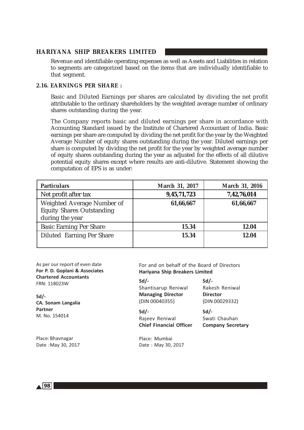Revenue and identifiable operating expenses as well as Assets and Liabilities in relation to segments are categorized based on the items that are individually identifiable to that segment.

#### **2.16. EARNINGS PER SHARE :**

Basic and Diluted Earnings per shares are calculated by dividing the net profit attributable to the ordinary shareholders by the weighted average number of ordinary shares outstanding during the year.

The Company reports basic and diluted earnings per share in accordance with Accounting Standard issued by the Institute of Chartered Accountant of India. Basic earnings per share are computed by dividing the net profit for the year by the Weighted Average Number of equity shares outstanding during the year. Diluted earnings per share is computed by dividing the net profit for the year by weighted average number of equity shares outstanding during the year as adjusted for the effects of all dilutive potential equity shares except where results are anti-dilutive. Statement showing the computation of EPS is as under:

| <b>Particulars</b>                                                                | March 31, 2017 | March 31, 2016 |
|-----------------------------------------------------------------------------------|----------------|----------------|
| Net profit after tax                                                              | 9,45,71,723    | 7,42,76,014    |
| Weighted Average Number of<br><b>Equity Shares Outstanding</b><br>during the year | 61,66,667      | 61,66,667      |
| <b>Basic Earning Per Share</b>                                                    | 15.34          | 12.04          |
| Diluted Earning Per Share                                                         | 15.34          | 12.04          |

As per our report of even date For P. D. Goplani & Associates Chartered Accountants FRN: 118023W

Sd/- CA. Sonam Langalia Partner M. No. 154014

Place: Bhavnagar Date :May 30, 2017 For and on behalf of the Board of Directors Hariyana Ship Breakers Limited

| $Sd/-$                         | $Sd$ /-                  |
|--------------------------------|--------------------------|
| Shantisarup Reniwal            | Rakesh Reniwal           |
| <b>Managing Director</b>       | <b>Director</b>          |
| (DIN 00040355)                 | (DIN 00029332)           |
| $Sd/-$                         | $Sd$ /-                  |
| Rajeev Reniwal                 | Swati Chauhan            |
| <b>Chief Financial Officer</b> | <b>Company Secretary</b> |
|                                |                          |

Place: Mumbai Date : May 30, 2017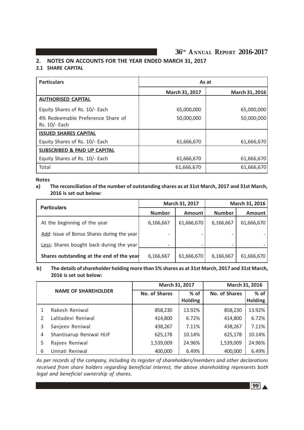# 2. NOTES ON ACCOUNTS FOR THE YEAR ENDED MARCH 31, 2017

#### 2.1 SHARE CAPITAL

| <b>Particulars</b>                                 | As at          |                |  |
|----------------------------------------------------|----------------|----------------|--|
|                                                    | March 31, 2017 | March 31, 2016 |  |
| <b>AUTHORISED CAPITAL</b>                          |                |                |  |
| Equity Shares of Rs. 10/- Each                     | 65,000,000     | 65,000,000     |  |
| 4% Redeemable Preference Share of<br>Rs. 10/- Each | 50,000,000     | 50,000,000     |  |
|                                                    |                |                |  |
| <b>ISSUED SHARES CAPITAL</b>                       |                |                |  |
| Equity Shares of Rs. 10/- Each                     | 61,666,670     | 61,666,670     |  |
| <b>SUBSCRIBED &amp; PAID UP CAPITAL</b>            |                |                |  |
| Equity Shares of Rs. 10/- Each                     | 61,666,670     | 61,666,670     |  |
| Total                                              | 61,666,670     | 61,666,670     |  |

Notes

#### a) The reconciliation of the number of outstanding shares as at 31st March, 2017 and 31st March, 2016 is set out below:

| <b>Particulars</b>                         |               | March 31, 2017 | March 31, 2016 |            |  |
|--------------------------------------------|---------------|----------------|----------------|------------|--|
|                                            | <b>Number</b> | <b>Amount</b>  | <b>Number</b>  | Amount     |  |
| At the beginning of the year               | 6,166,667     | 61,666,670     | 6,166,667      | 61,666,670 |  |
| Add: Issue of Bonus Shares during the year |               |                |                |            |  |
| Less: Shares bought back during the year   |               |                |                |            |  |
| Shares outstanding at the end of the year  | 6,166,667     | 61,666,670     | 6,166,667      | 61,666,670 |  |

#### b) The details of shareholder holding more than 5% shares as at 31st March, 2017 and 31st March, 2016 is set out below:

| <b>NAME OF SHAREHOLDER</b> |                         | March 31, 2017 |                | March 31, 2016 |                |
|----------------------------|-------------------------|----------------|----------------|----------------|----------------|
|                            |                         | No. of Shares  | $%$ of         | No. of Shares  | % of           |
|                            |                         |                | <b>Holding</b> |                | <b>Holding</b> |
|                            | Rakesh Reniwal          | 858,230        | 13.92%         | 858,230        | 13.92%         |
| 2                          | Lalitadevi Reniwal      | 414,800        | 6.72%          | 414,800        | 6.72%          |
| 3                          | Sanjeev Reniwal         | 438,267        | 7.11%          | 438,267        | 7.11%          |
| 4                          | Shantisarup Reniwal HUF | 625,178        | 10.14%         | 625,178        | 10.14%         |
| 5                          | Rajeev Reniwal          | 1,539,009      | 24.96%         | 1,539,009      | 24.96%         |
| 6                          | Unnati Reniwal          | 400,000        | 6.49%          | 400,000        | 6.49%          |

As per records of the company, including its register of shareholders/members and other declarations received from share holders regarding beneficial interest, the above shareholding represents both legal and beneficial ownership of shares.

 $\sqrt{99}$   $\triangle$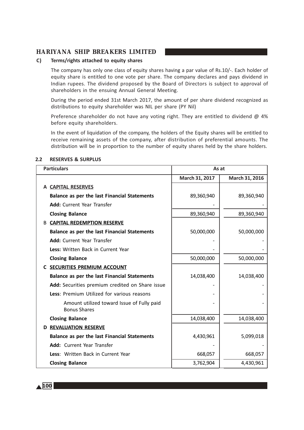#### C) Terms/rights attached to equity shares

The company has only one class of equity shares having a par value of Rs.10/-. Each holder of equity share is entitled to one vote per share. The company declares and pays dividend in Indian rupees. The dividend proposed by the Board of Directors is subject to approval of shareholders in the ensuing Annual General Meeting.

During the period ended 31st March 2017, the amount of per share dividend recognized as distributions to equity shareholder was NIL per share (PY Nil)

Preference shareholder do not have any voting right. They are entitled to dividend  $@$  4% before equity shareholders.

In the event of liquidation of the company, the holders of the Equity shares will be entitled to receive remaining assets of the company, after distribution of preferential amounts. The distribution will be in proportion to the number of equity shares held by the share holders.

| <b>Particulars</b>                                                | As at          |                |
|-------------------------------------------------------------------|----------------|----------------|
|                                                                   | March 31, 2017 | March 31, 2016 |
| A CAPITAL RESERVES                                                |                |                |
| <b>Balance as per the last Financial Statements</b>               | 89,360,940     | 89,360,940     |
| <b>Add:</b> Current Year Transfer                                 |                |                |
| <b>Closing Balance</b>                                            | 89,360,940     | 89,360,940     |
| <b>B CAPITAL REDEMPTION RESERVE</b>                               |                |                |
| <b>Balance as per the last Financial Statements</b>               | 50,000,000     | 50,000,000     |
| <b>Add:</b> Current Year Transfer                                 |                |                |
| Less: Written Back in Current Year                                |                |                |
| <b>Closing Balance</b>                                            | 50,000,000     | 50,000,000     |
| C SECURITIES PREMIUM ACCOUNT                                      |                |                |
| Balance as per the last Financial Statements                      | 14,038,400     | 14,038,400     |
| Add: Securities premium credited on Share issue                   |                |                |
| Less: Premium Utilized for various reasons                        |                |                |
| Amount utilized toward Issue of Fully paid<br><b>Bonus Shares</b> |                |                |
| <b>Closing Balance</b>                                            | 14,038,400     | 14,038,400     |
| <b>D REVALUATION RESERVE</b>                                      |                |                |
| <b>Balance as per the last Financial Statements</b>               | 4,430,961      | 5,099,018      |
| <b>Add:</b> Current Year Transfer                                 |                |                |
| Less: Written Back in Current Year                                | 668,057        | 668,057        |
| <b>Closing Balance</b>                                            | 3,762,904      | 4,430,961      |

#### 2.2 RESERVES & SURPLUS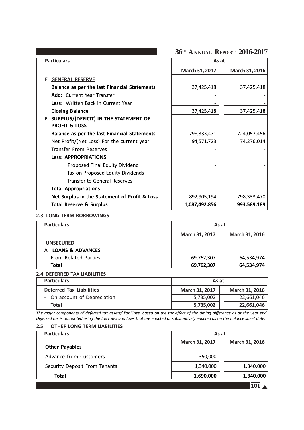| <b>Particulars</b>                                  | As at          |                |
|-----------------------------------------------------|----------------|----------------|
|                                                     | March 31, 2017 | March 31, 2016 |
| <b>GENERAL RESERVE</b><br>F.                        |                |                |
| <b>Balance as per the last Financial Statements</b> | 37,425,418     | 37,425,418     |
| <b>Add:</b> Current Year Transfer                   |                |                |
| Less: Written Back in Current Year                  |                |                |
| <b>Closing Balance</b>                              | 37,425,418     | 37,425,418     |
| F SURPLUS/(DEFICIT) IN THE STATEMENT OF             |                |                |
| <b>PROFIT &amp; LOSS</b>                            |                |                |
| Balance as per the last Financial Statements        | 798,333,471    | 724,057,456    |
| Net Profit/(Net Loss) For the current year          | 94,571,723     | 74,276,014     |
| <b>Transfer From Reserves</b>                       |                |                |
| <b>Less: APPROPRIATIONS</b>                         |                |                |
| Proposed Final Equity Dividend                      |                |                |
| Tax on Proposed Equity Dividends                    |                |                |
| <b>Transfer to General Reserves</b>                 |                |                |
| <b>Total Appropriations</b>                         |                |                |
| Net Surplus in the Statement of Profit & Loss       | 892,905,194    | 798,333,470    |
| <b>Total Reserve &amp; Surplus</b>                  | 1,087,492,856  | 993,589,189    |

#### 2.3 LONG TERM BORROWINGS

| <b>Particulars</b>               | As at          |                |  |
|----------------------------------|----------------|----------------|--|
|                                  | March 31, 2017 | March 31, 2016 |  |
| <b>UNSECURED</b>                 |                |                |  |
| <b>LOANS &amp; ADVANCES</b><br>A |                |                |  |
| - From Related Parties           | 69,762,307     | 64,534,974     |  |
| <b>Total</b>                     | 69,762,307     | 64,534,974     |  |

#### 2.4 DEFERRED TAX LIABILITIES

| <b>Particulars</b><br>As at     |                |                |
|---------------------------------|----------------|----------------|
| <b>Deferred Tax Liabilities</b> | March 31, 2017 | March 31, 2016 |
| - On account of Depreciation    | 5,735,002      | 22,661,046     |
| <b>Total</b>                    | 5,735,002      | 22,661,046     |

The major components of deferred tax assets/ liabilities, based on the tax effect of the timing difference as at the year end. Deferred tax is accounted using the tax rates and laws that are enacted or substantively enacted as on the balance sheet date.

#### 2.5 OTHER LONG TERM LIABILITIES

| <b>Particulars</b>            | As at          |                |  |
|-------------------------------|----------------|----------------|--|
| <b>Other Payables</b>         | March 31, 2017 | March 31, 2016 |  |
|                               |                |                |  |
| Advance from Customers        | 350,000        |                |  |
| Security Deposit From Tenants | 1,340,000      | 1,340,000      |  |
| <b>Total</b>                  | 1,690,000      | 1,340,000      |  |
|                               |                | 10             |  |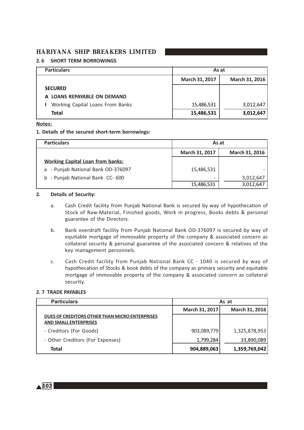# 2.6 SHORT TERM BORROWINGS

| <b>Particulars</b>               | As at          |                |
|----------------------------------|----------------|----------------|
|                                  | March 31, 2017 | March 31, 2016 |
| <b>SECURED</b>                   |                |                |
| A LOANS REPAYABLE ON DEMAND      |                |                |
| Working Capital Loans From Banks | 15,486,531     | 3,012,647      |
| Total                            | 15,486,531     | 3,012,647      |

#### Notes:

#### 1. Details of the secured short-term borrowings:

| <b>Particulars</b>                      | As at                    |                |
|-----------------------------------------|--------------------------|----------------|
|                                         | March 31, 2017           | March 31, 2016 |
| <b>Working Capital Loan from banks:</b> |                          |                |
| a - Punjab National Bank OD-376097      | 15,486,531               |                |
| b - Punjab National Bank CC-600         | $\overline{\phantom{0}}$ | 3,012,647      |
|                                         | 15,486,531               | 3,012,647      |

#### 2. Details of Security:

- a. Cash Credit facility from Punjab National Bank is secured by way of hypothecation of Stock of Raw-Material, Finished goods, Work in progress, Books debts & personal guarantee of the Directors.
- b. Bank overdraft facility from Punjab National Bank OD-376097 is secured by way of equitable mortgage of immovable property of the company & associated concern as collateral security & personal guarantee of the associated concern & relatives of the key management personnels.
- c. Cash Credit facility from Punjab National Bank CC 1040 is secured by way of hypothecation of Stocks & book debts of the company as primary security and equitable mortgage of immovable property of the company & associated concern as collateral security.

#### 2. 7 TRADE PAYABLES

| <b>Particulars</b>                                                             |                | As at          |
|--------------------------------------------------------------------------------|----------------|----------------|
|                                                                                | March 31, 2017 | March 31, 2016 |
| DUES OF CREDITORS OTHER THAN MICRO ENTERPRISES<br><b>AND SMALL ENTERPRISES</b> |                |                |
| - Creditors (For Goods)                                                        | 903,089,779    | 1,325,878,953  |
| - Other Creditors (For Expenses)                                               | 1,799,284      | 33,890,089     |
| <b>Total</b>                                                                   | 904,889,063    | 1,359,769,042  |

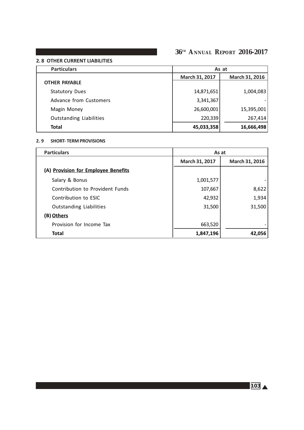#### 2. 8 OTHER CURRENT LIABILITIES

 $\mathcal{L}(\mathcal{L}(\mathcal{L}))$  and the contribution of  $\mathcal{L}(\mathcal{L})$  . The contribution of  $\mathcal{L}(\mathcal{L})$ 

| <b>Particulars</b>             |                | As at          |
|--------------------------------|----------------|----------------|
|                                | March 31, 2017 | March 31, 2016 |
| <b>OTHER PAYABLE</b>           |                |                |
| <b>Statutory Dues</b>          | 14,871,651     | 1,004,083      |
| Advance from Customers         | 3,341,367      |                |
| Magin Money                    | 26,600,001     | 15,395,001     |
| <b>Outstanding Liabilities</b> | 220,339        | 267,414        |
| <b>Total</b>                   | 45,033,358     | 16,666,498     |

#### 2. 9 SHORT- TERM PROVISIONS

| <b>Particulars</b>                  | As at          |                |
|-------------------------------------|----------------|----------------|
|                                     | March 31, 2017 | March 31, 2016 |
| (A) Provision for Employee Benefits |                |                |
| Salary & Bonus                      | 1,001,577      |                |
| Contribution to Provident Funds     | 107,667        | 8,622          |
| Contribution to ESIC                | 42,932         | 1,934          |
| <b>Outstanding Liabilities</b>      | 31,500         | 31,500         |
| (B) Others                          |                |                |
| Provision for Income Tax            | 663,520        |                |
| <b>Total</b>                        | 1,847,196      | 42.056         |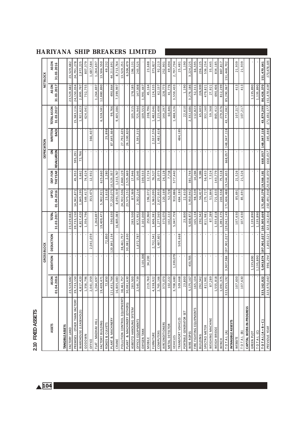| <b>ASSETS</b> |  |
|---------------|--|
| ē<br>FIXI     |  |
| $\tilde{=}$   |  |

|                               |                           |                 | <b>GROSS BLOCK</b> |                     |                         |                             |                         | DEPRICIATION           |                           |                           | <b>NET BLOCK</b>    |
|-------------------------------|---------------------------|-----------------|--------------------|---------------------|-------------------------|-----------------------------|-------------------------|------------------------|---------------------------|---------------------------|---------------------|
| <b>ASSETS</b>                 | 01.04.2016<br><b>ASON</b> | <b>ADDITION</b> | DEDUCTION          | 31.03.2017<br>TOTAL | 01.04.2016<br>OLdn      | <b>THE YEAR</b><br>DEP. FOR | ᅙ<br><b>REVALUATION</b> | <b>BACK</b><br>WRITTEN | 31.03.2017<br>TOTAL AS ON | 31.03.2017<br><b>ASON</b> | AS ON<br>31.03.2016 |
| <b>TANGIBLE ASSETS</b>        |                           |                 |                    |                     |                         |                             |                         |                        |                           |                           |                     |
| FACTORY LAND                  | 23,529,682                |                 |                    | 23,529,682          |                         |                             |                         |                        |                           | 23,529,682                | 23,529,682          |
| PREMISES - OTHER THAN FACTORY | 39,733,150                |                 |                    | 39,733,150          | 14,941,872              | 45,953                      | 595,291                 |                        | 15,583,116                | 24,150,034                | 24,791,278          |
| WAREHOUSE (LEASEHOLD)         | 4,817,420                 |                 |                    | 4,817,420           | 1,845,195               | 3,662                       | 72,766                  |                        | 1,921,623                 | 2,895,797                 | 2,972,225           |
| GODOWN                        | 96<br>1,356,79            |                 |                    | 1,356,796           | 549,417                 | 74,624                      |                         |                        | 624,041                   | 732,755                   | 807,379             |
| OFFICE                        | 2,041,059                 |                 | 2,041,059          |                     | 353,475                 | 12,932                      |                         | 366,407                |                           |                           | 1,687,584           |
| FLAT - MADHAV HILI            | 1,264,697                 |                 |                    | 1,264,697           |                         |                             |                         |                        |                           | 1,264,697                 | 1,264,697           |
| FACTORY BUILDING              | 19,409,471                |                 |                    | 19,409,471          | 902,921<br><u>ທ</u> ີ   | 625,660                     |                         |                        | 581<br>528,<br>ဖ          | 12,880,890                | 13,506,550          |
| ROADS & CULVETS               | 72,850                    |                 | 72,850             |                     | 23,618                  | 2,280                       |                         | 25,898                 |                           |                           | 49,232              |
| PLANT & MACHINERY             | 121,431,764               |                 | 120,841,134        | 590,630             | 77,220,075              | 10,525,357                  |                         | 645,664<br>87,         | 99,766                    | 490,864                   | 44,211,691          |
| CRANE                         | 16,805,083                |                 |                    | 16,805,083          | 8,091,319               | 1,313,767                   |                         |                        | 9,405,086                 | 7,399,997                 | 8,713,764           |
| POLLUTION CONTROL EQUIPMENTS  | 38,461,757                |                 | 38,461,757         |                     | 24,932,506              | 2,860,129                   |                         | 27,792,635             |                           |                           | 13,529,251          |
| PLANT & MACHINERY (OTHERS)    | 30,081,630                |                 | 30,081,630         |                     | 23,575,151              | 2,525,669                   |                         | 26,100,820             |                           |                           | 6,506,479           |
| ASBESTO HANDLING SYSTEM       | 283,500                   |                 |                    | 283,500             | 87,369                  | 17,946                      |                         |                        | 105,315                   | 178,185                   | 196,131             |
| OFFICE EQUIPMENTS             | 59<br>2,545,7             |                 | 1,672,787          | 872,952             | 2,302,214               | 15,045                      |                         | , 315<br>1,591,        | 725,944                   | 147,008                   | 243,525             |
| <b>OXYGEN TANK</b>            |                           | 2,101,000       |                    | 2,101,000           |                         | 109,553                     |                         |                        | 109,553                   | 991,447<br>$\ddot{ }$     |                     |
| MOBILE                        | 60<br>219,7               | 34,200          |                    | 253,960             | 196,072                 | 12,724                      |                         |                        | 208,796                   | 45,164                    | 23,688              |
| FURNITURE                     | 4,338,922                 |                 | 2,732,541          | 1,606,381           | 3,963,095               | 76,527                      |                         | 2,557,576              | 1,482,046                 | 124, 335                  | 375,827             |
| COMPUTERS                     | 2,765,166                 |                 | 1,487,601          | 1,277,565           | 2,672,953               | 25,073                      |                         | 1,482,618              | 1,215,408                 | 62,157                    | 92,213              |
| AIRCONDITIONERS               | 373,070                   |                 |                    | 373,070             | 120,169                 | 24,128                      |                         |                        | 144,297                   | 228,773                   | 252,901             |
| METAL DETECTOR                | 102,222                   |                 |                    | 102,222             | 52,728                  | 7,718                       |                         |                        | 60,446                    | 41,776                    | 49,494              |
| VEHICLES                      | 3,708,680                 | 1,339,079       |                    | 5,047,759           | 910,886                 | 577,440                     |                         |                        | 1,488,326                 | 559,433<br>$\tilde{3}$    | 2,797,794           |
| TRANSPORT VEHICLES            | 509,668                   |                 | 509,668            |                     | 484,183                 |                             |                         | 484,185                |                           |                           | 25,481              |
| PORTABLE GENERATOR SET        | 23,800                    |                 |                    | 23,800              | 22,610                  |                             |                         |                        | 22,610                    | 1,190                     | 1,190               |
| WIRE ROPES                    | 67<br>5,175,16            | 433,705         |                    | 5,608,872           | 950,942<br>$\mathbf{I}$ | 381,744                     |                         |                        | 2,332,686                 | 3,276,186                 | 3,224,225           |
| FIRE FIGHTING EQUIPMENTS      | $\ddot{34}$<br>165,1      |                 |                    | 165,134             | 98,539                  | 14,284                      |                         |                        | 112,823                   | 52,311                    | 66,595              |
| <b>BUILDING</b>               | 292,542                   |                 |                    | 292,542             | 56,417                  | 9,186                       |                         |                        | 65,603                    | 226,939                   | 236,125             |
| SPECTRO METER                 | 811,981                   |                 |                    | 811,981             | 275,727                 | 56,433                      |                         |                        | 332,160                   | 479,821                   | 536,254             |
| WEIGHING MACHINE              | 87,289                    |                 |                    | 87,289              | 51,844                  | 7,524                       |                         |                        | 59,368                    | 27,921                    | 35,445              |
| WEIGH BRIDGE                  | 1,555,818                 |                 |                    | 555,818             | 721,633                 | 143,779                     |                         |                        | 865,412                   | 690,406                   | 834,185             |
| WINCH                         | 1,091,375                 |                 |                    | 1,091,375           | 203,558                 | 75,518                      |                         |                        | 279,076                   | 812,299                   | 887,817             |
| TOTAL <sup>(A)</sup>          | 92<br>323,055,1           | 984<br>3,907,   | 197,901,027        | 129,062,149         | 171,606,488             | 544,655<br>$\overline{19}$  | 668,057                 | 148,047,118            | 43,772,082                | 85,290,067                | 151,448,702         |
| INTANGIBLE ASSESTS            |                           |                 |                    |                     |                         |                             |                         |                        |                           |                           |                     |
| WEBSITE                       | 107,630                   |                 |                    | 107,630             | 85,691                  | 21,526                      |                         |                        | 107,217                   | 413                       | 21,939              |
| TOTAL <sup>(B)</sup>          | 30<br>107,63              |                 |                    | 107,630             | 85,691                  | 21,526                      |                         |                        | 107,217                   | 413                       | 21,939              |
| CAPITAL WORK-IN-PROGRESS      |                           |                 |                    |                     |                         |                             |                         |                        |                           |                           |                     |
| GREEN PLOT                    |                           | 1,135,890       |                    | 1,135,890           |                         |                             |                         |                        |                           | 1,135,890                 |                     |
| TOTAL <sup>(C)</sup>          |                           | 1,135,890       |                    | 1,135,890           |                         |                             |                         |                        |                           | 1,135,890                 |                     |
| $TOTAL(A+B+C)$                | 323,162,822               | 5,043,874       | 197,901,027        | 130,305,669         | 171, 692, 179           | 19,566,181                  | 668,057                 | 148,047,118            | 43,879,299                | 86,426,370                | 151,470,641         |
| PREVIOUS YEAR                 | 323,970,043               | 996,294         | 1,803,521          | 323,162,816         | 150,491,938 20,918,070  |                             | 668,057                 | 385,888                | 171,692,177               | 151,470,639               | 173,478,105         |

**104**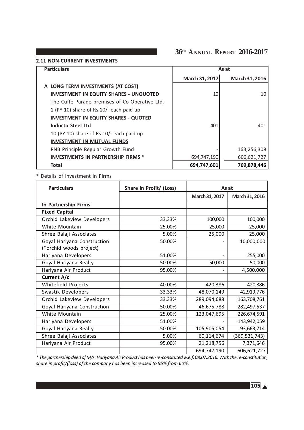#### 2.11 NON-CURRENT INVESTMENTS

| <b>Particulars</b>                             |                | As at          |
|------------------------------------------------|----------------|----------------|
|                                                | March 31, 2017 | March 31, 2016 |
| A LONG TERM INVESTMENTS (AT COST)              |                |                |
| <b>INVESTMENT IN EQUITY SHARES - UNQUOTED</b>  | 10             | 10             |
| The Cuffe Parade premises of Co-Operative Ltd. |                |                |
| 1 (PY 10) share of Rs.10/- each paid up        |                |                |
| <b>INVESTMENT IN EQUITY SHARES - QUOTED</b>    |                |                |
| <b>Inducto Steel Ltd</b>                       | 401            | 401            |
| 10 (PY 10) share of Rs.10/- each paid up       |                |                |
| <b>INVESTMENT IN MUTUAL FUNDS</b>              |                |                |
| PNB Principle Regular Growth Fund              |                | 163,256,308    |
| <b>INVESTMENTS IN PARTNERSHIP FIRMS *</b>      | 694,747,190    | 606,621,727    |
| Total                                          | 694,747,601    | 769,878,446    |

#### \* Details of Investment in Firms

| <b>Particulars</b>                                     | Share in Profit/ (Loss) | As at                        |                 |
|--------------------------------------------------------|-------------------------|------------------------------|-----------------|
|                                                        |                         | March 31, 2017               | March 31, 2016  |
| In Partnership Firms                                   |                         |                              |                 |
| <b>Fixed Capital</b>                                   |                         |                              |                 |
| Orchid Lakeview Developers                             | 33.33%                  | 100,000                      | 100,000         |
| White Mountain                                         | 25.00%                  | 25,000                       | 25,000          |
| Shree Balaji Associates                                | 5.00%                   | 25,000                       | 25,000          |
| Goyal Hariyana Construction<br>(*orchid woods project) | 50.00%                  |                              | 10,000,000      |
| Hariyana Developers                                    | 51.00%                  | $\qquad \qquad \blacksquare$ | 255,000         |
| Goyal Hariyana Realty                                  | 50.00%                  | 50,000                       | 50,000          |
| Hariyana Air Product                                   | 95.00%                  |                              | 4,500,000       |
| <b>Current A/c</b>                                     |                         |                              |                 |
| Whitefield Projects                                    | 40.00%                  | 420,386                      | 420,386         |
| Swastik Developers                                     | 33.33%                  | 48,070,149                   | 42,919,776      |
| Orchid Lakeview Developers                             | 33.33%                  | 289,094,688                  | 163,708,761     |
| Goyal Hariyana Construction                            | 50.00%                  | 46,675,788                   | 282,497,537     |
| White Mountain                                         | 25.00%                  | 123,047,695                  | 226,674,591     |
| Hariyana Developers                                    | 51.00%                  |                              | 143,942,059     |
| Goyal Hariyana Realty                                  | 50.00%                  | 105,905,054                  | 93,663,714      |
| Shree Balaji Associates                                | 5.00%                   | 60,114,674                   | (369, 531, 743) |
| Hariyana Air Product                                   | 95.00%                  | 21,218,756                   | 7,371,646       |
|                                                        |                         | 694,747,190                  | 606,621,727     |

\* The partnership deed of M/s. Hariyana Air Product has been re-consituted w.e.f. 08.07.2016. With the re-constitution, share in profit/(loss) of the company has been increased to 95% from 60%.

105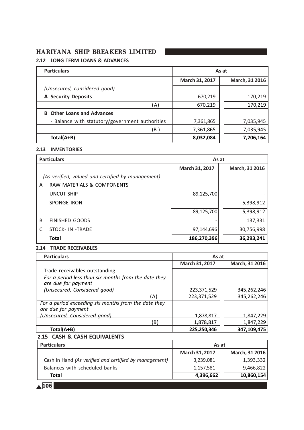### 2.12 LONG TERM LOANS & ADVANCES

| <b>Particulars</b>                              |                | As at          |
|-------------------------------------------------|----------------|----------------|
|                                                 | March 31, 2017 | March, 31 2016 |
| (Unsecured, considered good)                    |                |                |
| <b>A Security Deposits</b>                      | 670,219        | 170,219        |
| (A)                                             | 670,219        | 170,219        |
| <b>B</b> Other Loans and Advances               |                |                |
| - Balance with statutory/government authorities | 7,361,865      | 7,035,945      |
| (B)                                             | 7,361,865      | 7,035,945      |
| Total(A+B)                                      | 8,032,084      | 7,206,164      |

#### 2.13 INVENTORIES

|   | <b>Particulars</b>                                |                | As at          |
|---|---------------------------------------------------|----------------|----------------|
|   |                                                   | March 31, 2017 | March, 31 2016 |
|   | (As verified, valued and certified by management) |                |                |
| A | RAW MATERIALS & COMPONENTS                        |                |                |
|   | UNCUT SHIP                                        | 89,125,700     |                |
|   | SPONGE IRON                                       |                | 5,398,912      |
|   |                                                   | 89,125,700     | 5,398,912      |
| B | FINISHED GOODS                                    |                | 137,331        |
|   | STOCK- IN -TRADE                                  | 97,144,696     | 30,756,998     |
|   | Total                                             | 186,270,396    | 36,293,241     |

#### 2.14 TRADE RECEIVABLES

| <b>Particulars</b>                                   | As at          |                |
|------------------------------------------------------|----------------|----------------|
|                                                      | March 31, 2017 | March, 31 2016 |
| Trade receivables outstanding                        |                |                |
| For a period less than six months from the date they |                |                |
| are due for payment                                  |                |                |
| (Unsecured, Considered good)                         | 223,371,529    | 345,262,246    |
| 'A)                                                  | 223,371,529    | 345,262,246    |
| For a period exceeding six months from the date they |                |                |
| are due for payment                                  |                |                |
| (Unsecured, Considered good)                         | 1,878,817      | 1,847,229      |
| (B)                                                  | 1,878,817      | 1,847,229      |
| Total(A+B)                                           | 225,250,346    | 347,109,475    |

### 2.15 CASH & CASH EQUIVALENTS

| <b>Particulars</b>                                     | As at          |                |
|--------------------------------------------------------|----------------|----------------|
|                                                        | March 31, 2017 | March, 31 2016 |
| Cash in Hand (As verified and certified by management) | 3,239,081      | 1,393,332      |
| Balances with scheduled banks                          | 1,157,581      | 9,466,822      |
| Total                                                  | 4,396,662      | 10,860,154     |
|                                                        |                |                |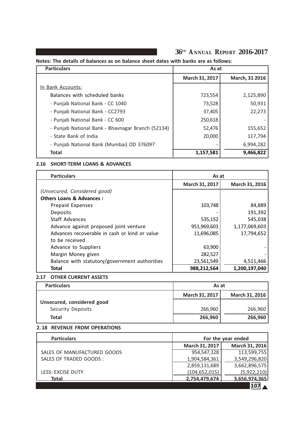Notes: The details of balances as on balance sheet dates with banks are as follows:

| <b>Particulars</b>                                | As at          |                |
|---------------------------------------------------|----------------|----------------|
|                                                   | March 31, 2017 | March, 31 2016 |
| In Bank Accounts:                                 |                |                |
| Balances with scheduled banks                     | 723,554        | 2,125,890      |
| - Punjab National Bank - CC 1040                  | 73,528         | 50,931         |
| - Punjab National Bank - CC2793                   | 37,405         | 22,273         |
| - Punjab National Bank - CC 600                   | 250,618        |                |
| - Punjab National Bank - Bhavnagar Branch (52134) | 52,476         | 155,652        |
| - State Bank of India                             | 20,000         | 117,794        |
| - Punjab National Bank (Mumbai) OD 376097         |                | 6,994,282      |
| <b>Total</b>                                      | 1,157,581      | 9,466,822      |

#### 2.16 SHORT-TERM LOANS & ADVANCES

| <b>Particulars</b>                            | As at          |                |
|-----------------------------------------------|----------------|----------------|
|                                               | March 31, 2017 | March 31, 2016 |
| (Unsecured, Considered good)                  |                |                |
| <b>Others Loans &amp; Advances:</b>           |                |                |
| Prepaid Expenses                              | 103,748        | 84,889         |
| Deposits                                      |                | 191,392        |
| <b>Staff Advances</b>                         | 535,152        | 545,038        |
| Advance against proposed joint venture        | 951,969,603    | 1,177,069,603  |
| Advances recoverable in cash or kind or value | 11,696,085     | 17,794,652     |
| to be received                                |                |                |
| Advance to Suppliers                          | 63,900         |                |
| Margin Money given                            | 282,527        |                |
| Balance with statutory/government authorities | 23,561,549     | 4,511,466      |
| <b>Total</b>                                  | 988,212,564    | 1,200,197,040  |

#### 2.17 OTHER CURRENT ASSETS

| <b>Particulars</b>         | As at          |                |
|----------------------------|----------------|----------------|
|                            | March 31, 2017 | March 31, 2016 |
| Unsecured, considered good |                |                |
| Security Deposits          | 266,960        | 266,960        |
| <b>Total</b>               | 266,960        | 266,960        |

#### 2. 18 REVENUE FROM OPERATIONS

| <b>Particulars</b>          |                 | For the year ended |  |
|-----------------------------|-----------------|--------------------|--|
|                             | March 31, 2017  | March 31, 2016     |  |
| SALES OF MANUFACTURED GOODS | 954,547,328     | 113,599,755        |  |
| SALES OF TRADED GOODS :     | 1,904,584,361   | 3,549,296,820      |  |
|                             | 2,859,131,689   | 3,662,896,575      |  |
| <b>LESS: EXCISE DUTY</b>    | (104, 652, 015) | (5,922,210)        |  |
| Total                       | 2.754.479.674   | 3.656.974.365      |  |
|                             |                 |                    |  |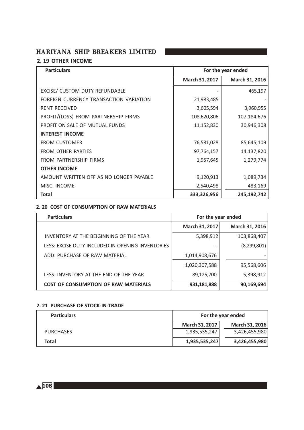#### 2. 19 OTHER INCOME

| <b>Particulars</b>                      | For the year ended |                |  |
|-----------------------------------------|--------------------|----------------|--|
|                                         | March 31, 2017     | March 31, 2016 |  |
| EXCISE/ CUSTOM DUTY REFUNDABLE          |                    | 465,197        |  |
| FOREIGN CURRENCY TRANSACTION VARIATION  | 21,983,485         |                |  |
| <b>RENT RECEIVED</b>                    | 3,605,594          | 3,960,955      |  |
| PROFIT/(LOSS) FROM PARTNERSHIP FIRMS    | 108,620,806        | 107,184,676    |  |
| PROFIT ON SALE OF MUTUAL FUNDS          | 11,152,830         | 30,946,308     |  |
| <b>INTEREST INCOME</b>                  |                    |                |  |
| <b>FROM CUSTOMER</b>                    | 76,581,028         | 85,645,109     |  |
| <b>FROM OTHER PARTIES</b>               | 97,764,157         | 14,137,820     |  |
| FROM PARTNERSHIP FIRMS                  | 1,957,645          | 1,279,774      |  |
| <b>OTHER INCOME</b>                     |                    |                |  |
| AMOUNT WRITTEN OFF AS NO LONGER PAYABLE | 9,120,913          | 1,089,734      |  |
| MISC. INCOME                            | 2,540,498          | 483,169        |  |
| <b>Total</b>                            | 333,326,956        | 245,192,742    |  |

#### 2. 20 COST OF CONSUMPTION OF RAW MATERIALS

| <b>Particulars</b>                                | For the year ended |                |  |
|---------------------------------------------------|--------------------|----------------|--|
|                                                   | March 31, 2017     | March 31, 2016 |  |
| INVENTORY AT THE BEIGINNING OF THE YEAR           | 5,398,912          | 103,868,407    |  |
| LESS: EXCISE DUTY INCLUDED IN OPENING INVENTORIES |                    | (8, 299, 801)  |  |
| ADD: PURCHASE OF RAW MATERIAL                     | 1,014,908,676      |                |  |
|                                                   | 1,020,307,588      | 95,568,606     |  |
| LESS: INVENTORY AT THE END OF THE YEAR            | 89,125,700         | 5,398,912      |  |
| <b>COST OF CONSUMPTION OF RAW MATERIALS</b>       | 931,181,888        | 90,169,694     |  |

#### 2. 21 PURCHASE OF STOCK-IN-TRADE

| <b>Particulars</b> | For the year ended |                |  |
|--------------------|--------------------|----------------|--|
|                    | March 31, 2017     | March 31, 2016 |  |
| <b>PURCHASES</b>   | 1,935,535,247      | 3.426.455.980  |  |
| Total              | 1,935,535,247      | 3,426,455,980  |  |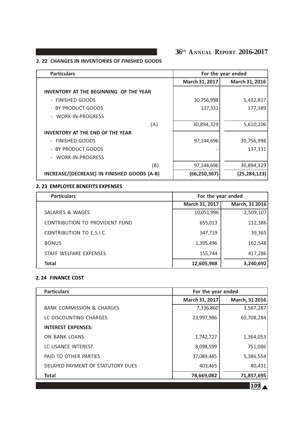## **36<sup>TH</sup> ANNUAL REPORT 2016-2017**

#### 2. 22 CHANGES IN INVENTORIES OF FINISHED GOODS

| <b>Particulars</b>                            | For the year ended |                |  |
|-----------------------------------------------|--------------------|----------------|--|
|                                               | March 31, 2017     | March 31, 2016 |  |
| <b>INVENTORY AT THE BEGINNING OF THE YEAR</b> |                    |                |  |
| - FINISHED GOODS                              | 30,756,998         | 5,432,817      |  |
| - BY PRODUCT GOODS                            | 137,331            | 177,389        |  |
| - WORK-IN-PROGRESS                            |                    |                |  |
| (A)                                           | 30,894,329         | 5,610,206      |  |
| <b>INVENTORY AT THE END OF THE YEAR</b>       |                    |                |  |
| - FINISHED GOODS                              | 97,144,696         | 30,756,998     |  |
| - BY PRODUCT GOODS                            |                    | 137,331        |  |
| - WORK-IN-PROGRESS                            |                    |                |  |
| (B)                                           | 97,144,696         | 30,894,329     |  |
| INCREASE/(DECREASE) IN FINISHED GOODS (A-B)   | (66, 250, 367)     | (25, 284, 123) |  |

#### 2. 23 EMPLOYEE BENEFITS EXPENSES

| <b>Particulars</b>             | For the year ended |                |  |
|--------------------------------|--------------------|----------------|--|
|                                | March 31, 2017     | March, 31 2016 |  |
| SALARIES & WAGES               | 10,051,996         | 2,509,107      |  |
| CONTRIBUTION TO PROVIDENT FUND | 655,013            | 112,386        |  |
| CONTRIBUTION TO E.S.I.C.       | 347,719            | 39,365         |  |
| <b>BONUS</b>                   | 1,395,496          | 162,548        |  |
| STAFF WELFARE EXPENSES         | 155,744            | 417,286        |  |
| <b>Total</b>                   | 12,605,968         | 3,240,692      |  |

#### 2. 24 FINANCE COST

| <b>Particulars</b>                   |                | For the year ended |  |  |
|--------------------------------------|----------------|--------------------|--|--|
|                                      | March 31, 2017 | March, 31 2016     |  |  |
| <b>BANK COMMISSION &amp; CHARGES</b> | 7,336,860      | 3,567,287          |  |  |
| LC DISCOUNTING CHARGES               | 23,997,986     | 60,708,284         |  |  |
| <b>INTEREST EXPENSES:</b>            |                |                    |  |  |
| <b>ON BANK LOANS</b>                 | 1,742,727      | 1,364,053          |  |  |
| LC USANCE INTEREST                   | 8,098,599      | 751,086            |  |  |
| PAID TO OTHER PARTIES                | 37,089,445     | 5,386,554          |  |  |
| DELAYED PAYMENT OF STATUTORY DUES    | 403,465        | 80,431             |  |  |
| <b>Total</b>                         | 78,669,082     | 71,857,695         |  |  |
|                                      |                | 109                |  |  |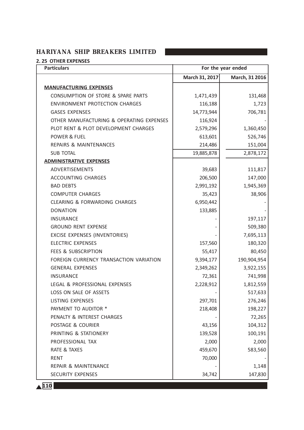### 2. 25 OTHER EXPENSES

| <b>Particulars</b>                       | For the year ended |                |
|------------------------------------------|--------------------|----------------|
|                                          | March 31, 2017     | March, 31 2016 |
| <b>MANUFACTURING EXPENSES</b>            |                    |                |
| CONSUMPTION OF STORE & SPARE PARTS       | 1,471,439          | 131,468        |
| ENVIRONMENT PROTECTION CHARGES           | 116,188            | 1,723          |
| <b>GASES EXPENSES</b>                    | 14,773,944         | 706,781        |
| OTHER MANUFACTURING & OPERATING EXPENSES | 116,924            |                |
| PLOT RENT & PLOT DEVELOPMENT CHARGES     | 2,579,296          | 1,360,450      |
| POWER & FUEL                             | 613,601            | 526,746        |
| REPAIRS & MAINTENANCES                   | 214,486            | 151,004        |
| <b>SUB TOTAL</b>                         | 19,885,878         | 2,878,172      |
| <b>ADMINISTRATIVE EXPENSES</b>           |                    |                |
| <b>ADVERTISEMENTS</b>                    | 39,683             | 111,817        |
| ACCOUNTING CHARGES                       | 206,500            | 147,000        |
| <b>BAD DEBTS</b>                         | 2,991,192          | 1,945,369      |
| <b>COMPUTER CHARGES</b>                  | 35,423             | 38,906         |
| <b>CLEARING &amp; FORWARDING CHARGES</b> | 6,950,442          |                |
| <b>DONATION</b>                          | 133,885            |                |
| <b>INSURANCE</b>                         |                    | 197,117        |
| <b>GROUND RENT EXPENSE</b>               |                    | 509,380        |
| EXCISE EXPENSES (INVENTORIES)            |                    | 7,695,113      |
| <b>ELECTRIC EXPENSES</b>                 | 157,560            | 180,320        |
| <b>FEES &amp; SUBSCRIPTION</b>           | 55,417             | 80,450         |
| FOREIGN CURRENCY TRANSACTION VARIATION   | 9,394,177          | 190,904,954    |
| <b>GENERAL EXPENSES</b>                  | 2,349,262          | 3,922,155      |
| <b>INSURANCE</b>                         | 72,361             | 741,998        |
| LEGAL & PROFESSIONAL EXPENSES            | 2,228,912          | 1,812,559      |
| LOSS ON SALE OF ASSETS                   |                    | 517,633        |
| <b>LISTING EXPENSES</b>                  | 297,701            | 276,246        |
| PAYMENT TO AUDITOR *                     | 218,408            | 198,227        |
| PENALTY & INTEREST CHARGES               |                    | 72,265         |
| POSTAGE & COURIER                        | 43,156             | 104,312        |
| PRINTING & STATIONERY                    | 139,528            | 100,191        |
| PROFESSIONAL TAX                         | 2,000              | 2,000          |
| <b>RATE &amp; TAXES</b>                  | 459,670            | 583,560        |
| <b>RENT</b>                              | 70,000             |                |
| <b>REPAIR &amp; MAINTENANCE</b>          |                    | 1,148          |
| <b>SECURITY EXPENSES</b>                 | 34,742             | 147,830        |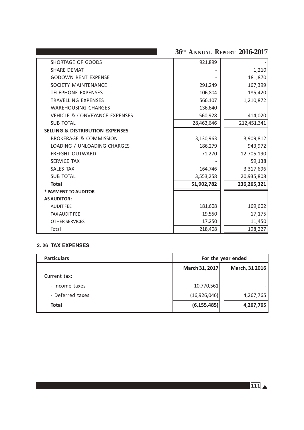**36TH ANNUAL REPORT 2016-2017** 

| SHORTAGE OF GOODS                          | 921,899    |             |
|--------------------------------------------|------------|-------------|
| <b>SHARE DEMAT</b>                         |            | 1,210       |
| <b>GODOWN RENT EXPENSE</b>                 |            | 181,870     |
| SOCIETY MAINTENANCE                        | 291,249    | 167,399     |
| <b>TELEPHONE EXPENSES</b>                  | 106,804    | 185,420     |
| <b>TRAVELLING EXPENSES</b>                 | 566,107    | 1,210,872   |
| <b>WAREHOUSING CHARGES</b>                 | 136,640    |             |
| <b>VEHICLE &amp; CONVEYANCE EXPENSES</b>   | 560,928    | 414,020     |
| <b>SUB TOTAL</b>                           | 28,463,646 | 212,451,341 |
| <b>SELLING &amp; DISTRIBUTION EXPENSES</b> |            |             |
| <b>BROKERAGE &amp; COMMISSION</b>          | 3,130,963  | 3,909,812   |
| LOADING / UNLOADING CHARGES                | 186,279    | 943,972     |
| <b>FREIGHT OUTWARD</b>                     | 71,270     | 12,705,190  |
| <b>SERVICE TAX</b>                         |            | 59,138      |
| <b>SALES TAX</b>                           | 164,746    | 3,317,696   |
| <b>SUB TOTAL</b>                           | 3,553,258  | 20,935,808  |
| <b>Total</b>                               | 51,902,782 | 236,265,321 |
| <b>* PAYMENT TO AUDITOR</b>                |            |             |
| <b>AS AUDITOR:</b>                         |            |             |
| <b>AUDIT FEE</b>                           | 181,608    | 169,602     |
| <b>TAX AUDIT FEE</b>                       | 19,550     | 17,175      |
| <b>OTHER SERVICES</b>                      | 17,250     | 11,450      |
| Total                                      | 218,408    | 198,227     |

#### **2. 26 TAX EXPENSES**

| <b>Particulars</b> | For the year ended               |           |  |
|--------------------|----------------------------------|-----------|--|
|                    | March, 31 2016<br>March 31, 2017 |           |  |
| Current tax:       |                                  |           |  |
| - Income taxes     | 10,770,561                       |           |  |
| - Deferred taxes   | (16,926,046)                     | 4,267,765 |  |
| <b>Total</b>       | (6, 155, 485)                    | 4,267,765 |  |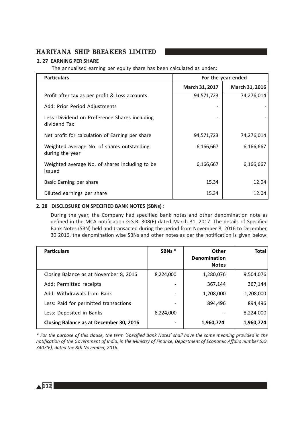#### 2. 27 EARNING PER SHARE

The annualised earning per equity share has been calculated as under.:

| <b>Particulars</b>                                            | For the year ended |                |  |
|---------------------------------------------------------------|--------------------|----------------|--|
|                                                               | March 31, 2017     | March 31, 2016 |  |
| Profit after tax as per profit & Loss accounts                | 94,571,723         | 74,276,014     |  |
| Add: Prior Period Adjustments                                 |                    |                |  |
| Less: Dividend on Preference Shares including<br>dividend Tax |                    |                |  |
| Net profit for calculation of Earning per share               | 94,571,723         | 74,276,014     |  |
| Weighted average No. of shares outstanding<br>during the year | 6,166,667          | 6,166,667      |  |
| Weighted average No. of shares including to be<br>issued      | 6,166,667          | 6,166,667      |  |
| Basic Earning per share                                       | 15.34              | 12.04          |  |
| Diluted earnings per share                                    | 15.34              | 12.04          |  |

#### 2. 28 DISCLOSURE ON SPECIFIED BANK NOTES (SBNs) :

During the year, the Company had specified bank notes and other denomination note as defined in the MCA notification G.S.R. 308(E) dated March 31, 2017. The details of Specified Bank Notes (SBN) held and transacted during the period from November 8, 2016 to December, 30 2016, the denomination wise SBNs and other notes as per the notification is given below:

| <b>Particulars</b>                      | SBNs <sup>*</sup> | Other<br>Denomination<br><b>Notes</b> | <b>Total</b> |
|-----------------------------------------|-------------------|---------------------------------------|--------------|
| Closing Balance as at November 8, 2016  | 8,224,000         | 1,280,076                             | 9,504,076    |
| Add: Permitted receipts                 |                   | 367,144                               | 367,144      |
| Add: Withdrawals from Bank              |                   | 1,208,000                             | 1,208,000    |
| Less: Paid for permitted transactions   |                   | 894,496                               | 894,496      |
| Less: Deposited in Banks                | 8,224,000         |                                       | 8,224,000    |
| Closing Balance as at December 30, 2016 |                   | 1,960,724                             | 1,960,724    |

\* For the purpose of this clause, the term 'Specified Bank Notes' shall have the same meaning provided in the notification of the Government of India, in the Ministry of Finance, Department of Economic Affairs number S.O. 3407(E), dated the 8th November, 2016.

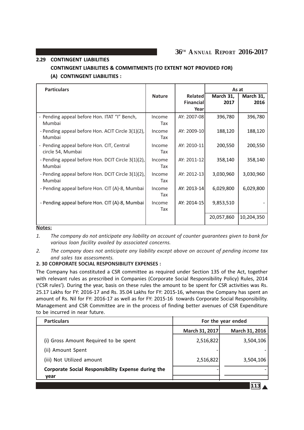#### 2.29 CONTINGENT LIABILITIES

CONTINGENT LIABILITIES & COMMITMENTS (TO EXTENT NOT PROVIDED FOR) (A) CONTINGENT LIABILITIES :

| <b>Particulars</b>                                             |               |                    | As at      |            |
|----------------------------------------------------------------|---------------|--------------------|------------|------------|
|                                                                | <b>Nature</b> | Related            | March 31,  | March 31,  |
|                                                                |               | Financiall<br>Year | 2017       | 2016       |
| - Pending appeal before Hon. ITAT "I" Bench,<br>Mumbai         | Income<br>Tax | AY: 2007-08        | 396,780    | 396,780    |
| - Pending appeal before Hon. ACIT Circle 3(1)(2),<br>Mumbai    | Income<br>Tax | AY: 2009-10        | 188,120    | 188,120    |
| - Pending appeal before Hon. CIT, Central<br>circle 54, Mumbai | Income<br>Tax | AY: 2010-11        | 200,550    | 200,550    |
| - Pending appeal before Hon. DCIT Circle 3(1)(2),<br>Mumbai    | Income<br>Tax | AY: 2011-12        | 358,140    | 358,140    |
| - Pending appeal before Hon. DCIT Circle 3(1)(2),<br>Mumbai    | Income<br>Tax | AY: 2012-13        | 3,030,960  | 3,030,960  |
| - Pending appeal before Hon. CIT (A)-8, Mumbai                 | Income<br>Tax | AY: 2013-14        | 6,029,800  | 6,029,800  |
| - Pending appeal before Hon. CIT (A)-8, Mumbai                 | Income<br>Tax | AY: 2014-15        | 9,853,510  |            |
|                                                                |               |                    | 20,057,860 | 10,204,350 |

#### Notes:

1. The company do not anticipate any liability on account of counter guarantees given to bank for various loan facility availed by associated concerns.

2. The company does not anticipate any liability except above on account of pending income tax and sales tax assessments.

#### 2. 30 CORPORATE SOCIAL RESPONSIBILITY EXPENSES :

The Company has constituted a CSR committee as required under Section 135 of the Act, together with relevant rules as prescribed in Companies (Corporate Social Responsibility Policy) Rules, 2014 ('CSR rules'). During the year, basis on these rules the amount to be spent for CSR activities was Rs. 25.17 Lakhs for FY: 2016-17 and Rs. 35.04 Lakhs for FY: 2015-16, whereas the Company has spent an amount of Rs. Nil for FY: 2016-17 as well as for FY: 2015-16 towards Corporate Social Responsibility. Management and CSR Committee are in the process of finding better avenues of CSR Expenditure to be incurred in near future.

| <b>Particulars</b>                                 | For the year ended |                |  |
|----------------------------------------------------|--------------------|----------------|--|
|                                                    | March 31, 2017     | March 31, 2016 |  |
| (i) Gross Amount Required to be spent              | 2,516,822          | 3,504,106      |  |
| (ii) Amount Spent                                  |                    |                |  |
| (iii) Not Utilized amount                          | 2,516,822          | 3,504,106      |  |
| Corporate Social Responsibility Expense during the |                    |                |  |
| year                                               |                    |                |  |
|                                                    |                    |                |  |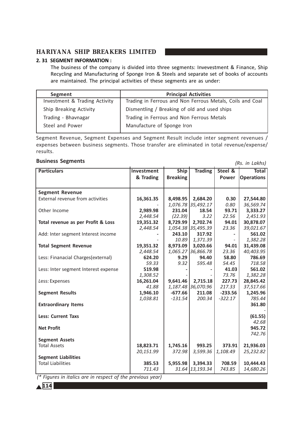#### 2. 31 SEGMENT INFORMATION :

The business of the company is divided into three segments: Invevestment & Finance, Ship Recycling and Manufacturing of Sponge Iron & Steels and separate set of books of accounts are maintained. The principal activities of these segments are as under:

| Segment                       | <b>Principal Activities</b>                               |
|-------------------------------|-----------------------------------------------------------|
| Investment & Trading Activity | Trading in Ferrous and Non Ferrous Metals, Coils and Coal |
| Ship Breaking Activity        | Dismentling / Breaking of old and used ships              |
| Trading - Bhavnagar           | Trading in Ferrous and Non Ferrous Metals                 |
| Steel and Power               | Manufacture of Sponge Iron                                |

Segment Revenue, Segment Expenses and Segment Result include inter segment revenues / expenses between business segments. Those transfer are eliminated in total revenue/expense/ results.

# **Business Segments** (Rs. in Lakhs)

| <b>Particulars</b>                   | Investment | <b>Ship</b>     | <b>Trading</b>     | Steel &   | <b>Total</b>      |
|--------------------------------------|------------|-----------------|--------------------|-----------|-------------------|
|                                      | & Trading  | <b>Breaking</b> |                    | Power     | <b>Operations</b> |
|                                      |            |                 |                    |           |                   |
| <b>Segment Revenue</b>               |            |                 |                    |           |                   |
| External revenue from activities     | 16,361.35  | 8,498.95        | 2,684.20           | 0.30      | 27,544.80         |
|                                      |            |                 | 1,076.78 35,492.17 | 0.80      | 36,569.74         |
| Other Income                         | 2,989.98   | 231.04          | 18.54              | 93.71     | 3,333.27          |
|                                      | 2,448.54   | (22.39)         | 3.22               | 22.56     | 2,451.93          |
| Total revenue as per Profit & Loss   | 19,351.32  | 8,729.99        | 2,702.74           | 94.01     | 30,878.07         |
|                                      | 2,448.54   |                 | 1,054.38 35,495.39 | 23.36     | 39,021.67         |
| Add: Inter segment Interest income   |            | 243.10          | 317.92             |           | 561.02            |
|                                      |            | 10.89           | 1,371.39           |           | 1,382.28          |
| <b>Total Segment Revenue</b>         | 19,351.32  | 8,973.09        | 3,020.66           | 94.01     | 31,439.08         |
|                                      | 2,448.54   | 1,065.27        | 36,866.78          | 23.36     | 40,403.95         |
| Less: Finanacial Charges(external)   | 624.20     | 9.29            | 94.40              | 58.80     | 786.69            |
|                                      | 59.33      | 9.32            | 595.48             | 54.45     | 718.58            |
| Less: Inter segment Interest expense | 519.98     |                 |                    | 41.03     | 561.02            |
|                                      | 1,308.52   |                 |                    | 73.76     | 1,382.28          |
| Less: Expenses                       | 16,261.04  | 9,641.46        | 2,715.18           | 227.73    | 28,845.42         |
|                                      | 41.88      |                 | 1,187.48 36,070.96 | 217.33    | 37,517.66         |
| <b>Segment Results</b>               | 1,946.10   | $-677.66$       | 211.08             | $-233.56$ | 1,245.96          |
|                                      | 1,038.81   | $-131.54$       | 200.34             | $-322.17$ | 785.44            |
| <b>Extraordinary Items</b>           |            |                 |                    |           | 361.80            |
| <b>Less: Current Taxs</b>            |            |                 |                    |           |                   |
|                                      |            |                 |                    |           | (61.55)<br>42.68  |
| <b>Net Profit</b>                    |            |                 |                    |           | 945.72            |
|                                      |            |                 |                    |           | 742.76            |
| <b>Segment Assets</b>                |            |                 |                    |           |                   |
| <b>Total Assets</b>                  | 18,823.71  | 1,745.16        | 993.25             | 373.91    | 21,936.03         |
|                                      | 20,151.99  | 372.98          | 3,599.36           | 1,108.49  | 25,232.82         |
| <b>Segment Liabilities</b>           |            |                 |                    |           |                   |
| <b>Total Liabilities</b>             | 385.53     | 5,955.98        | 3,394.33           | 708.59    | 10,444.43         |
|                                      | 711.43     |                 | 31.64 13,193.34    | 743.85    | 14,680.26         |
|                                      |            |                 |                    |           |                   |

 $\overline{f^*}$  Figures in italics are in respect of the previous year)

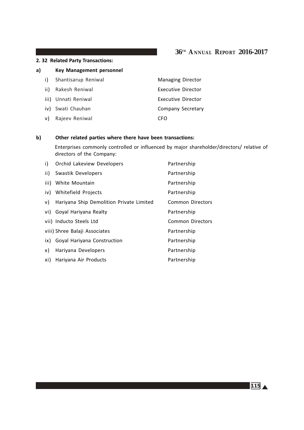# **36TH ANNUAL REPORT 2016-2017**

#### 2. 32 Related Party Transactions:

| a) |       | Key Management personnel |                          |
|----|-------|--------------------------|--------------------------|
|    | i)    | Shantisarup Reniwal      | <b>Managing Director</b> |
|    | ii)   | Rakesh Reniwal           | Executive Director       |
|    |       | iii) Unnati Reniwal      | Executive Director       |
|    | iv) – | Swati Chauhan            | Company Secretary        |
|    | v)    | Rajeev Reniwal           | CFO                      |
|    |       |                          |                          |

## b) Other related parties where there have been transactions:

Enterprises commonly controlled or influenced by major shareholder/directors/ relative of directors of the Company:

| $\mathsf{i}$ ) | <b>Orchid Lakeview Developers</b>           | Partnership             |
|----------------|---------------------------------------------|-------------------------|
| $\mathbf{ii}$  | Swastik Developers                          | Partnership             |
|                | iii) White Mountain                         | Partnership             |
|                | iv) Whitefield Projects                     | Partnership             |
|                | v) Hariyana Ship Demolition Private Limited | <b>Common Directors</b> |
|                | vi) Goyal Hariyana Realty                   | Partnership             |
|                | vii) Inducto Steels Ltd                     | <b>Common Directors</b> |
|                | viii) Shree Balaji Associates               | Partnership             |
|                | ix) Goyal Hariyana Construction             | Partnership             |
| x)             | Hariyana Developers                         | Partnership             |
| xi)            | Hariyana Air Products                       | Partnership             |

115 A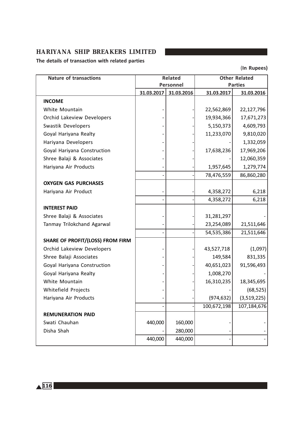The details of transaction with related parties

(In Rupees)

| <b>Nature of transactions</b>    | <b>Related</b> |            | <b>Other Related</b> |             |
|----------------------------------|----------------|------------|----------------------|-------------|
|                                  | Personnel      |            | <b>Parties</b>       |             |
|                                  | 31.03.2017     | 31.03.2016 | 31.03.2017           | 31.03.2016  |
| <b>INCOME</b>                    |                |            |                      |             |
| White Mountain                   |                |            | 22,562,869           | 22,127,796  |
| Orchid Lakeview Developers       |                |            | 19,934,366           | 17,671,273  |
| Swastik Developers               |                |            | 5,150,373            | 4,609,793   |
| Goyal Hariyana Realty            |                |            | 11,233,070           | 9,810,020   |
| Hariyana Developers              |                |            |                      | 1,332,059   |
| Goyal Hariyana Construction      |                |            | 17,638,236           | 17,969,206  |
| Shree Balaji & Associates        |                |            |                      | 12,060,359  |
| Hariyana Air Products            |                |            | 1,957,645            | 1,279,774   |
|                                  |                |            | 78,476,559           | 86,860,280  |
| <b>OXYGEN GAS PURCHASES</b>      |                |            |                      |             |
| Hariyana Air Product             |                |            | 4,358,272            | 6,218       |
|                                  |                |            | 4,358,272            | 6,218       |
| <b>INTEREST PAID</b>             |                |            |                      |             |
| Shree Balaji & Associates        |                |            | 31,281,297           |             |
| Tanmay Trilokchand Agarwal       |                |            | 23,254,089           | 21,511,646  |
|                                  |                |            | 54,535,386           | 21,511,646  |
| SHARE OF PROFIT/(LOSS) FROM FIRM |                |            |                      |             |
| Orchid Lakeview Developers       |                |            | 43,527,718           | (1,097)     |
| Shree Balaji Associates          |                |            | 149,584              | 831,335     |
| Goyal Hariyana Construction      |                |            | 40,651,023           | 91,596,493  |
| Goyal Hariyana Realty            |                |            | 1,008,270            |             |
| White Mountain                   |                |            | 16,310,235           | 18,345,695  |
| Whitefield Projects              |                |            |                      | (68, 525)   |
| Hariyana Air Products            |                |            | (974, 632)           | (3,519,225) |
|                                  |                |            | 100,672,198          | 107,184,676 |
| <b>REMUNERATION PAID</b>         |                |            |                      |             |
| Swati Chauhan                    | 440,000        | 160,000    |                      |             |
| Disha Shah                       |                | 280,000    |                      |             |
|                                  | 440,000        | 440,000    |                      |             |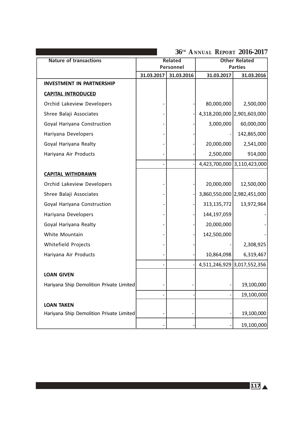| <b>Nature of transactions</b>            | <b>Related</b> |            | <b>Other Related</b> |                             |
|------------------------------------------|----------------|------------|----------------------|-----------------------------|
|                                          | Personnel      |            | <b>Parties</b>       |                             |
|                                          | 31.03.2017     | 31.03.2016 | 31.03.2017           | 31.03.2016                  |
| <b>INVESTMENT IN PARTNERSHIP</b>         |                |            |                      |                             |
| <b>CAPITAL INTRODUCED</b>                |                |            |                      |                             |
| Orchid Lakeview Developers               |                |            | 80,000,000           | 2,500,000                   |
| Shree Balaji Associates                  |                |            |                      | 4,318,200,000 2,901,603,000 |
| Goyal Hariyana Construction              |                |            | 3,000,000            | 60,000,000                  |
| Hariyana Developers                      |                |            |                      | 142,865,000                 |
| Goyal Hariyana Realty                    |                |            | 20,000,000           | 2,541,000                   |
| Hariyana Air Products                    |                |            | 2,500,000            | 914,000                     |
|                                          |                |            |                      | 4,423,700,000 3,110,423,000 |
| <b>CAPITAL WITHDRAWN</b>                 |                |            |                      |                             |
| Orchid Lakeview Developers               |                |            | 20,000,000           | 12,500,000                  |
| Shree Balaji Associates                  |                |            |                      | 3,860,550,000 2,982,451,000 |
| Goyal Hariyana Construction              |                |            | 313,135,772          | 13,972,964                  |
| Hariyana Developers                      |                |            | 144,197,059          |                             |
| Goyal Hariyana Realty                    |                |            | 20,000,000           |                             |
| White Mountain                           |                |            | 142,500,000          |                             |
| Whitefield Projects                      |                |            |                      | 2,308,925                   |
| Hariyana Air Products                    |                |            | 10,864,098           | 6,319,467                   |
|                                          |                |            |                      | 4,511,246,929 3,017,552,356 |
| <b>LOAN GIVEN</b>                        |                |            |                      |                             |
| Hariyana Ship Demolition Private Limited |                |            |                      | 19,100,000                  |
|                                          |                |            |                      | 19,100,000                  |
| <b>LOAN TAKEN</b>                        |                |            |                      |                             |
| Hariyana Ship Demolition Private Limited |                |            | -                    | 19,100,000                  |
|                                          |                |            |                      | 19,100,000                  |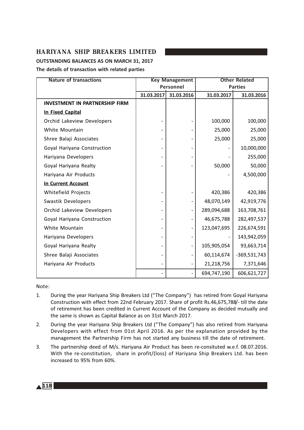OUTSTANDING BALANCES AS ON MARCH 31, 2017

The details of transaction with related parties

| <b>Nature of transactions</b>         | <b>Key Management</b> |            | <b>Other Related</b> |              |
|---------------------------------------|-----------------------|------------|----------------------|--------------|
|                                       | Personnel             |            | <b>Parties</b>       |              |
|                                       | 31.03.2017            | 31.03.2016 | 31.03.2017           | 31.03.2016   |
| <b>INVESTMENT IN PARTNERSHIP FIRM</b> |                       |            |                      |              |
| <b>In Fixed Capital</b>               |                       |            |                      |              |
| Orchid Lakeview Developers            |                       |            | 100,000              | 100,000      |
| White Mountain                        |                       |            | 25,000               | 25,000       |
| Shree Balaji Associates               |                       |            | 25,000               | 25,000       |
| Goyal Hariyana Construction           |                       |            |                      | 10,000,000   |
| Hariyana Developers                   |                       |            |                      | 255,000      |
| Goyal Hariyana Realty                 |                       |            | 50,000               | 50,000       |
| Hariyana Air Products                 |                       |            |                      | 4,500,000    |
| <b>In Current Account</b>             |                       |            |                      |              |
| Whitefield Projects                   |                       |            | 420,386              | 420,386      |
| Swastik Developers                    |                       |            | 48,070,149           | 42,919,776   |
| Orchid Lakeview Developers            |                       |            | 289,094,688          | 163,708,761  |
| Goyal Hariyana Construction           |                       |            | 46,675,788           | 282,497,537  |
| White Mountain                        |                       |            | 123,047,695          | 226,674,591  |
| Hariyana Developers                   |                       |            |                      | 143,942,059  |
| Goyal Hariyana Realty                 |                       |            | 105,905,054          | 93,663,714   |
| Shree Balaji Associates               |                       |            | 60,114,674           | -369,531,743 |
| Hariyana Air Products                 |                       |            | 21,218,756           | 7,371,646    |
|                                       |                       |            | 694,747,190          | 606,621,727  |

Note:

- 1. During the year Hariyana Ship Breakers Ltd ("The Company") has retired from Goyal Hariyana Construction with effect from 22nd February 2017. Share of profit Rs.46,675,788/- till the date of retirement has been credited in Current Account of the Company as decided mutually and the same is shown as Capital Balance as on 31st March 2017.
- 2. During the year Hariyana Ship Breakers Ltd ("The Company") has also retired from Hariyana Developers with effect from 01st April 2016. As per the explanation provided by the management the Partnership Firm has not started any business till the date of retirement.
- 3. The partnership deed of M/s. Hariyana Air Product has been re-consituted w.e.f. 08.07.2016. With the re-constitution, share in profit/(loss) of Hariyana Ship Breakers Ltd. has been increased to 95% from 60%.